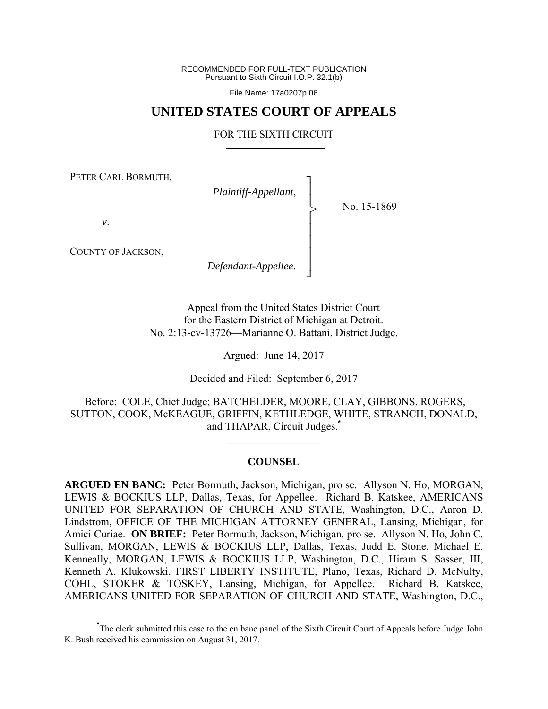RECOMMENDED FOR FULL-TEXT PUBLICATION Pursuant to Sixth Circuit I.O.P. 32.1(b)

File Name: 17a0207p.06

## **UNITED STATES COURT OF APPEALS**

### FOR THE SIXTH CIRCUIT

┐ │ │ │ │ │ │ │ ┘

>

PETER CARL BORMUTH,

*Plaintiff-Appellant*,

No. 15-1869

*v*.

COUNTY OF JACKSON,

*Defendant-Appellee*.

Appeal from the United States District Court for the Eastern District of Michigan at Detroit. No. 2:13-cv-13726—Marianne O. Battani, District Judge.

Argued: June 14, 2017

Decided and Filed: September 6, 2017

 Before: COLE, Chief Judge; BATCHELDER, MOORE, CLAY, GIBBONS, ROGERS, SUTTON, COOK, McKEAGUE, GRIFFIN, KETHLEDGE, WHITE, STRANCH, DONALD, and THAPAR, Circuit Judges.**\***

#### **COUNSEL**

 $\frac{1}{2}$ 

**ARGUED EN BANC:** Peter Bormuth, Jackson, Michigan, pro se. Allyson N. Ho, MORGAN, LEWIS & BOCKIUS LLP, Dallas, Texas, for Appellee. Richard B. Katskee, AMERICANS UNITED FOR SEPARATION OF CHURCH AND STATE, Washington, D.C., Aaron D. Lindstrom, OFFICE OF THE MICHIGAN ATTORNEY GENERAL, Lansing, Michigan, for Amici Curiae. **ON BRIEF:** Peter Bormuth, Jackson, Michigan, pro se. Allyson N. Ho, John C. Sullivan, MORGAN, LEWIS & BOCKIUS LLP, Dallas, Texas, Judd E. Stone, Michael E. Kenneally, MORGAN, LEWIS & BOCKIUS LLP, Washington, D.C., Hiram S. Sasser, III, Kenneth A. Klukowski, FIRST LIBERTY INSTITUTE, Plano, Texas, Richard D. McNulty, COHL, STOKER & TOSKEY, Lansing, Michigan, for Appellee. Richard B. Katskee, AMERICANS UNITED FOR SEPARATION OF CHURCH AND STATE, Washington, D.C.,

**\*** The clerk submitted this case to the en banc panel of the Sixth Circuit Court of Appeals before Judge John K. Bush received his commission on August 31, 2017.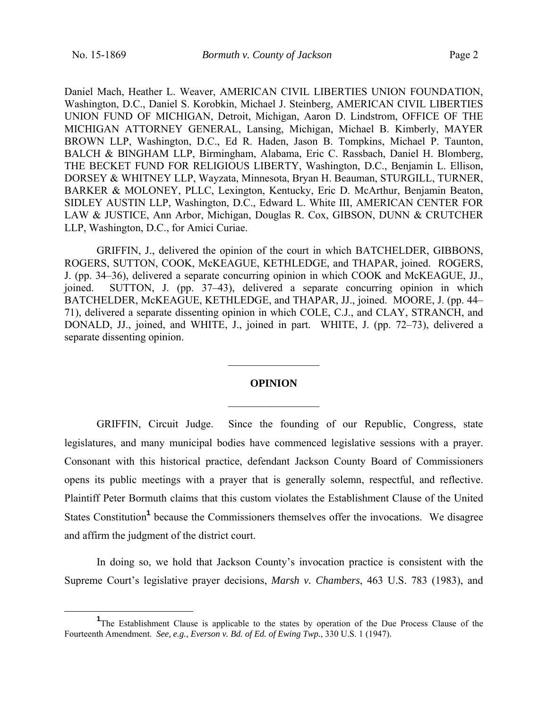Daniel Mach, Heather L. Weaver, AMERICAN CIVIL LIBERTIES UNION FOUNDATION, Washington, D.C., Daniel S. Korobkin, Michael J. Steinberg, AMERICAN CIVIL LIBERTIES UNION FUND OF MICHIGAN, Detroit, Michigan, Aaron D. Lindstrom, OFFICE OF THE MICHIGAN ATTORNEY GENERAL, Lansing, Michigan, Michael B. Kimberly, MAYER BROWN LLP, Washington, D.C., Ed R. Haden, Jason B. Tompkins, Michael P. Taunton, BALCH & BINGHAM LLP, Birmingham, Alabama, Eric C. Rassbach, Daniel H. Blomberg, THE BECKET FUND FOR RELIGIOUS LIBERTY, Washington, D.C., Benjamin L. Ellison, DORSEY & WHITNEY LLP, Wayzata, Minnesota, Bryan H. Beauman, STURGILL, TURNER, BARKER & MOLONEY, PLLC, Lexington, Kentucky, Eric D. McArthur, Benjamin Beaton, SIDLEY AUSTIN LLP, Washington, D.C., Edward L. White III, AMERICAN CENTER FOR LAW & JUSTICE, Ann Arbor, Michigan, Douglas R. Cox, GIBSON, DUNN & CRUTCHER LLP, Washington, D.C., for Amici Curiae.

 GRIFFIN, J., delivered the opinion of the court in which BATCHELDER, GIBBONS, ROGERS, SUTTON, COOK, McKEAGUE, KETHLEDGE, and THAPAR, joined. ROGERS, J. (pp. 34–36), delivered a separate concurring opinion in which COOK and McKEAGUE, JJ., joined. SUTTON, J. (pp. 37–43), delivered a separate concurring opinion in which BATCHELDER, McKEAGUE, KETHLEDGE, and THAPAR, JJ., joined. MOORE, J. (pp. 44– 71), delivered a separate dissenting opinion in which COLE, C.J., and CLAY, STRANCH, and DONALD, JJ., joined, and WHITE, J., joined in part. WHITE, J. (pp. 72–73), delivered a separate dissenting opinion.

# **OPINION**   $\frac{1}{2}$

 $\frac{1}{2}$ 

GRIFFIN, Circuit Judge. Since the founding of our Republic, Congress, state legislatures, and many municipal bodies have commenced legislative sessions with a prayer. Consonant with this historical practice, defendant Jackson County Board of Commissioners opens its public meetings with a prayer that is generally solemn, respectful, and reflective. Plaintiff Peter Bormuth claims that this custom violates the Establishment Clause of the United States Constitution<sup>1</sup> because the Commissioners themselves offer the invocations. We disagree and affirm the judgment of the district court.

In doing so, we hold that Jackson County's invocation practice is consistent with the Supreme Court's legislative prayer decisions, *Marsh v. Chambers*, 463 U.S. 783 (1983), and

<sup>&</sup>lt;u>1</u> <sup>1</sup>The Establishment Clause is applicable to the states by operation of the Due Process Clause of the Fourteenth Amendment. *See, e.g.*, *Everson v. Bd. of Ed. of Ewing Twp.*, 330 U.S. 1 (1947).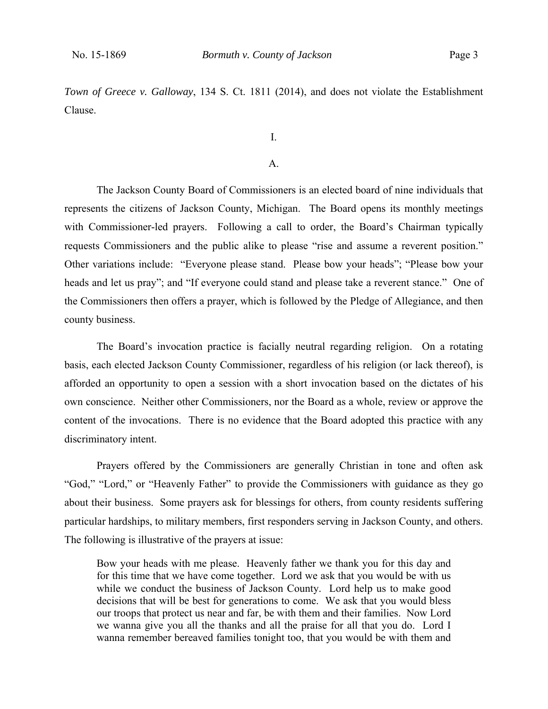*Town of Greece v. Galloway*, 134 S. Ct. 1811 (2014), and does not violate the Establishment Clause.

I.

## A.

The Jackson County Board of Commissioners is an elected board of nine individuals that represents the citizens of Jackson County, Michigan. The Board opens its monthly meetings with Commissioner-led prayers. Following a call to order, the Board's Chairman typically requests Commissioners and the public alike to please "rise and assume a reverent position." Other variations include: "Everyone please stand. Please bow your heads"; "Please bow your heads and let us pray"; and "If everyone could stand and please take a reverent stance." One of the Commissioners then offers a prayer, which is followed by the Pledge of Allegiance, and then county business.

The Board's invocation practice is facially neutral regarding religion. On a rotating basis, each elected Jackson County Commissioner, regardless of his religion (or lack thereof), is afforded an opportunity to open a session with a short invocation based on the dictates of his own conscience. Neither other Commissioners, nor the Board as a whole, review or approve the content of the invocations. There is no evidence that the Board adopted this practice with any discriminatory intent.

Prayers offered by the Commissioners are generally Christian in tone and often ask "God," "Lord," or "Heavenly Father" to provide the Commissioners with guidance as they go about their business. Some prayers ask for blessings for others, from county residents suffering particular hardships, to military members, first responders serving in Jackson County, and others. The following is illustrative of the prayers at issue:

Bow your heads with me please. Heavenly father we thank you for this day and for this time that we have come together. Lord we ask that you would be with us while we conduct the business of Jackson County. Lord help us to make good decisions that will be best for generations to come. We ask that you would bless our troops that protect us near and far, be with them and their families. Now Lord we wanna give you all the thanks and all the praise for all that you do. Lord I wanna remember bereaved families tonight too, that you would be with them and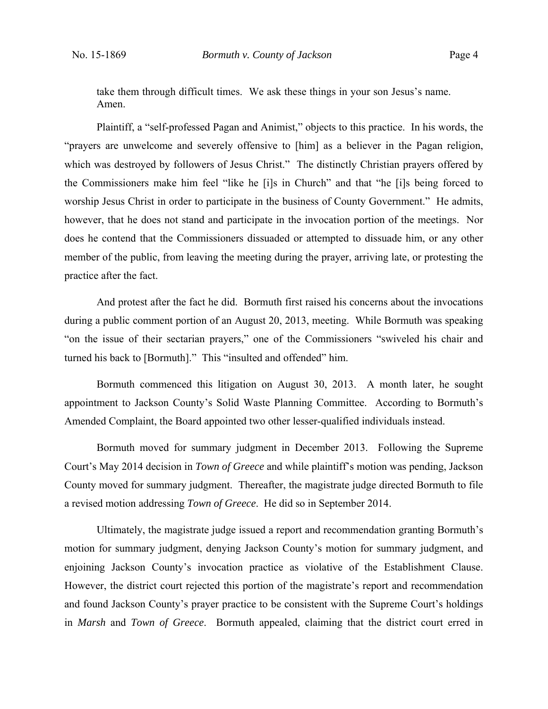take them through difficult times. We ask these things in your son Jesus's name. Amen.

Plaintiff, a "self-professed Pagan and Animist," objects to this practice. In his words, the "prayers are unwelcome and severely offensive to [him] as a believer in the Pagan religion, which was destroyed by followers of Jesus Christ." The distinctly Christian prayers offered by the Commissioners make him feel "like he [i]s in Church" and that "he [i]s being forced to worship Jesus Christ in order to participate in the business of County Government." He admits, however, that he does not stand and participate in the invocation portion of the meetings. Nor does he contend that the Commissioners dissuaded or attempted to dissuade him, or any other member of the public, from leaving the meeting during the prayer, arriving late, or protesting the practice after the fact.

And protest after the fact he did. Bormuth first raised his concerns about the invocations during a public comment portion of an August 20, 2013, meeting. While Bormuth was speaking "on the issue of their sectarian prayers," one of the Commissioners "swiveled his chair and turned his back to [Bormuth]." This "insulted and offended" him.

Bormuth commenced this litigation on August 30, 2013. A month later, he sought appointment to Jackson County's Solid Waste Planning Committee. According to Bormuth's Amended Complaint, the Board appointed two other lesser-qualified individuals instead.

Bormuth moved for summary judgment in December 2013. Following the Supreme Court's May 2014 decision in *Town of Greece* and while plaintiff's motion was pending, Jackson County moved for summary judgment. Thereafter, the magistrate judge directed Bormuth to file a revised motion addressing *Town of Greece*. He did so in September 2014.

Ultimately, the magistrate judge issued a report and recommendation granting Bormuth's motion for summary judgment, denying Jackson County's motion for summary judgment, and enjoining Jackson County's invocation practice as violative of the Establishment Clause. However, the district court rejected this portion of the magistrate's report and recommendation and found Jackson County's prayer practice to be consistent with the Supreme Court's holdings in *Marsh* and *Town of Greece*. Bormuth appealed, claiming that the district court erred in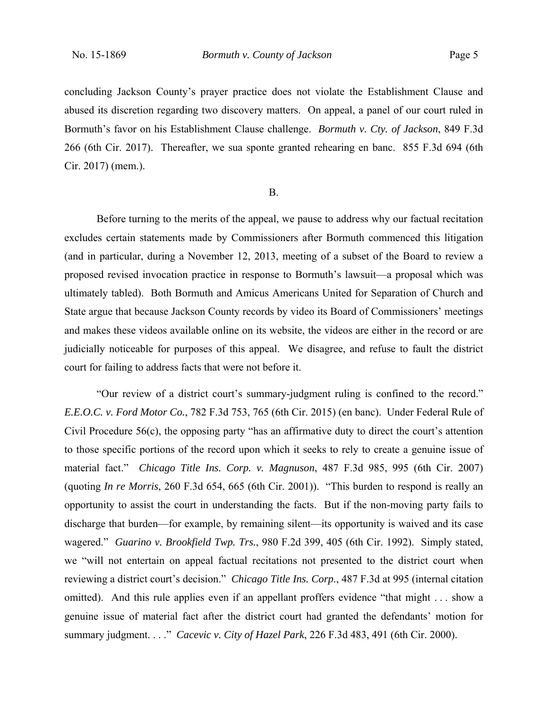concluding Jackson County's prayer practice does not violate the Establishment Clause and abused its discretion regarding two discovery matters. On appeal, a panel of our court ruled in Bormuth's favor on his Establishment Clause challenge. *Bormuth v. Cty. of Jackson*, 849 F.3d 266 (6th Cir. 2017). Thereafter, we sua sponte granted rehearing en banc. 855 F.3d 694 (6th Cir. 2017) (mem.).

#### B.

 Before turning to the merits of the appeal, we pause to address why our factual recitation excludes certain statements made by Commissioners after Bormuth commenced this litigation (and in particular, during a November 12, 2013, meeting of a subset of the Board to review a proposed revised invocation practice in response to Bormuth's lawsuit—a proposal which was ultimately tabled). Both Bormuth and Amicus Americans United for Separation of Church and State argue that because Jackson County records by video its Board of Commissioners' meetings and makes these videos available online on its website, the videos are either in the record or are judicially noticeable for purposes of this appeal. We disagree, and refuse to fault the district court for failing to address facts that were not before it.

"Our review of a district court's summary-judgment ruling is confined to the record." *E.E.O.C. v. Ford Motor Co.*, 782 F.3d 753, 765 (6th Cir. 2015) (en banc). Under Federal Rule of Civil Procedure 56(c), the opposing party "has an affirmative duty to direct the court's attention to those specific portions of the record upon which it seeks to rely to create a genuine issue of material fact." *Chicago Title Ins. Corp. v. Magnuson*, 487 F.3d 985, 995 (6th Cir. 2007) (quoting *In re Morris*, 260 F.3d 654, 665 (6th Cir. 2001)). "This burden to respond is really an opportunity to assist the court in understanding the facts. But if the non-moving party fails to discharge that burden—for example, by remaining silent—its opportunity is waived and its case wagered." *Guarino v. Brookfield Twp. Trs.*, 980 F.2d 399, 405 (6th Cir. 1992). Simply stated, we "will not entertain on appeal factual recitations not presented to the district court when reviewing a district court's decision." *Chicago Title Ins. Corp.*, 487 F.3d at 995 (internal citation omitted). And this rule applies even if an appellant proffers evidence "that might . . . show a genuine issue of material fact after the district court had granted the defendants' motion for summary judgment. . . ." *Cacevic v. City of Hazel Park*, 226 F.3d 483, 491 (6th Cir. 2000).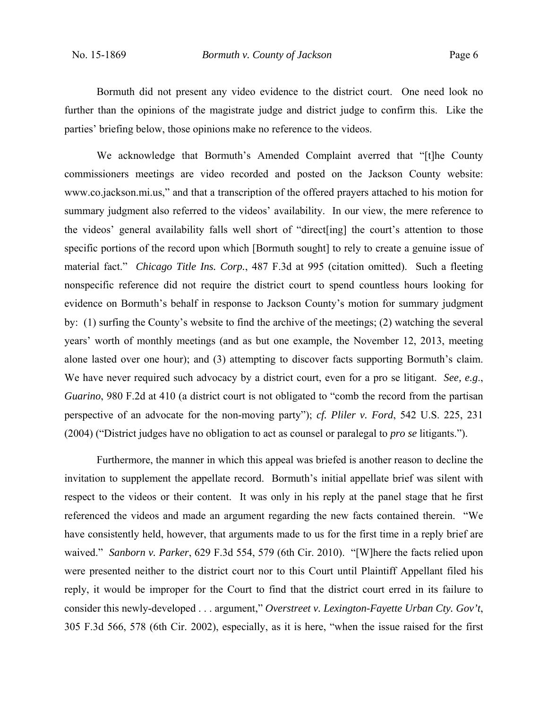Bormuth did not present any video evidence to the district court. One need look no further than the opinions of the magistrate judge and district judge to confirm this. Like the parties' briefing below, those opinions make no reference to the videos.

We acknowledge that Bormuth's Amended Complaint averred that "[t]he County commissioners meetings are video recorded and posted on the Jackson County website: www.co.jackson.mi.us," and that a transcription of the offered prayers attached to his motion for summary judgment also referred to the videos' availability. In our view, the mere reference to the videos' general availability falls well short of "direct[ing] the court's attention to those specific portions of the record upon which [Bormuth sought] to rely to create a genuine issue of material fact." *Chicago Title Ins. Corp.*, 487 F.3d at 995 (citation omitted). Such a fleeting nonspecific reference did not require the district court to spend countless hours looking for evidence on Bormuth's behalf in response to Jackson County's motion for summary judgment by: (1) surfing the County's website to find the archive of the meetings; (2) watching the several years' worth of monthly meetings (and as but one example, the November 12, 2013, meeting alone lasted over one hour); and (3) attempting to discover facts supporting Bormuth's claim. We have never required such advocacy by a district court, even for a pro se litigant. *See, e.g*., *Guarino*, 980 F.2d at 410 (a district court is not obligated to "comb the record from the partisan perspective of an advocate for the non-moving party"); *cf. Pliler v. Ford*, 542 U.S. 225, 231 (2004) ("District judges have no obligation to act as counsel or paralegal to *pro se* litigants.").

Furthermore, the manner in which this appeal was briefed is another reason to decline the invitation to supplement the appellate record. Bormuth's initial appellate brief was silent with respect to the videos or their content. It was only in his reply at the panel stage that he first referenced the videos and made an argument regarding the new facts contained therein. "We have consistently held, however, that arguments made to us for the first time in a reply brief are waived." *Sanborn v. Parker*, 629 F.3d 554, 579 (6th Cir. 2010). "[W]here the facts relied upon were presented neither to the district court nor to this Court until Plaintiff Appellant filed his reply, it would be improper for the Court to find that the district court erred in its failure to consider this newly-developed . . . argument," *Overstreet v. Lexington-Fayette Urban Cty. Gov't*, 305 F.3d 566, 578 (6th Cir. 2002), especially, as it is here, "when the issue raised for the first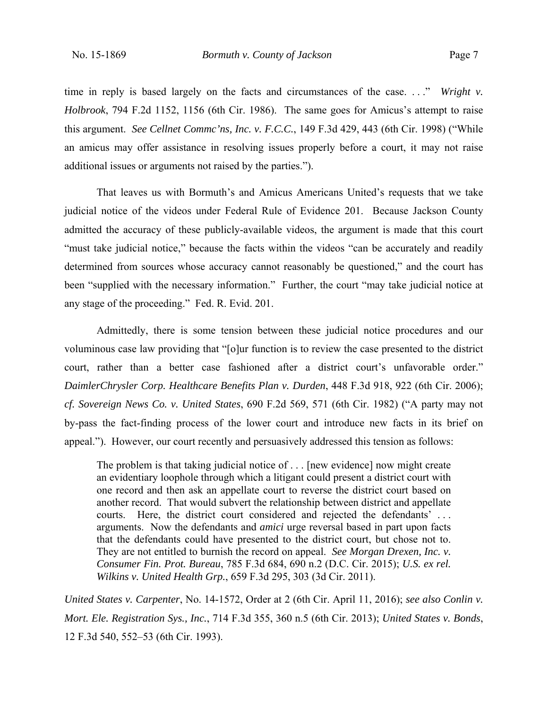time in reply is based largely on the facts and circumstances of the case. . . ." *Wright v. Holbrook*, 794 F.2d 1152, 1156 (6th Cir. 1986). The same goes for Amicus's attempt to raise this argument. *See Cellnet Commc'ns, Inc. v. F.C.C.*, 149 F.3d 429, 443 (6th Cir. 1998) ("While an amicus may offer assistance in resolving issues properly before a court, it may not raise additional issues or arguments not raised by the parties.").

That leaves us with Bormuth's and Amicus Americans United's requests that we take judicial notice of the videos under Federal Rule of Evidence 201. Because Jackson County admitted the accuracy of these publicly-available videos, the argument is made that this court "must take judicial notice," because the facts within the videos "can be accurately and readily determined from sources whose accuracy cannot reasonably be questioned," and the court has been "supplied with the necessary information." Further, the court "may take judicial notice at any stage of the proceeding." Fed. R. Evid. 201.

 Admittedly, there is some tension between these judicial notice procedures and our voluminous case law providing that "[o]ur function is to review the case presented to the district court, rather than a better case fashioned after a district court's unfavorable order." *DaimlerChrysler Corp. Healthcare Benefits Plan v. Durden*, 448 F.3d 918, 922 (6th Cir. 2006); *cf. Sovereign News Co. v. United States*, 690 F.2d 569, 571 (6th Cir. 1982) ("A party may not by-pass the fact-finding process of the lower court and introduce new facts in its brief on appeal."). However, our court recently and persuasively addressed this tension as follows:

The problem is that taking judicial notice of . . . [new evidence] now might create an evidentiary loophole through which a litigant could present a district court with one record and then ask an appellate court to reverse the district court based on another record. That would subvert the relationship between district and appellate courts. Here, the district court considered and rejected the defendants' . . . arguments. Now the defendants and *amici* urge reversal based in part upon facts that the defendants could have presented to the district court, but chose not to. They are not entitled to burnish the record on appeal. *See Morgan Drexen, Inc. v. Consumer Fin. Prot. Bureau*, 785 F.3d 684, 690 n.2 (D.C. Cir. 2015); *U.S. ex rel. Wilkins v. United Health Grp.*, 659 F.3d 295, 303 (3d Cir. 2011).

*United States v. Carpenter*, No. 14-1572, Order at 2 (6th Cir. April 11, 2016); *see also Conlin v. Mort. Ele. Registration Sys., Inc.*, 714 F.3d 355, 360 n.5 (6th Cir. 2013); *United States v. Bonds*, 12 F.3d 540, 552–53 (6th Cir. 1993).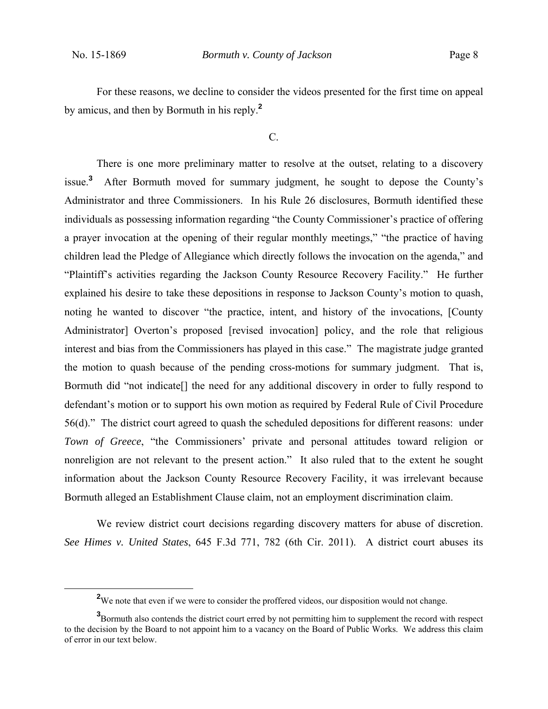For these reasons, we decline to consider the videos presented for the first time on appeal by amicus, and then by Bormuth in his reply.**<sup>2</sup>**

C.

 There is one more preliminary matter to resolve at the outset, relating to a discovery issue.**<sup>3</sup>** After Bormuth moved for summary judgment, he sought to depose the County's Administrator and three Commissioners. In his Rule 26 disclosures, Bormuth identified these individuals as possessing information regarding "the County Commissioner's practice of offering a prayer invocation at the opening of their regular monthly meetings," "the practice of having children lead the Pledge of Allegiance which directly follows the invocation on the agenda," and "Plaintiff's activities regarding the Jackson County Resource Recovery Facility." He further explained his desire to take these depositions in response to Jackson County's motion to quash, noting he wanted to discover "the practice, intent, and history of the invocations, [County Administrator] Overton's proposed [revised invocation] policy, and the role that religious interest and bias from the Commissioners has played in this case." The magistrate judge granted the motion to quash because of the pending cross-motions for summary judgment. That is, Bormuth did "not indicate[] the need for any additional discovery in order to fully respond to defendant's motion or to support his own motion as required by Federal Rule of Civil Procedure 56(d)." The district court agreed to quash the scheduled depositions for different reasons: under *Town of Greece*, "the Commissioners' private and personal attitudes toward religion or nonreligion are not relevant to the present action." It also ruled that to the extent he sought information about the Jackson County Resource Recovery Facility, it was irrelevant because Bormuth alleged an Establishment Clause claim, not an employment discrimination claim.

We review district court decisions regarding discovery matters for abuse of discretion. *See Himes v. United States*, 645 F.3d 771, 782 (6th Cir. 2011). A district court abuses its

**<sup>2</sup>** <sup>2</sup>We note that even if we were to consider the proffered videos, our disposition would not change.

**<sup>3</sup>** Bormuth also contends the district court erred by not permitting him to supplement the record with respect to the decision by the Board to not appoint him to a vacancy on the Board of Public Works. We address this claim of error in our text below.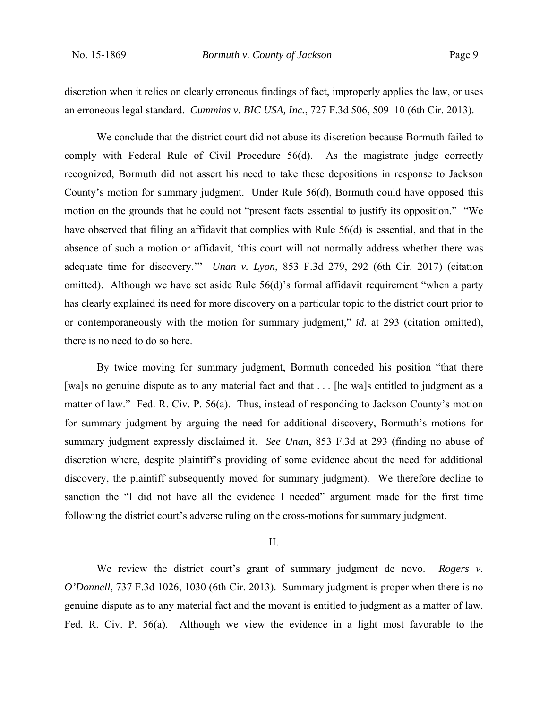discretion when it relies on clearly erroneous findings of fact, improperly applies the law, or uses an erroneous legal standard. *Cummins v. BIC USA, Inc.*, 727 F.3d 506, 509–10 (6th Cir. 2013).

 We conclude that the district court did not abuse its discretion because Bormuth failed to comply with Federal Rule of Civil Procedure 56(d). As the magistrate judge correctly recognized, Bormuth did not assert his need to take these depositions in response to Jackson County's motion for summary judgment. Under Rule 56(d), Bormuth could have opposed this motion on the grounds that he could not "present facts essential to justify its opposition." "We have observed that filing an affidavit that complies with Rule 56(d) is essential, and that in the absence of such a motion or affidavit, 'this court will not normally address whether there was adequate time for discovery.'" *Unan v. Lyon*, 853 F.3d 279, 292 (6th Cir. 2017) (citation omitted). Although we have set aside Rule 56(d)'s formal affidavit requirement "when a party has clearly explained its need for more discovery on a particular topic to the district court prior to or contemporaneously with the motion for summary judgment," *id.* at 293 (citation omitted), there is no need to do so here.

By twice moving for summary judgment, Bormuth conceded his position "that there [wa]s no genuine dispute as to any material fact and that . . . [he wa]s entitled to judgment as a matter of law." Fed. R. Civ. P. 56(a). Thus, instead of responding to Jackson County's motion for summary judgment by arguing the need for additional discovery, Bormuth's motions for summary judgment expressly disclaimed it. *See Unan*, 853 F.3d at 293 (finding no abuse of discretion where, despite plaintiff's providing of some evidence about the need for additional discovery, the plaintiff subsequently moved for summary judgment). We therefore decline to sanction the "I did not have all the evidence I needed" argument made for the first time following the district court's adverse ruling on the cross-motions for summary judgment.

## II.

We review the district court's grant of summary judgment de novo. *Rogers v. O'Donnell*, 737 F.3d 1026, 1030 (6th Cir. 2013). Summary judgment is proper when there is no genuine dispute as to any material fact and the movant is entitled to judgment as a matter of law. Fed. R. Civ. P. 56(a). Although we view the evidence in a light most favorable to the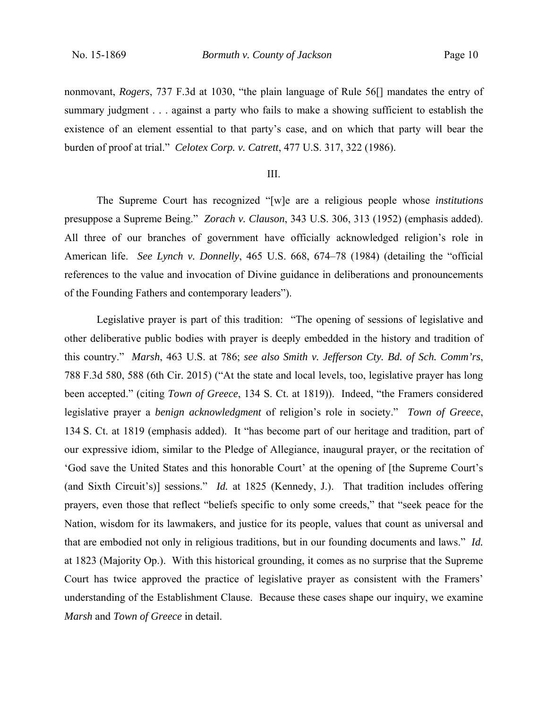nonmovant, *Rogers*, 737 F.3d at 1030, "the plain language of Rule 56[] mandates the entry of summary judgment . . . against a party who fails to make a showing sufficient to establish the existence of an element essential to that party's case, and on which that party will bear the burden of proof at trial." *Celotex Corp. v. Catrett*, 477 U.S. 317, 322 (1986).

## III.

The Supreme Court has recognized "[w]e are a religious people whose *institutions* presuppose a Supreme Being." *Zorach v. Clauson*, 343 U.S. 306, 313 (1952) (emphasis added). All three of our branches of government have officially acknowledged religion's role in American life. *See Lynch v. Donnelly*, 465 U.S. 668, 674–78 (1984) (detailing the "official references to the value and invocation of Divine guidance in deliberations and pronouncements of the Founding Fathers and contemporary leaders").

Legislative prayer is part of this tradition: "The opening of sessions of legislative and other deliberative public bodies with prayer is deeply embedded in the history and tradition of this country." *Marsh*, 463 U.S. at 786; *see also Smith v. Jefferson Cty. Bd. of Sch. Comm'rs*, 788 F.3d 580, 588 (6th Cir. 2015) ("At the state and local levels, too, legislative prayer has long been accepted." (citing *Town of Greece*, 134 S. Ct. at 1819)). Indeed, "the Framers considered legislative prayer a *benign acknowledgment* of religion's role in society." *Town of Greece*, 134 S. Ct. at 1819 (emphasis added). It "has become part of our heritage and tradition, part of our expressive idiom, similar to the Pledge of Allegiance, inaugural prayer, or the recitation of 'God save the United States and this honorable Court' at the opening of [the Supreme Court's (and Sixth Circuit's)] sessions." *Id.* at 1825 (Kennedy, J.). That tradition includes offering prayers, even those that reflect "beliefs specific to only some creeds," that "seek peace for the Nation, wisdom for its lawmakers, and justice for its people, values that count as universal and that are embodied not only in religious traditions, but in our founding documents and laws." *Id.* at 1823 (Majority Op.). With this historical grounding, it comes as no surprise that the Supreme Court has twice approved the practice of legislative prayer as consistent with the Framers' understanding of the Establishment Clause. Because these cases shape our inquiry, we examine *Marsh* and *Town of Greece* in detail.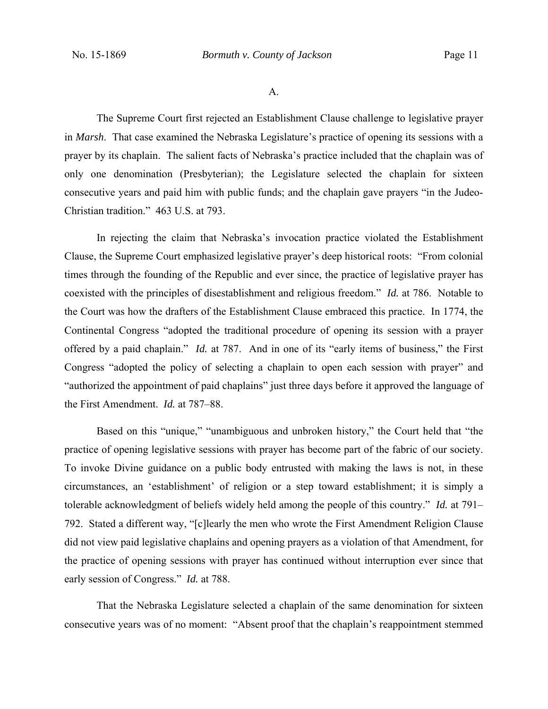A.

 The Supreme Court first rejected an Establishment Clause challenge to legislative prayer in *Marsh*. That case examined the Nebraska Legislature's practice of opening its sessions with a prayer by its chaplain. The salient facts of Nebraska's practice included that the chaplain was of only one denomination (Presbyterian); the Legislature selected the chaplain for sixteen consecutive years and paid him with public funds; and the chaplain gave prayers "in the Judeo-Christian tradition." 463 U.S. at 793.

In rejecting the claim that Nebraska's invocation practice violated the Establishment Clause, the Supreme Court emphasized legislative prayer's deep historical roots: "From colonial times through the founding of the Republic and ever since, the practice of legislative prayer has coexisted with the principles of disestablishment and religious freedom." *Id.* at 786. Notable to the Court was how the drafters of the Establishment Clause embraced this practice. In 1774, the Continental Congress "adopted the traditional procedure of opening its session with a prayer offered by a paid chaplain." *Id.* at 787. And in one of its "early items of business," the First Congress "adopted the policy of selecting a chaplain to open each session with prayer" and "authorized the appointment of paid chaplains" just three days before it approved the language of the First Amendment. *Id.* at 787–88.

Based on this "unique," "unambiguous and unbroken history," the Court held that "the practice of opening legislative sessions with prayer has become part of the fabric of our society. To invoke Divine guidance on a public body entrusted with making the laws is not, in these circumstances, an 'establishment' of religion or a step toward establishment; it is simply a tolerable acknowledgment of beliefs widely held among the people of this country." *Id.* at 791– 792. Stated a different way, "[c]learly the men who wrote the First Amendment Religion Clause did not view paid legislative chaplains and opening prayers as a violation of that Amendment, for the practice of opening sessions with prayer has continued without interruption ever since that early session of Congress." *Id.* at 788.

That the Nebraska Legislature selected a chaplain of the same denomination for sixteen consecutive years was of no moment: "Absent proof that the chaplain's reappointment stemmed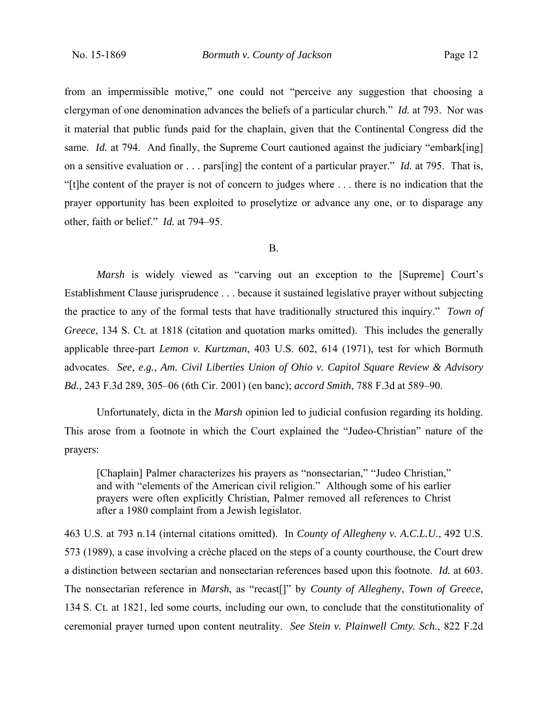from an impermissible motive," one could not "perceive any suggestion that choosing a clergyman of one denomination advances the beliefs of a particular church." *Id.* at 793. Nor was it material that public funds paid for the chaplain, given that the Continental Congress did the same. *Id.* at 794. And finally, the Supreme Court cautioned against the judiciary "embark[ing] on a sensitive evaluation or . . . pars[ing] the content of a particular prayer." *Id.* at 795. That is, "[t]he content of the prayer is not of concern to judges where . . . there is no indication that the prayer opportunity has been exploited to proselytize or advance any one, or to disparage any other, faith or belief." *Id.* at 794–95.

#### B.

*Marsh* is widely viewed as "carving out an exception to the [Supreme] Court's Establishment Clause jurisprudence . . . because it sustained legislative prayer without subjecting the practice to any of the formal tests that have traditionally structured this inquiry." *Town of Greece*, 134 S. Ct. at 1818 (citation and quotation marks omitted). This includes the generally applicable three-part *Lemon v. Kurtzman*, 403 U.S. 602, 614 (1971), test for which Bormuth advocates. *See, e.g.*, *Am. Civil Liberties Union of Ohio v. Capitol Square Review & Advisory Bd.*, 243 F.3d 289, 305–06 (6th Cir. 2001) (en banc); *accord Smith*, 788 F.3d at 589–90.

Unfortunately, dicta in the *Marsh* opinion led to judicial confusion regarding its holding. This arose from a footnote in which the Court explained the "Judeo-Christian" nature of the prayers:

[Chaplain] Palmer characterizes his prayers as "nonsectarian," "Judeo Christian," and with "elements of the American civil religion." Although some of his earlier prayers were often explicitly Christian, Palmer removed all references to Christ after a 1980 complaint from a Jewish legislator.

463 U.S. at 793 n.14 (internal citations omitted). In *County of Allegheny v. A.C.L.U.*, 492 U.S. 573 (1989), a case involving a crèche placed on the steps of a county courthouse, the Court drew a distinction between sectarian and nonsectarian references based upon this footnote. *Id.* at 603. The nonsectarian reference in *Marsh*, as "recast[]" by *County of Allegheny*, *Town of Greece*, 134 S. Ct. at 1821, led some courts, including our own, to conclude that the constitutionality of ceremonial prayer turned upon content neutrality. *See Stein v. Plainwell Cmty. Sch.*, 822 F.2d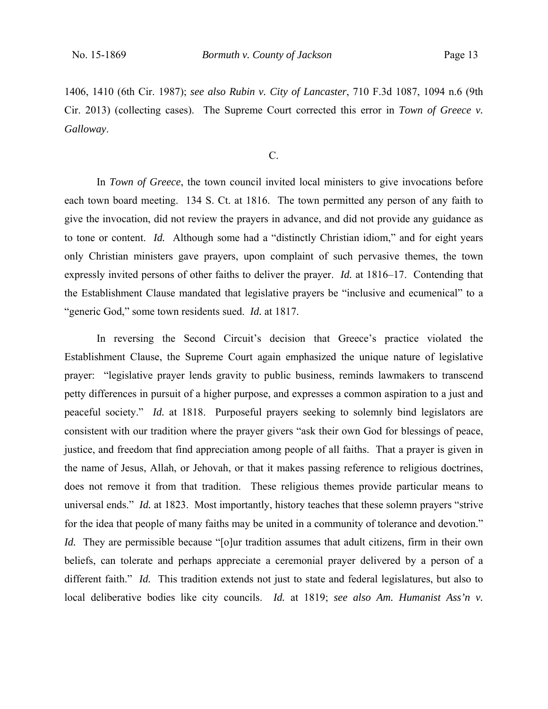1406, 1410 (6th Cir. 1987); *see also Rubin v. City of Lancaster*, 710 F.3d 1087, 1094 n.6 (9th Cir. 2013) (collecting cases). The Supreme Court corrected this error in *Town of Greece v. Galloway*.

C.

In *Town of Greece*, the town council invited local ministers to give invocations before each town board meeting. 134 S. Ct. at 1816. The town permitted any person of any faith to give the invocation, did not review the prayers in advance, and did not provide any guidance as to tone or content. *Id.* Although some had a "distinctly Christian idiom," and for eight years only Christian ministers gave prayers, upon complaint of such pervasive themes, the town expressly invited persons of other faiths to deliver the prayer. *Id.* at 1816–17. Contending that the Establishment Clause mandated that legislative prayers be "inclusive and ecumenical" to a "generic God," some town residents sued. *Id.* at 1817.

In reversing the Second Circuit's decision that Greece's practice violated the Establishment Clause, the Supreme Court again emphasized the unique nature of legislative prayer: "legislative prayer lends gravity to public business, reminds lawmakers to transcend petty differences in pursuit of a higher purpose, and expresses a common aspiration to a just and peaceful society." *Id.* at 1818. Purposeful prayers seeking to solemnly bind legislators are consistent with our tradition where the prayer givers "ask their own God for blessings of peace, justice, and freedom that find appreciation among people of all faiths. That a prayer is given in the name of Jesus, Allah, or Jehovah, or that it makes passing reference to religious doctrines, does not remove it from that tradition. These religious themes provide particular means to universal ends." *Id.* at 1823. Most importantly, history teaches that these solemn prayers "strive for the idea that people of many faiths may be united in a community of tolerance and devotion." *Id.* They are permissible because "[o]ur tradition assumes that adult citizens, firm in their own beliefs, can tolerate and perhaps appreciate a ceremonial prayer delivered by a person of a different faith." *Id.* This tradition extends not just to state and federal legislatures, but also to local deliberative bodies like city councils. *Id.* at 1819; *see also Am. Humanist Ass'n v.*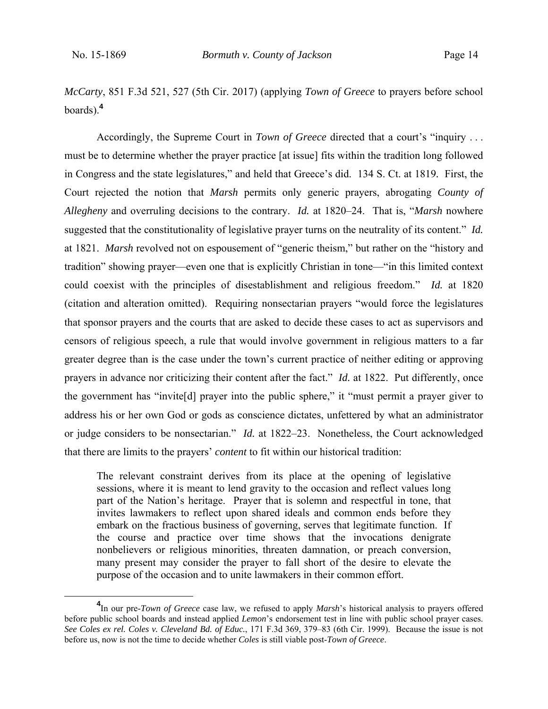*McCarty*, 851 F.3d 521, 527 (5th Cir. 2017) (applying *Town of Greece* to prayers before school boards).**<sup>4</sup>**

Accordingly, the Supreme Court in *Town of Greece* directed that a court's "inquiry . . . must be to determine whether the prayer practice [at issue] fits within the tradition long followed in Congress and the state legislatures," and held that Greece's did. 134 S. Ct. at 1819*.* First, the Court rejected the notion that *Marsh* permits only generic prayers, abrogating *County of Allegheny* and overruling decisions to the contrary. *Id.* at 1820–24. That is, "*Marsh* nowhere suggested that the constitutionality of legislative prayer turns on the neutrality of its content." *Id.* at 1821. *Marsh* revolved not on espousement of "generic theism," but rather on the "history and tradition" showing prayer—even one that is explicitly Christian in tone—"in this limited context could coexist with the principles of disestablishment and religious freedom." *Id.* at 1820 (citation and alteration omitted). Requiring nonsectarian prayers "would force the legislatures that sponsor prayers and the courts that are asked to decide these cases to act as supervisors and censors of religious speech, a rule that would involve government in religious matters to a far greater degree than is the case under the town's current practice of neither editing or approving prayers in advance nor criticizing their content after the fact." *Id.* at 1822. Put differently, once the government has "invite[d] prayer into the public sphere," it "must permit a prayer giver to address his or her own God or gods as conscience dictates, unfettered by what an administrator or judge considers to be nonsectarian." *Id.* at 1822–23. Nonetheless, the Court acknowledged that there are limits to the prayers' *content* to fit within our historical tradition:

The relevant constraint derives from its place at the opening of legislative sessions, where it is meant to lend gravity to the occasion and reflect values long part of the Nation's heritage. Prayer that is solemn and respectful in tone, that invites lawmakers to reflect upon shared ideals and common ends before they embark on the fractious business of governing, serves that legitimate function. If the course and practice over time shows that the invocations denigrate nonbelievers or religious minorities, threaten damnation, or preach conversion, many present may consider the prayer to fall short of the desire to elevate the purpose of the occasion and to unite lawmakers in their common effort.

**<sup>4</sup>** <sup>4</sup>In our pre-*Town of Greece* case law, we refused to apply *Marsh*'s historical analysis to prayers offered before public school boards and instead applied *Lemon*'s endorsement test in line with public school prayer cases. *See Coles ex rel. Coles v. Cleveland Bd. of Educ.*, 171 F.3d 369, 379–83 (6th Cir. 1999). Because the issue is not before us, now is not the time to decide whether *Coles* is still viable post-*Town of Greece*.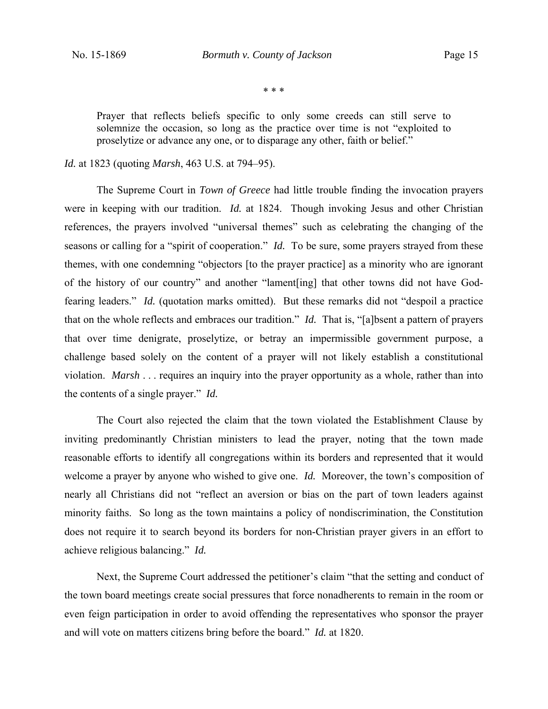\* \* \*

Prayer that reflects beliefs specific to only some creeds can still serve to solemnize the occasion, so long as the practice over time is not "exploited to proselytize or advance any one, or to disparage any other, faith or belief."

## *Id.* at 1823 (quoting *Marsh*, 463 U.S. at 794–95).

The Supreme Court in *Town of Greece* had little trouble finding the invocation prayers were in keeping with our tradition. *Id.* at 1824. Though invoking Jesus and other Christian references, the prayers involved "universal themes" such as celebrating the changing of the seasons or calling for a "spirit of cooperation." *Id.* To be sure, some prayers strayed from these themes, with one condemning "objectors [to the prayer practice] as a minority who are ignorant of the history of our country" and another "lament[ing] that other towns did not have Godfearing leaders." *Id.* (quotation marks omitted). But these remarks did not "despoil a practice that on the whole reflects and embraces our tradition." *Id.* That is, "[a]bsent a pattern of prayers that over time denigrate, proselytize, or betray an impermissible government purpose, a challenge based solely on the content of a prayer will not likely establish a constitutional violation. *Marsh* . . . requires an inquiry into the prayer opportunity as a whole, rather than into the contents of a single prayer." *Id.*

The Court also rejected the claim that the town violated the Establishment Clause by inviting predominantly Christian ministers to lead the prayer, noting that the town made reasonable efforts to identify all congregations within its borders and represented that it would welcome a prayer by anyone who wished to give one. *Id.* Moreover, the town's composition of nearly all Christians did not "reflect an aversion or bias on the part of town leaders against minority faiths. So long as the town maintains a policy of nondiscrimination, the Constitution does not require it to search beyond its borders for non-Christian prayer givers in an effort to achieve religious balancing." *Id.*

Next, the Supreme Court addressed the petitioner's claim "that the setting and conduct of the town board meetings create social pressures that force nonadherents to remain in the room or even feign participation in order to avoid offending the representatives who sponsor the prayer and will vote on matters citizens bring before the board." *Id.* at 1820.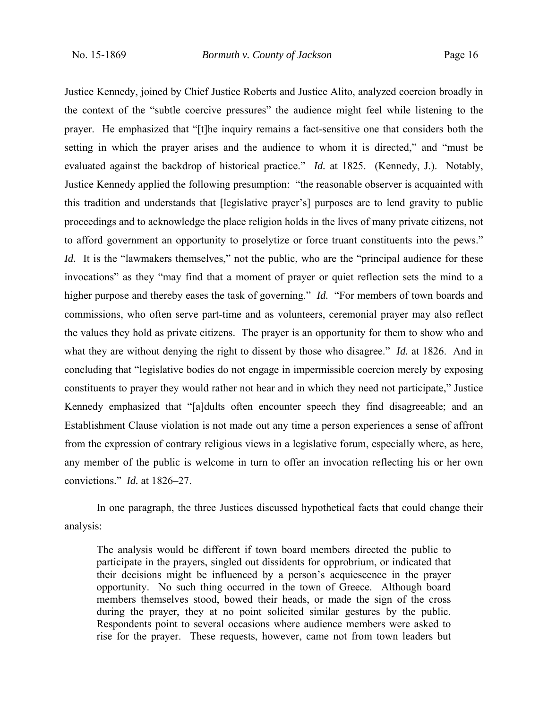Justice Kennedy, joined by Chief Justice Roberts and Justice Alito, analyzed coercion broadly in the context of the "subtle coercive pressures" the audience might feel while listening to the prayer. He emphasized that "[t]he inquiry remains a fact-sensitive one that considers both the setting in which the prayer arises and the audience to whom it is directed," and "must be evaluated against the backdrop of historical practice." *Id.* at 1825. (Kennedy, J.). Notably, Justice Kennedy applied the following presumption: "the reasonable observer is acquainted with this tradition and understands that [legislative prayer's] purposes are to lend gravity to public proceedings and to acknowledge the place religion holds in the lives of many private citizens, not to afford government an opportunity to proselytize or force truant constituents into the pews." *Id.* It is the "lawmakers themselves," not the public, who are the "principal audience for these invocations" as they "may find that a moment of prayer or quiet reflection sets the mind to a higher purpose and thereby eases the task of governing." *Id.* "For members of town boards and commissions, who often serve part-time and as volunteers, ceremonial prayer may also reflect the values they hold as private citizens. The prayer is an opportunity for them to show who and what they are without denying the right to dissent by those who disagree." *Id.* at 1826. And in concluding that "legislative bodies do not engage in impermissible coercion merely by exposing constituents to prayer they would rather not hear and in which they need not participate," Justice Kennedy emphasized that "[a]dults often encounter speech they find disagreeable; and an Establishment Clause violation is not made out any time a person experiences a sense of affront from the expression of contrary religious views in a legislative forum, especially where, as here, any member of the public is welcome in turn to offer an invocation reflecting his or her own convictions." *Id.* at 1826–27.

In one paragraph, the three Justices discussed hypothetical facts that could change their analysis:

The analysis would be different if town board members directed the public to participate in the prayers, singled out dissidents for opprobrium, or indicated that their decisions might be influenced by a person's acquiescence in the prayer opportunity. No such thing occurred in the town of Greece. Although board members themselves stood, bowed their heads, or made the sign of the cross during the prayer, they at no point solicited similar gestures by the public. Respondents point to several occasions where audience members were asked to rise for the prayer. These requests, however, came not from town leaders but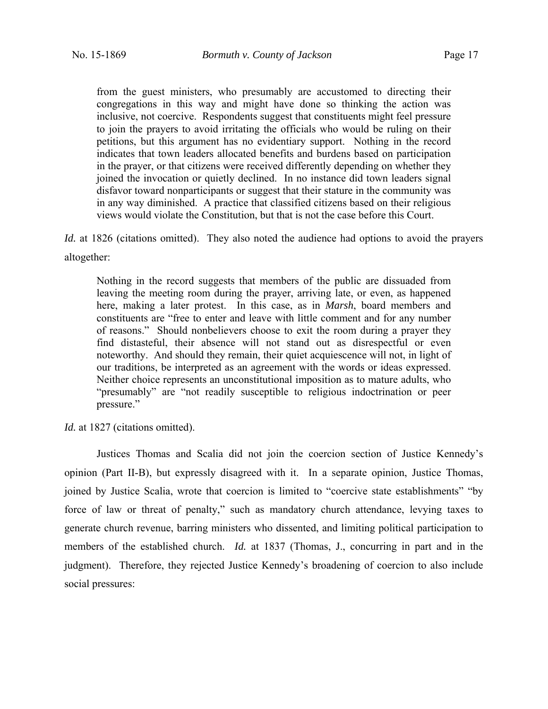from the guest ministers, who presumably are accustomed to directing their congregations in this way and might have done so thinking the action was inclusive, not coercive. Respondents suggest that constituents might feel pressure to join the prayers to avoid irritating the officials who would be ruling on their petitions, but this argument has no evidentiary support. Nothing in the record indicates that town leaders allocated benefits and burdens based on participation in the prayer, or that citizens were received differently depending on whether they joined the invocation or quietly declined. In no instance did town leaders signal disfavor toward nonparticipants or suggest that their stature in the community was in any way diminished. A practice that classified citizens based on their religious views would violate the Constitution, but that is not the case before this Court.

*Id.* at 1826 (citations omitted). They also noted the audience had options to avoid the prayers altogether:

Nothing in the record suggests that members of the public are dissuaded from leaving the meeting room during the prayer, arriving late, or even, as happened here, making a later protest. In this case, as in *Marsh*, board members and constituents are "free to enter and leave with little comment and for any number of reasons." Should nonbelievers choose to exit the room during a prayer they find distasteful, their absence will not stand out as disrespectful or even noteworthy. And should they remain, their quiet acquiescence will not, in light of our traditions, be interpreted as an agreement with the words or ideas expressed. Neither choice represents an unconstitutional imposition as to mature adults, who "presumably" are "not readily susceptible to religious indoctrination or peer pressure."

*Id.* at 1827 (citations omitted).

Justices Thomas and Scalia did not join the coercion section of Justice Kennedy's opinion (Part II-B), but expressly disagreed with it. In a separate opinion, Justice Thomas, joined by Justice Scalia, wrote that coercion is limited to "coercive state establishments" "by force of law or threat of penalty," such as mandatory church attendance, levying taxes to generate church revenue, barring ministers who dissented, and limiting political participation to members of the established church. *Id.* at 1837 (Thomas, J., concurring in part and in the judgment). Therefore, they rejected Justice Kennedy's broadening of coercion to also include social pressures: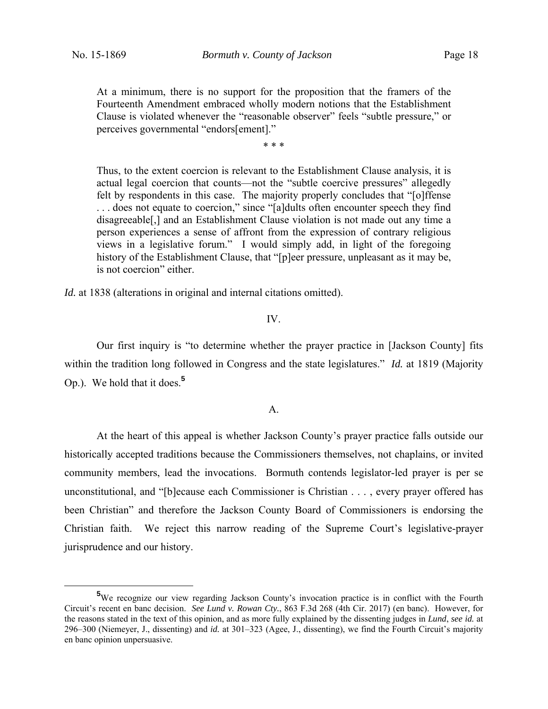At a minimum, there is no support for the proposition that the framers of the Fourteenth Amendment embraced wholly modern notions that the Establishment Clause is violated whenever the "reasonable observer" feels "subtle pressure," or perceives governmental "endors[ement]."

\* \* \*

Thus, to the extent coercion is relevant to the Establishment Clause analysis, it is actual legal coercion that counts—not the "subtle coercive pressures" allegedly felt by respondents in this case. The majority properly concludes that "[o]ffense . . . does not equate to coercion," since "[a]dults often encounter speech they find disagreeable[,] and an Establishment Clause violation is not made out any time a person experiences a sense of affront from the expression of contrary religious views in a legislative forum." I would simply add, in light of the foregoing history of the Establishment Clause, that "[p]eer pressure, unpleasant as it may be, is not coercion" either.

*Id.* at 1838 (alterations in original and internal citations omitted).

## IV.

 Our first inquiry is "to determine whether the prayer practice in [Jackson County] fits within the tradition long followed in Congress and the state legislatures." *Id.* at 1819 (Majority Op.). We hold that it does.**<sup>5</sup>**

## A.

At the heart of this appeal is whether Jackson County's prayer practice falls outside our historically accepted traditions because the Commissioners themselves, not chaplains, or invited community members, lead the invocations. Bormuth contends legislator-led prayer is per se unconstitutional, and "[b]ecause each Commissioner is Christian . . . , every prayer offered has been Christian" and therefore the Jackson County Board of Commissioners is endorsing the Christian faith. We reject this narrow reading of the Supreme Court's legislative-prayer jurisprudence and our history.

**<sup>5</sup>** <sup>5</sup>We recognize our view regarding Jackson County's invocation practice is in conflict with the Fourth Circuit's recent en banc decision. *See Lund v. Rowan Cty.*, 863 F.3d 268 (4th Cir. 2017) (en banc). However, for the reasons stated in the text of this opinion, and as more fully explained by the dissenting judges in *Lund*, *see id.* at 296–300 (Niemeyer, J., dissenting) and *id.* at 301–323 (Agee, J., dissenting), we find the Fourth Circuit's majority en banc opinion unpersuasive.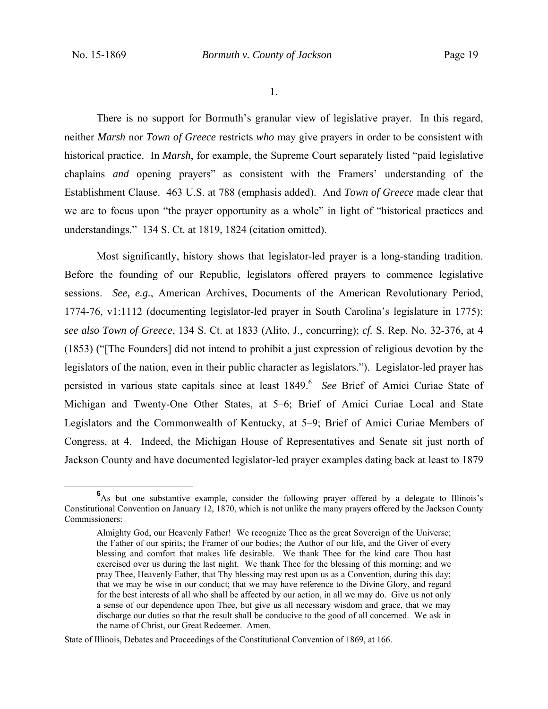1.

There is no support for Bormuth's granular view of legislative prayer. In this regard, neither *Marsh* nor *Town of Greece* restricts *who* may give prayers in order to be consistent with historical practice. In *Marsh*, for example, the Supreme Court separately listed "paid legislative chaplains *and* opening prayers" as consistent with the Framers' understanding of the Establishment Clause. 463 U.S. at 788 (emphasis added). And *Town of Greece* made clear that we are to focus upon "the prayer opportunity as a whole" in light of "historical practices and understandings." 134 S. Ct. at 1819, 1824 (citation omitted).

Most significantly, history shows that legislator-led prayer is a long-standing tradition. Before the founding of our Republic, legislators offered prayers to commence legislative sessions. *See, e.g.*, American Archives, Documents of the American Revolutionary Period, 1774-76, v1:1112 (documenting legislator-led prayer in South Carolina's legislature in 1775); *see also Town of Greece*, 134 S. Ct. at 1833 (Alito, J., concurring); *cf.* S. Rep. No. 32-376, at 4 (1853) ("[The Founders] did not intend to prohibit a just expression of religious devotion by the legislators of the nation, even in their public character as legislators."). Legislator-led prayer has persisted in various state capitals since at least 1849.<sup>6</sup> See Brief of Amici Curiae State of Michigan and Twenty-One Other States, at 5–6; Brief of Amici Curiae Local and State Legislators and the Commonwealth of Kentucky, at 5–9; Brief of Amici Curiae Members of Congress, at 4. Indeed, the Michigan House of Representatives and Senate sit just north of Jackson County and have documented legislator-led prayer examples dating back at least to 1879

**<sup>6</sup>** <sup>6</sup>As but one substantive example, consider the following prayer offered by a delegate to Illinois's Constitutional Convention on January 12, 1870, which is not unlike the many prayers offered by the Jackson County Commissioners:

Almighty God, our Heavenly Father! We recognize Thee as the great Sovereign of the Universe; the Father of our spirits; the Framer of our bodies; the Author of our life, and the Giver of every blessing and comfort that makes life desirable. We thank Thee for the kind care Thou hast exercised over us during the last night. We thank Thee for the blessing of this morning; and we pray Thee, Heavenly Father, that Thy blessing may rest upon us as a Convention, during this day; that we may be wise in our conduct; that we may have reference to the Divine Glory, and regard for the best interests of all who shall be affected by our action, in all we may do. Give us not only a sense of our dependence upon Thee, but give us all necessary wisdom and grace, that we may discharge our duties so that the result shall be conducive to the good of all concerned. We ask in the name of Christ, our Great Redeemer. Amen.

State of Illinois, Debates and Proceedings of the Constitutional Convention of 1869, at 166.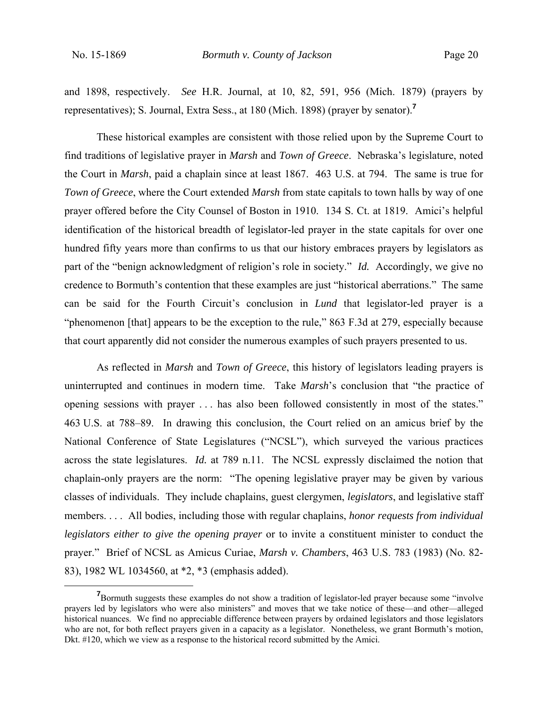and 1898, respectively. *See* H.R. Journal, at 10, 82, 591, 956 (Mich. 1879) (prayers by representatives); S. Journal, Extra Sess., at 180 (Mich. 1898) (prayer by senator).**<sup>7</sup>**

These historical examples are consistent with those relied upon by the Supreme Court to find traditions of legislative prayer in *Marsh* and *Town of Greece*. Nebraska's legislature, noted the Court in *Marsh*, paid a chaplain since at least 1867. 463 U.S. at 794. The same is true for *Town of Greece*, where the Court extended *Marsh* from state capitals to town halls by way of one prayer offered before the City Counsel of Boston in 1910. 134 S. Ct. at 1819. Amici's helpful identification of the historical breadth of legislator-led prayer in the state capitals for over one hundred fifty years more than confirms to us that our history embraces prayers by legislators as part of the "benign acknowledgment of religion's role in society." *Id.* Accordingly, we give no credence to Bormuth's contention that these examples are just "historical aberrations." The same can be said for the Fourth Circuit's conclusion in *Lund* that legislator-led prayer is a "phenomenon [that] appears to be the exception to the rule," 863 F.3d at 279, especially because that court apparently did not consider the numerous examples of such prayers presented to us.

As reflected in *Marsh* and *Town of Greece*, this history of legislators leading prayers is uninterrupted and continues in modern time. Take *Marsh*'s conclusion that "the practice of opening sessions with prayer . . . has also been followed consistently in most of the states." 463 U.S. at 788–89. In drawing this conclusion, the Court relied on an amicus brief by the National Conference of State Legislatures ("NCSL"), which surveyed the various practices across the state legislatures. *Id.* at 789 n.11. The NCSL expressly disclaimed the notion that chaplain-only prayers are the norm: "The opening legislative prayer may be given by various classes of individuals. They include chaplains, guest clergymen, *legislators*, and legislative staff members. . . . All bodies, including those with regular chaplains, *honor requests from individual legislators either to give the opening prayer* or to invite a constituent minister to conduct the prayer." Brief of NCSL as Amicus Curiae, *Marsh v. Chambers*, 463 U.S. 783 (1983) (No. 82- 83), 1982 WL 1034560, at \*2, \*3 (emphasis added).

**<sup>7</sup>** <sup>7</sup>Bormuth suggests these examples do not show a tradition of legislator-led prayer because some "involve" prayers led by legislators who were also ministers" and moves that we take notice of these—and other—alleged historical nuances. We find no appreciable difference between prayers by ordained legislators and those legislators who are not, for both reflect prayers given in a capacity as a legislator. Nonetheless, we grant Bormuth's motion, Dkt. #120, which we view as a response to the historical record submitted by the Amici.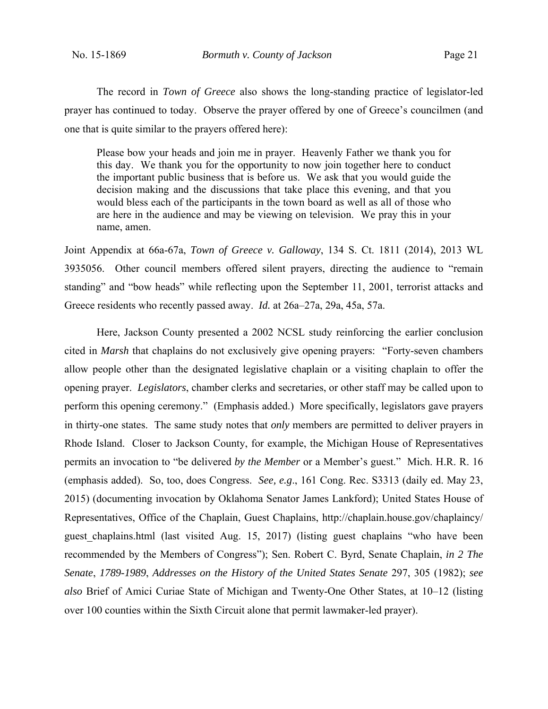The record in *Town of Greece* also shows the long-standing practice of legislator-led prayer has continued to today. Observe the prayer offered by one of Greece's councilmen (and one that is quite similar to the prayers offered here):

Please bow your heads and join me in prayer. Heavenly Father we thank you for this day. We thank you for the opportunity to now join together here to conduct the important public business that is before us. We ask that you would guide the decision making and the discussions that take place this evening, and that you would bless each of the participants in the town board as well as all of those who are here in the audience and may be viewing on television. We pray this in your name, amen.

Joint Appendix at 66a-67a, *Town of Greece v. Galloway*, 134 S. Ct. 1811 (2014), 2013 WL 3935056. Other council members offered silent prayers, directing the audience to "remain standing" and "bow heads" while reflecting upon the September 11, 2001, terrorist attacks and Greece residents who recently passed away. *Id.* at 26a–27a, 29a, 45a, 57a.

Here, Jackson County presented a 2002 NCSL study reinforcing the earlier conclusion cited in *Marsh* that chaplains do not exclusively give opening prayers: "Forty-seven chambers allow people other than the designated legislative chaplain or a visiting chaplain to offer the opening prayer. *Legislators*, chamber clerks and secretaries, or other staff may be called upon to perform this opening ceremony." (Emphasis added.) More specifically, legislators gave prayers in thirty-one states. The same study notes that *only* members are permitted to deliver prayers in Rhode Island. Closer to Jackson County, for example, the Michigan House of Representatives permits an invocation to "be delivered *by the Member* or a Member's guest." Mich. H.R. R. 16 (emphasis added). So, too, does Congress. *See, e.g*., 161 Cong. Rec. S3313 (daily ed. May 23, 2015) (documenting invocation by Oklahoma Senator James Lankford); United States House of Representatives, Office of the Chaplain, Guest Chaplains, http://chaplain.house.gov/chaplaincy/ guest chaplains.html (last visited Aug. 15, 2017) (listing guest chaplains "who have been recommended by the Members of Congress"); Sen. Robert C. Byrd, Senate Chaplain, *in 2 The Senate*, *1789-1989*, *Addresses on the History of the United States Senate* 297, 305 (1982); *see also* Brief of Amici Curiae State of Michigan and Twenty-One Other States, at 10–12 (listing over 100 counties within the Sixth Circuit alone that permit lawmaker-led prayer).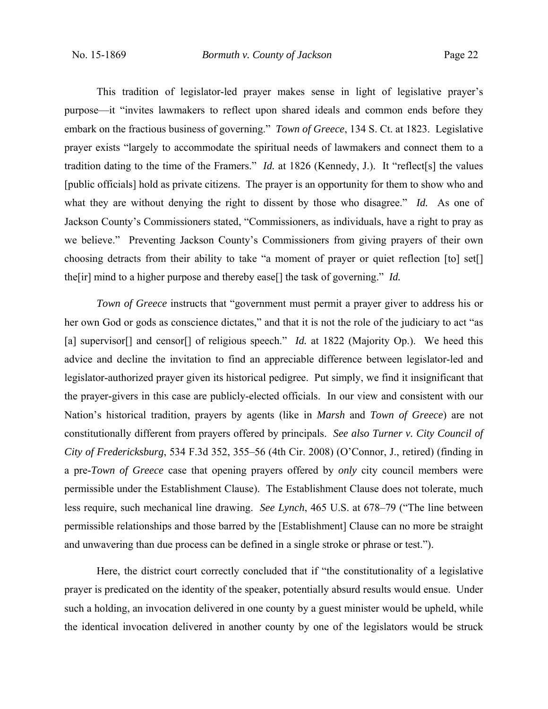This tradition of legislator-led prayer makes sense in light of legislative prayer's purpose—it "invites lawmakers to reflect upon shared ideals and common ends before they embark on the fractious business of governing." *Town of Greece*, 134 S. Ct. at 1823. Legislative prayer exists "largely to accommodate the spiritual needs of lawmakers and connect them to a tradition dating to the time of the Framers." *Id.* at 1826 (Kennedy, J.). It "reflect[s] the values [public officials] hold as private citizens. The prayer is an opportunity for them to show who and what they are without denying the right to dissent by those who disagree." *Id.* As one of Jackson County's Commissioners stated, "Commissioners, as individuals, have a right to pray as we believe." Preventing Jackson County's Commissioners from giving prayers of their own choosing detracts from their ability to take "a moment of prayer or quiet reflection [to] set[] the[ir] mind to a higher purpose and thereby ease[] the task of governing." *Id.*

*Town of Greece* instructs that "government must permit a prayer giver to address his or her own God or gods as conscience dictates," and that it is not the role of the judiciary to act "as [a] supervisor<sup>[]</sup> and censor<sup>[]</sup> of religious speech." *Id.* at 1822 (Majority Op.). We heed this advice and decline the invitation to find an appreciable difference between legislator-led and legislator-authorized prayer given its historical pedigree. Put simply, we find it insignificant that the prayer-givers in this case are publicly-elected officials. In our view and consistent with our Nation's historical tradition, prayers by agents (like in *Marsh* and *Town of Greece*) are not constitutionally different from prayers offered by principals. *See also Turner v. City Council of City of Fredericksburg*, 534 F.3d 352, 355–56 (4th Cir. 2008) (O'Connor, J., retired) (finding in a pre-*Town of Greece* case that opening prayers offered by *only* city council members were permissible under the Establishment Clause). The Establishment Clause does not tolerate, much less require, such mechanical line drawing. *See Lynch*, 465 U.S. at 678–79 ("The line between permissible relationships and those barred by the [Establishment] Clause can no more be straight and unwavering than due process can be defined in a single stroke or phrase or test.").

Here, the district court correctly concluded that if "the constitutionality of a legislative prayer is predicated on the identity of the speaker, potentially absurd results would ensue. Under such a holding, an invocation delivered in one county by a guest minister would be upheld, while the identical invocation delivered in another county by one of the legislators would be struck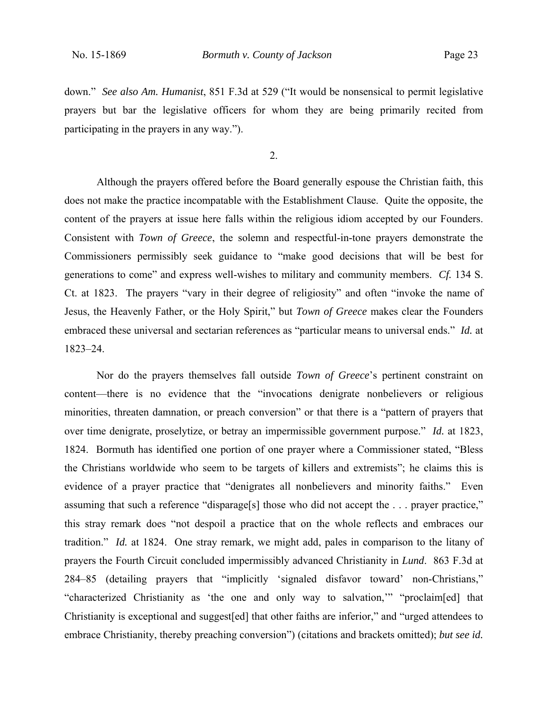down." *See also Am. Humanist*, 851 F.3d at 529 ("It would be nonsensical to permit legislative prayers but bar the legislative officers for whom they are being primarily recited from participating in the prayers in any way.").

2.

Although the prayers offered before the Board generally espouse the Christian faith, this does not make the practice incompatable with the Establishment Clause. Quite the opposite, the content of the prayers at issue here falls within the religious idiom accepted by our Founders. Consistent with *Town of Greece*, the solemn and respectful-in-tone prayers demonstrate the Commissioners permissibly seek guidance to "make good decisions that will be best for generations to come" and express well-wishes to military and community members. *Cf.* 134 S. Ct. at 1823. The prayers "vary in their degree of religiosity" and often "invoke the name of Jesus, the Heavenly Father, or the Holy Spirit," but *Town of Greece* makes clear the Founders embraced these universal and sectarian references as "particular means to universal ends." *Id.* at 1823–24.

Nor do the prayers themselves fall outside *Town of Greece*'s pertinent constraint on content—there is no evidence that the "invocations denigrate nonbelievers or religious minorities, threaten damnation, or preach conversion" or that there is a "pattern of prayers that over time denigrate, proselytize, or betray an impermissible government purpose." *Id.* at 1823, 1824. Bormuth has identified one portion of one prayer where a Commissioner stated, "Bless the Christians worldwide who seem to be targets of killers and extremists"; he claims this is evidence of a prayer practice that "denigrates all nonbelievers and minority faiths." Even assuming that such a reference "disparage[s] those who did not accept the . . . prayer practice," this stray remark does "not despoil a practice that on the whole reflects and embraces our tradition." *Id.* at 1824. One stray remark, we might add, pales in comparison to the litany of prayers the Fourth Circuit concluded impermissibly advanced Christianity in *Lund*. 863 F.3d at 284–85 (detailing prayers that "implicitly 'signaled disfavor toward' non-Christians," "characterized Christianity as 'the one and only way to salvation,'" "proclaim[ed] that Christianity is exceptional and suggest[ed] that other faiths are inferior," and "urged attendees to embrace Christianity, thereby preaching conversion") (citations and brackets omitted); *but see id.*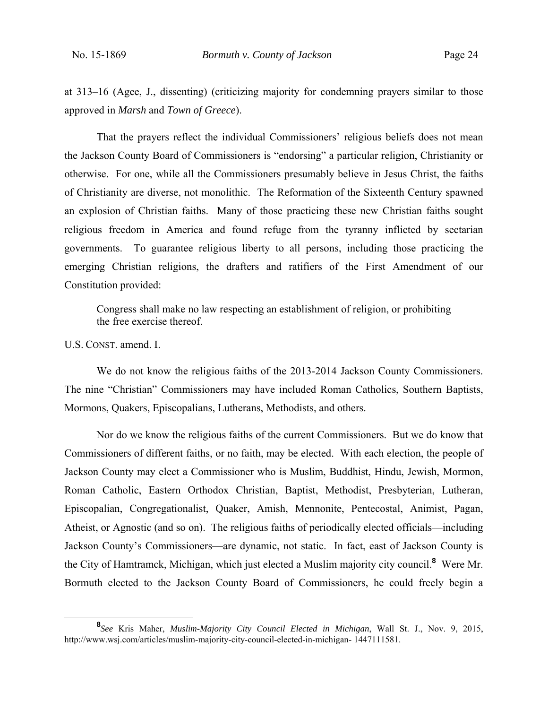at 313–16 (Agee, J., dissenting) (criticizing majority for condemning prayers similar to those approved in *Marsh* and *Town of Greece*).

That the prayers reflect the individual Commissioners' religious beliefs does not mean the Jackson County Board of Commissioners is "endorsing" a particular religion, Christianity or otherwise. For one, while all the Commissioners presumably believe in Jesus Christ, the faiths of Christianity are diverse, not monolithic. The Reformation of the Sixteenth Century spawned an explosion of Christian faiths. Many of those practicing these new Christian faiths sought religious freedom in America and found refuge from the tyranny inflicted by sectarian governments. To guarantee religious liberty to all persons, including those practicing the emerging Christian religions, the drafters and ratifiers of the First Amendment of our Constitution provided:

Congress shall make no law respecting an establishment of religion, or prohibiting the free exercise thereof.

U.S. CONST. amend. I.

 We do not know the religious faiths of the 2013-2014 Jackson County Commissioners. The nine "Christian" Commissioners may have included Roman Catholics, Southern Baptists, Mormons, Quakers, Episcopalians, Lutherans, Methodists, and others.

 Nor do we know the religious faiths of the current Commissioners. But we do know that Commissioners of different faiths, or no faith, may be elected. With each election, the people of Jackson County may elect a Commissioner who is Muslim, Buddhist, Hindu, Jewish, Mormon, Roman Catholic, Eastern Orthodox Christian, Baptist, Methodist, Presbyterian, Lutheran, Episcopalian, Congregationalist, Quaker, Amish, Mennonite, Pentecostal, Animist, Pagan, Atheist, or Agnostic (and so on). The religious faiths of periodically elected officials—including Jackson County's Commissioners—are dynamic, not static. In fact, east of Jackson County is the City of Hamtramck, Michigan, which just elected a Muslim majority city council.**<sup>8</sup>** Were Mr. Bormuth elected to the Jackson County Board of Commissioners, he could freely begin a

**<sup>8</sup>** *See* Kris Maher, *Muslim-Majority City Council Elected in Michigan*, Wall St. J., Nov. 9, 2015, http://www.wsj.com/articles/muslim-majority-city-council-elected-in-michigan- 1447111581.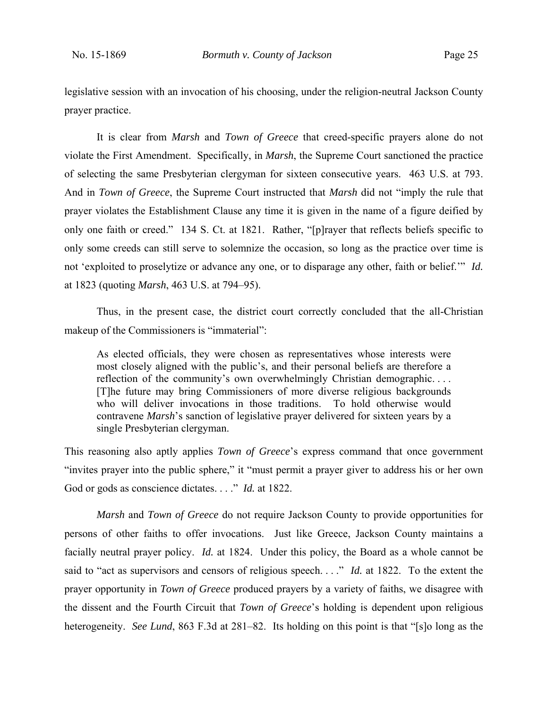legislative session with an invocation of his choosing, under the religion-neutral Jackson County prayer practice.

It is clear from *Marsh* and *Town of Greece* that creed-specific prayers alone do not violate the First Amendment. Specifically, in *Marsh*, the Supreme Court sanctioned the practice of selecting the same Presbyterian clergyman for sixteen consecutive years. 463 U.S. at 793. And in *Town of Greece*, the Supreme Court instructed that *Marsh* did not "imply the rule that prayer violates the Establishment Clause any time it is given in the name of a figure deified by only one faith or creed." 134 S. Ct. at 1821. Rather, "[p]rayer that reflects beliefs specific to only some creeds can still serve to solemnize the occasion, so long as the practice over time is not 'exploited to proselytize or advance any one, or to disparage any other, faith or belief.'" *Id.* at 1823 (quoting *Marsh*, 463 U.S. at 794–95).

Thus, in the present case, the district court correctly concluded that the all-Christian makeup of the Commissioners is "immaterial":

As elected officials, they were chosen as representatives whose interests were most closely aligned with the public's, and their personal beliefs are therefore a reflection of the community's own overwhelmingly Christian demographic.... [T]he future may bring Commissioners of more diverse religious backgrounds who will deliver invocations in those traditions. To hold otherwise would contravene *Marsh*'s sanction of legislative prayer delivered for sixteen years by a single Presbyterian clergyman.

This reasoning also aptly applies *Town of Greece*'s express command that once government "invites prayer into the public sphere," it "must permit a prayer giver to address his or her own God or gods as conscience dictates. . . ." *Id.* at 1822.

*Marsh* and *Town of Greece* do not require Jackson County to provide opportunities for persons of other faiths to offer invocations. Just like Greece, Jackson County maintains a facially neutral prayer policy. *Id.* at 1824. Under this policy, the Board as a whole cannot be said to "act as supervisors and censors of religious speech. . . ." *Id.* at 1822. To the extent the prayer opportunity in *Town of Greece* produced prayers by a variety of faiths, we disagree with the dissent and the Fourth Circuit that *Town of Greece*'s holding is dependent upon religious heterogeneity. *See Lund*, 863 F.3d at 281–82. Its holding on this point is that "[s]o long as the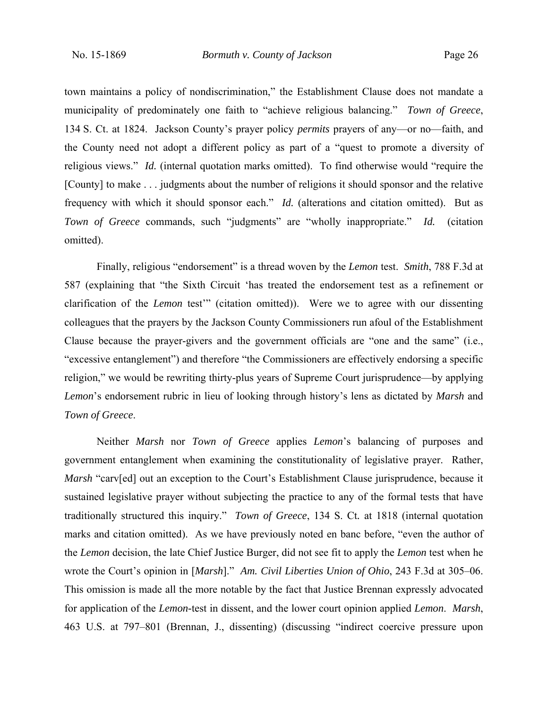town maintains a policy of nondiscrimination," the Establishment Clause does not mandate a municipality of predominately one faith to "achieve religious balancing." *Town of Greece*, 134 S. Ct. at 1824. Jackson County's prayer policy *permits* prayers of any—or no—faith, and the County need not adopt a different policy as part of a "quest to promote a diversity of religious views." *Id.* (internal quotation marks omitted). To find otherwise would "require the [County] to make . . . judgments about the number of religions it should sponsor and the relative frequency with which it should sponsor each." *Id.* (alterations and citation omitted). But as *Town of Greece* commands, such "judgments" are "wholly inappropriate." *Id.* (citation omitted).

 Finally, religious "endorsement" is a thread woven by the *Lemon* test. *Smith*, 788 F.3d at 587 (explaining that "the Sixth Circuit 'has treated the endorsement test as a refinement or clarification of the *Lemon* test'" (citation omitted)). Were we to agree with our dissenting colleagues that the prayers by the Jackson County Commissioners run afoul of the Establishment Clause because the prayer-givers and the government officials are "one and the same" (i.e., "excessive entanglement") and therefore "the Commissioners are effectively endorsing a specific religion," we would be rewriting thirty-plus years of Supreme Court jurisprudence—by applying *Lemon*'s endorsement rubric in lieu of looking through history's lens as dictated by *Marsh* and *Town of Greece*.

Neither *Marsh* nor *Town of Greece* applies *Lemon*'s balancing of purposes and government entanglement when examining the constitutionality of legislative prayer. Rather, *Marsh* "carv[ed] out an exception to the Court's Establishment Clause jurisprudence, because it sustained legislative prayer without subjecting the practice to any of the formal tests that have traditionally structured this inquiry." *Town of Greece*, 134 S. Ct*.* at 1818 (internal quotation marks and citation omitted). As we have previously noted en banc before, "even the author of the *Lemon* decision, the late Chief Justice Burger, did not see fit to apply the *Lemon* test when he wrote the Court's opinion in [*Marsh*]." *Am. Civil Liberties Union of Ohio*, 243 F.3d at 305–06. This omission is made all the more notable by the fact that Justice Brennan expressly advocated for application of the *Lemon-*test in dissent, and the lower court opinion applied *Lemon*. *Marsh*, 463 U.S. at 797–801 (Brennan, J., dissenting) (discussing "indirect coercive pressure upon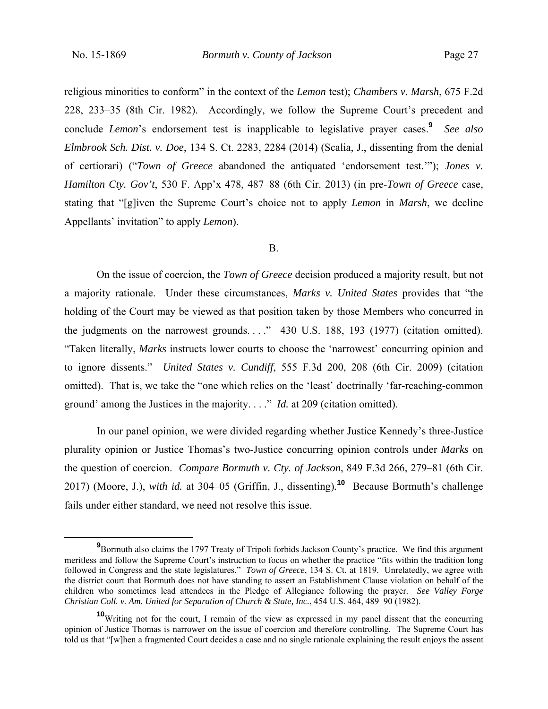religious minorities to conform" in the context of the *Lemon* test); *Chambers v. Marsh*, 675 F.2d 228, 233–35 (8th Cir. 1982). Accordingly, we follow the Supreme Court's precedent and conclude *Lemon*'s endorsement test is inapplicable to legislative prayer cases.**<sup>9</sup>** *See also Elmbrook Sch. Dist. v. Doe*, 134 S. Ct. 2283, 2284 (2014) (Scalia, J., dissenting from the denial of certiorari) ("*Town of Greece* abandoned the antiquated 'endorsement test.'"); *Jones v. Hamilton Cty. Gov't*, 530 F. App'x 478, 487–88 (6th Cir. 2013) (in pre-*Town of Greece* case, stating that "[g]iven the Supreme Court's choice not to apply *Lemon* in *Marsh*, we decline Appellants' invitation" to apply *Lemon*).

## B.

 On the issue of coercion, the *Town of Greece* decision produced a majority result, but not a majority rationale. Under these circumstances, *Marks v. United States* provides that "the holding of the Court may be viewed as that position taken by those Members who concurred in the judgments on the narrowest grounds. . . ." 430 U.S. 188, 193 (1977) (citation omitted). "Taken literally, *Marks* instructs lower courts to choose the 'narrowest' concurring opinion and to ignore dissents." *United States v. Cundiff*, 555 F.3d 200, 208 (6th Cir. 2009) (citation omitted). That is, we take the "one which relies on the 'least' doctrinally 'far-reaching-common ground' among the Justices in the majority. . . ." *Id.* at 209 (citation omitted).

In our panel opinion, we were divided regarding whether Justice Kennedy's three-Justice plurality opinion or Justice Thomas's two-Justice concurring opinion controls under *Marks* on the question of coercion. *Compare Bormuth v. Cty. of Jackson*, 849 F.3d 266, 279–81 (6th Cir. 2017) (Moore, J.), *with id.* at 304–05 (Griffin, J., dissenting)*.* **<sup>10</sup>** Because Bormuth's challenge fails under either standard, we need not resolve this issue.

**<sup>9</sup>** <sup>9</sup>Bormuth also claims the 1797 Treaty of Tripoli forbids Jackson County's practice. We find this argument meritless and follow the Supreme Court's instruction to focus on whether the practice "fits within the tradition long followed in Congress and the state legislatures." *Town of Greece*, 134 S. Ct. at 1819. Unrelatedly, we agree with the district court that Bormuth does not have standing to assert an Establishment Clause violation on behalf of the children who sometimes lead attendees in the Pledge of Allegiance following the prayer. *See Valley Forge Christian Coll. v. Am. United for Separation of Church & State, Inc.*, 454 U.S. 464, 489–90 (1982).

**<sup>10</sup>**Writing not for the court, I remain of the view as expressed in my panel dissent that the concurring opinion of Justice Thomas is narrower on the issue of coercion and therefore controlling. The Supreme Court has told us that "[w]hen a fragmented Court decides a case and no single rationale explaining the result enjoys the assent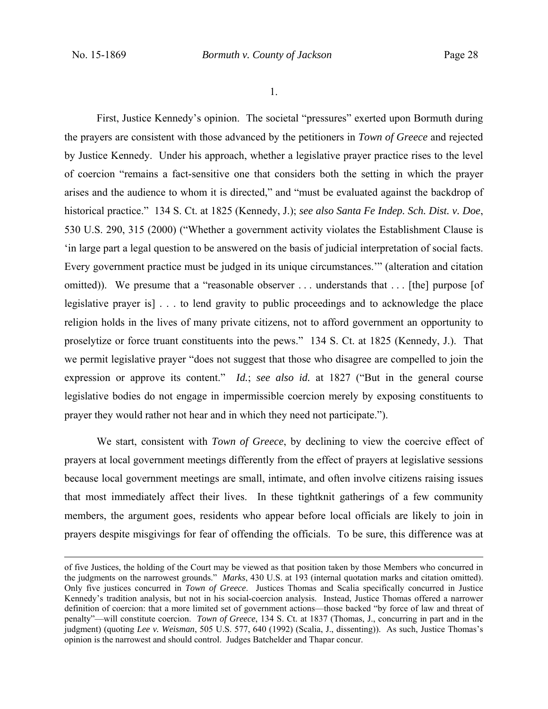1.

 First, Justice Kennedy's opinion. The societal "pressures" exerted upon Bormuth during the prayers are consistent with those advanced by the petitioners in *Town of Greece* and rejected by Justice Kennedy. Under his approach, whether a legislative prayer practice rises to the level of coercion "remains a fact-sensitive one that considers both the setting in which the prayer arises and the audience to whom it is directed," and "must be evaluated against the backdrop of historical practice." 134 S. Ct. at 1825 (Kennedy, J.); *see also Santa Fe Indep. Sch. Dist. v. Doe*, 530 U.S. 290, 315 (2000) ("Whether a government activity violates the Establishment Clause is 'in large part a legal question to be answered on the basis of judicial interpretation of social facts. Every government practice must be judged in its unique circumstances.'" (alteration and citation omitted)). We presume that a "reasonable observer ... understands that ... [the] purpose [of legislative prayer is] . . . to lend gravity to public proceedings and to acknowledge the place religion holds in the lives of many private citizens, not to afford government an opportunity to proselytize or force truant constituents into the pews." 134 S. Ct. at 1825 (Kennedy, J.). That we permit legislative prayer "does not suggest that those who disagree are compelled to join the expression or approve its content." *Id.*; *see also id.* at 1827 ("But in the general course legislative bodies do not engage in impermissible coercion merely by exposing constituents to prayer they would rather not hear and in which they need not participate.").

We start, consistent with *Town of Greece*, by declining to view the coercive effect of prayers at local government meetings differently from the effect of prayers at legislative sessions because local government meetings are small, intimate, and often involve citizens raising issues that most immediately affect their lives. In these tightknit gatherings of a few community members, the argument goes, residents who appear before local officials are likely to join in prayers despite misgivings for fear of offending the officials. To be sure, this difference was at

of five Justices, the holding of the Court may be viewed as that position taken by those Members who concurred in the judgments on the narrowest grounds." *Marks*, 430 U.S. at 193 (internal quotation marks and citation omitted). Only five justices concurred in *Town of Greece*. Justices Thomas and Scalia specifically concurred in Justice Kennedy's tradition analysis, but not in his social-coercion analysis. Instead, Justice Thomas offered a narrower definition of coercion: that a more limited set of government actions—those backed "by force of law and threat of penalty"—will constitute coercion. *Town of Greece*, 134 S. Ct. at 1837 (Thomas, J., concurring in part and in the judgment) (quoting *Lee v. Weisman*, 505 U.S. 577, 640 (1992) (Scalia, J., dissenting)). As such, Justice Thomas's opinion is the narrowest and should control. Judges Batchelder and Thapar concur.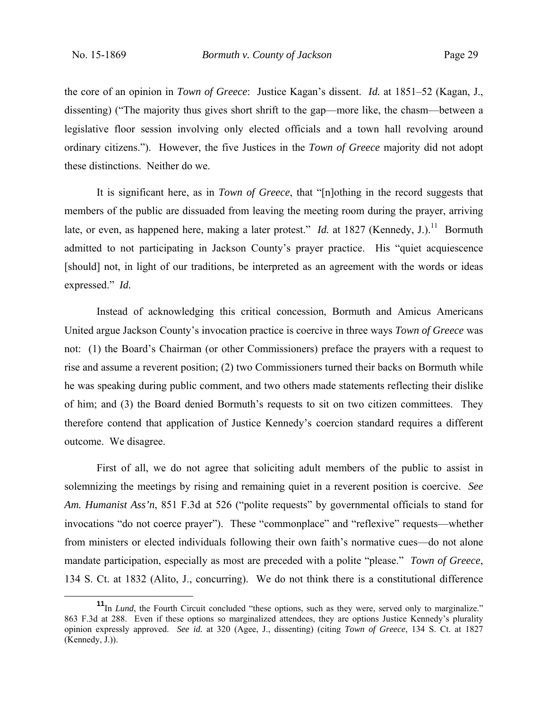the core of an opinion in *Town of Greece*: Justice Kagan's dissent. *Id.* at 1851–52 (Kagan, J., dissenting) ("The majority thus gives short shrift to the gap—more like, the chasm—between a legislative floor session involving only elected officials and a town hall revolving around ordinary citizens."). However, the five Justices in the *Town of Greece* majority did not adopt these distinctions. Neither do we.

 It is significant here, as in *Town of Greece*, that "[n]othing in the record suggests that members of the public are dissuaded from leaving the meeting room during the prayer, arriving late, or even, as happened here, making a later protest." *Id.* at 1827 (Kennedy, J.).<sup>11</sup> Bormuth admitted to not participating in Jackson County's prayer practice. His "quiet acquiescence [should] not, in light of our traditions, be interpreted as an agreement with the words or ideas expressed." *Id.* 

Instead of acknowledging this critical concession, Bormuth and Amicus Americans United argue Jackson County's invocation practice is coercive in three ways *Town of Greece* was not: (1) the Board's Chairman (or other Commissioners) preface the prayers with a request to rise and assume a reverent position; (2) two Commissioners turned their backs on Bormuth while he was speaking during public comment, and two others made statements reflecting their dislike of him; and (3) the Board denied Bormuth's requests to sit on two citizen committees. They therefore contend that application of Justice Kennedy's coercion standard requires a different outcome. We disagree.

First of all, we do not agree that soliciting adult members of the public to assist in solemnizing the meetings by rising and remaining quiet in a reverent position is coercive. *See Am. Humanist Ass'n*, 851 F.3d at 526 ("polite requests" by governmental officials to stand for invocations "do not coerce prayer"). These "commonplace" and "reflexive" requests—whether from ministers or elected individuals following their own faith's normative cues—do not alone mandate participation, especially as most are preceded with a polite "please." *Town of Greece*, 134 S. Ct. at 1832 (Alito, J., concurring). We do not think there is a constitutional difference

**<sup>11</sup>**In *Lund*, the Fourth Circuit concluded "these options, such as they were, served only to marginalize." 863 F.3d at 288. Even if these options so marginalized attendees, they are options Justice Kennedy's plurality opinion expressly approved. *See id.* at 320 (Agee, J., dissenting) (citing *Town of Greece*, 134 S. Ct. at 1827 (Kennedy, J.)).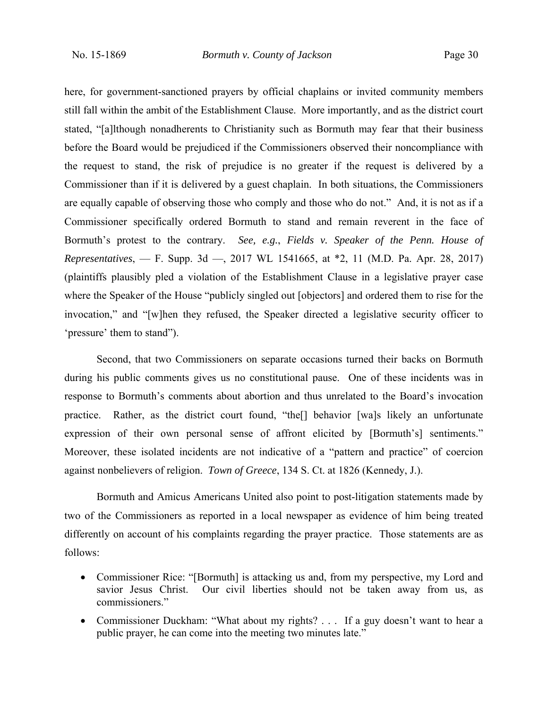here, for government-sanctioned prayers by official chaplains or invited community members still fall within the ambit of the Establishment Clause. More importantly, and as the district court stated, "[a]lthough nonadherents to Christianity such as Bormuth may fear that their business before the Board would be prejudiced if the Commissioners observed their noncompliance with the request to stand, the risk of prejudice is no greater if the request is delivered by a Commissioner than if it is delivered by a guest chaplain. In both situations, the Commissioners are equally capable of observing those who comply and those who do not." And, it is not as if a Commissioner specifically ordered Bormuth to stand and remain reverent in the face of Bormuth's protest to the contrary. *See, e.g.*, *Fields v. Speaker of the Penn. House of Representatives*, — F. Supp. 3d —, 2017 WL 1541665, at \*2, 11 (M.D. Pa. Apr. 28, 2017) (plaintiffs plausibly pled a violation of the Establishment Clause in a legislative prayer case where the Speaker of the House "publicly singled out [objectors] and ordered them to rise for the invocation," and "[w]hen they refused, the Speaker directed a legislative security officer to 'pressure' them to stand").

Second, that two Commissioners on separate occasions turned their backs on Bormuth during his public comments gives us no constitutional pause. One of these incidents was in response to Bormuth's comments about abortion and thus unrelated to the Board's invocation practice. Rather, as the district court found, "the[] behavior [wa]s likely an unfortunate expression of their own personal sense of affront elicited by [Bormuth's] sentiments." Moreover, these isolated incidents are not indicative of a "pattern and practice" of coercion against nonbelievers of religion. *Town of Greece*, 134 S. Ct. at 1826 (Kennedy, J.).

Bormuth and Amicus Americans United also point to post-litigation statements made by two of the Commissioners as reported in a local newspaper as evidence of him being treated differently on account of his complaints regarding the prayer practice. Those statements are as follows:

- Commissioner Rice: "[Bormuth] is attacking us and, from my perspective, my Lord and savior Jesus Christ. Our civil liberties should not be taken away from us, as commissioners."
- Commissioner Duckham: "What about my rights? . . . If a guy doesn't want to hear a public prayer, he can come into the meeting two minutes late."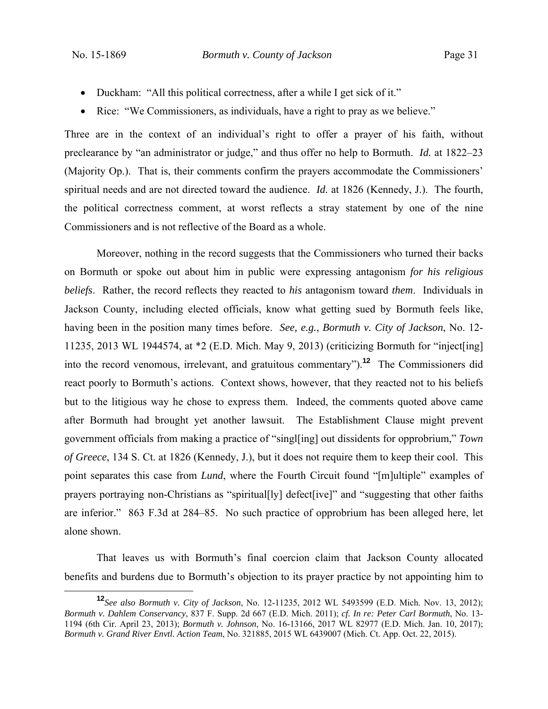- Duckham: "All this political correctness, after a while I get sick of it."
- Rice: "We Commissioners, as individuals, have a right to pray as we believe."

Three are in the context of an individual's right to offer a prayer of his faith, without preclearance by "an administrator or judge," and thus offer no help to Bormuth. *Id.* at 1822–23 (Majority Op.). That is, their comments confirm the prayers accommodate the Commissioners' spiritual needs and are not directed toward the audience. *Id.* at 1826 (Kennedy, J.). The fourth, the political correctness comment, at worst reflects a stray statement by one of the nine Commissioners and is not reflective of the Board as a whole.

 Moreover, nothing in the record suggests that the Commissioners who turned their backs on Bormuth or spoke out about him in public were expressing antagonism *for his religious beliefs*. Rather, the record reflects they reacted to *his* antagonism toward *them*. Individuals in Jackson County, including elected officials, know what getting sued by Bormuth feels like, having been in the position many times before. *See, e.g.*, *Bormuth v. City of Jackson*, No. 12- 11235, 2013 WL 1944574, at \*2 (E.D. Mich. May 9, 2013) (criticizing Bormuth for "inject[ing] into the record venomous, irrelevant, and gratuitous commentary").**<sup>12</sup>** The Commissioners did react poorly to Bormuth's actions. Context shows, however, that they reacted not to his beliefs but to the litigious way he chose to express them. Indeed, the comments quoted above came after Bormuth had brought yet another lawsuit. The Establishment Clause might prevent government officials from making a practice of "singl[ing] out dissidents for opprobrium," *Town of Greece*, 134 S. Ct. at 1826 (Kennedy, J.), but it does not require them to keep their cool. This point separates this case from *Lund*, where the Fourth Circuit found "[m]ultiple" examples of prayers portraying non-Christians as "spiritual[ly] defect[ive]" and "suggesting that other faiths are inferior." 863 F.3d at 284–85. No such practice of opprobrium has been alleged here, let alone shown.

 That leaves us with Bormuth's final coercion claim that Jackson County allocated benefits and burdens due to Bormuth's objection to its prayer practice by not appointing him to

**<sup>12</sup>***See also Bormuth v. City of Jackson*, No. 12-11235, 2012 WL 5493599 (E.D. Mich. Nov. 13, 2012); *Bormuth v. Dahlem Conservancy*, 837 F. Supp. 2d 667 (E.D. Mich. 2011); *cf. In re: Peter Carl Bormuth*, No. 13- 1194 (6th Cir. April 23, 2013); *Bormuth v. Johnson*, No. 16-13166, 2017 WL 82977 (E.D. Mich. Jan. 10, 2017); *Bormuth v. Grand River Envtl. Action Team*, No. 321885, 2015 WL 6439007 (Mich. Ct. App. Oct. 22, 2015).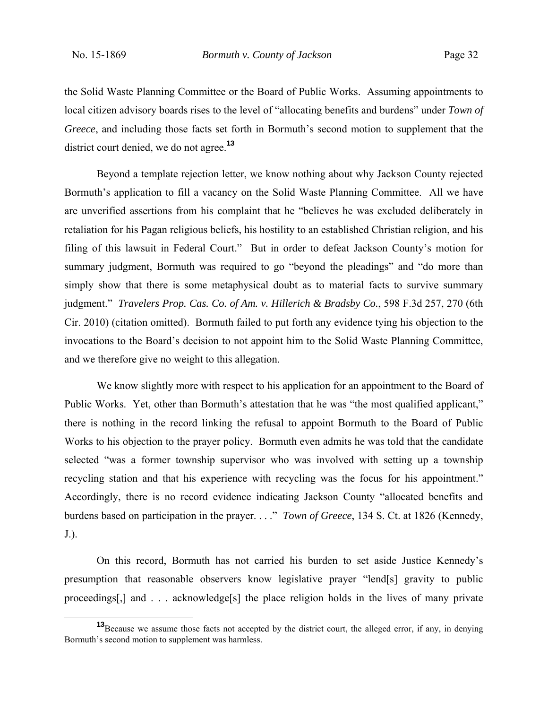the Solid Waste Planning Committee or the Board of Public Works. Assuming appointments to local citizen advisory boards rises to the level of "allocating benefits and burdens" under *Town of Greece*, and including those facts set forth in Bormuth's second motion to supplement that the district court denied, we do not agree.**<sup>13</sup>**

 Beyond a template rejection letter, we know nothing about why Jackson County rejected Bormuth's application to fill a vacancy on the Solid Waste Planning Committee. All we have are unverified assertions from his complaint that he "believes he was excluded deliberately in retaliation for his Pagan religious beliefs, his hostility to an established Christian religion, and his filing of this lawsuit in Federal Court." But in order to defeat Jackson County's motion for summary judgment, Bormuth was required to go "beyond the pleadings" and "do more than simply show that there is some metaphysical doubt as to material facts to survive summary judgment." *Travelers Prop. Cas. Co. of Am. v. Hillerich & Bradsby Co.*, 598 F.3d 257, 270 (6th Cir. 2010) (citation omitted). Bormuth failed to put forth any evidence tying his objection to the invocations to the Board's decision to not appoint him to the Solid Waste Planning Committee, and we therefore give no weight to this allegation.

We know slightly more with respect to his application for an appointment to the Board of Public Works. Yet, other than Bormuth's attestation that he was "the most qualified applicant," there is nothing in the record linking the refusal to appoint Bormuth to the Board of Public Works to his objection to the prayer policy. Bormuth even admits he was told that the candidate selected "was a former township supervisor who was involved with setting up a township recycling station and that his experience with recycling was the focus for his appointment." Accordingly, there is no record evidence indicating Jackson County "allocated benefits and burdens based on participation in the prayer. . . ." *Town of Greece*, 134 S. Ct. at 1826 (Kennedy, J.).

On this record, Bormuth has not carried his burden to set aside Justice Kennedy's presumption that reasonable observers know legislative prayer "lend[s] gravity to public proceedings[,] and . . . acknowledge[s] the place religion holds in the lives of many private

**<sup>13</sup>**Because we assume those facts not accepted by the district court, the alleged error, if any, in denying Bormuth's second motion to supplement was harmless.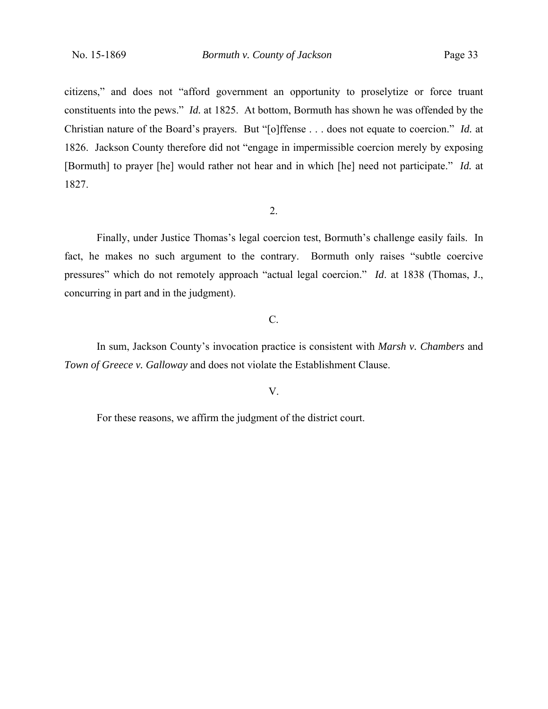citizens," and does not "afford government an opportunity to proselytize or force truant constituents into the pews." *Id.* at 1825. At bottom, Bormuth has shown he was offended by the Christian nature of the Board's prayers. But "[o]ffense . . . does not equate to coercion." *Id.* at 1826. Jackson County therefore did not "engage in impermissible coercion merely by exposing [Bormuth] to prayer [he] would rather not hear and in which [he] need not participate." *Id.* at 1827.

#### 2.

Finally, under Justice Thomas's legal coercion test, Bormuth's challenge easily fails. In fact, he makes no such argument to the contrary. Bormuth only raises "subtle coercive pressures" which do not remotely approach "actual legal coercion." *Id*. at 1838 (Thomas, J., concurring in part and in the judgment).

## C.

 In sum, Jackson County's invocation practice is consistent with *Marsh v. Chambers* and *Town of Greece v. Galloway* and does not violate the Establishment Clause.

## V.

For these reasons, we affirm the judgment of the district court.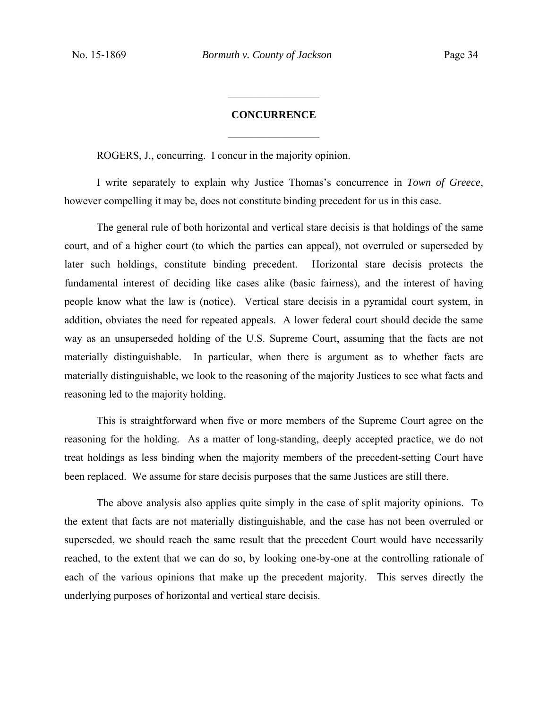#### **CONCURRENCE**

 $\frac{1}{2}$ 

 $\frac{1}{2}$ 

ROGERS, J., concurring. I concur in the majority opinion.

 I write separately to explain why Justice Thomas's concurrence in *Town of Greece*, however compelling it may be, does not constitute binding precedent for us in this case.

 The general rule of both horizontal and vertical stare decisis is that holdings of the same court, and of a higher court (to which the parties can appeal), not overruled or superseded by later such holdings, constitute binding precedent. Horizontal stare decisis protects the fundamental interest of deciding like cases alike (basic fairness), and the interest of having people know what the law is (notice). Vertical stare decisis in a pyramidal court system, in addition, obviates the need for repeated appeals. A lower federal court should decide the same way as an unsuperseded holding of the U.S. Supreme Court, assuming that the facts are not materially distinguishable. In particular, when there is argument as to whether facts are materially distinguishable, we look to the reasoning of the majority Justices to see what facts and reasoning led to the majority holding.

 This is straightforward when five or more members of the Supreme Court agree on the reasoning for the holding. As a matter of long-standing, deeply accepted practice, we do not treat holdings as less binding when the majority members of the precedent-setting Court have been replaced. We assume for stare decisis purposes that the same Justices are still there.

 The above analysis also applies quite simply in the case of split majority opinions. To the extent that facts are not materially distinguishable, and the case has not been overruled or superseded, we should reach the same result that the precedent Court would have necessarily reached, to the extent that we can do so, by looking one-by-one at the controlling rationale of each of the various opinions that make up the precedent majority. This serves directly the underlying purposes of horizontal and vertical stare decisis.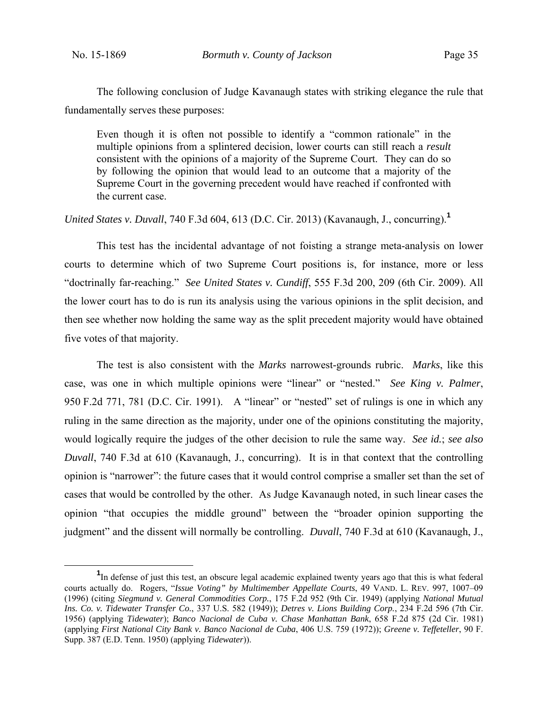The following conclusion of Judge Kavanaugh states with striking elegance the rule that fundamentally serves these purposes:

Even though it is often not possible to identify a "common rationale" in the multiple opinions from a splintered decision, lower courts can still reach a *result* consistent with the opinions of a majority of the Supreme Court. They can do so by following the opinion that would lead to an outcome that a majority of the Supreme Court in the governing precedent would have reached if confronted with the current case.

*United States v. Duvall*, 740 F.3d 604, 613 (D.C. Cir. 2013) (Kavanaugh, J., concurring).**<sup>1</sup>**

 This test has the incidental advantage of not foisting a strange meta-analysis on lower courts to determine which of two Supreme Court positions is, for instance, more or less "doctrinally far-reaching." *See United States v. Cundiff*, 555 F.3d 200, 209 (6th Cir. 2009). All the lower court has to do is run its analysis using the various opinions in the split decision, and then see whether now holding the same way as the split precedent majority would have obtained five votes of that majority.

 The test is also consistent with the *Marks* narrowest-grounds rubric. *Marks*, like this case, was one in which multiple opinions were "linear" or "nested." *See King v. Palmer*, 950 F.2d 771, 781 (D.C. Cir. 1991). A "linear" or "nested" set of rulings is one in which any ruling in the same direction as the majority, under one of the opinions constituting the majority, would logically require the judges of the other decision to rule the same way. *See id.*; *see also Duvall*, 740 F.3d at 610 (Kavanaugh, J., concurring). It is in that context that the controlling opinion is "narrower": the future cases that it would control comprise a smaller set than the set of cases that would be controlled by the other. As Judge Kavanaugh noted, in such linear cases the opinion "that occupies the middle ground" between the "broader opinion supporting the judgment" and the dissent will normally be controlling. *Duvall*, 740 F.3d at 610 (Kavanaugh, J.,

 $\frac{1}{1}$ <sup>1</sup>In defense of just this test, an obscure legal academic explained twenty years ago that this is what federal courts actually do. Rogers, "*Issue Voting" by Multimember Appellate Courts*, 49 VAND. L. REV. 997, 1007–09 (1996) (citing *Siegmund v. General Commodities Corp.*, 175 F.2d 952 (9th Cir. 1949) (applying *National Mutual Ins. Co. v. Tidewater Transfer Co.*, 337 U.S. 582 (1949)); *Detres v. Lions Building Corp.*, 234 F.2d 596 (7th Cir. 1956) (applying *Tidewater*); *Banco Nacional de Cuba v. Chase Manhattan Bank*, 658 F.2d 875 (2d Cir. 1981) (applying *First National City Bank v. Banco Nacional de Cuba*, 406 U.S. 759 (1972)); *Greene v. Teffeteller*, 90 F. Supp. 387 (E.D. Tenn. 1950) (applying *Tidewater*)).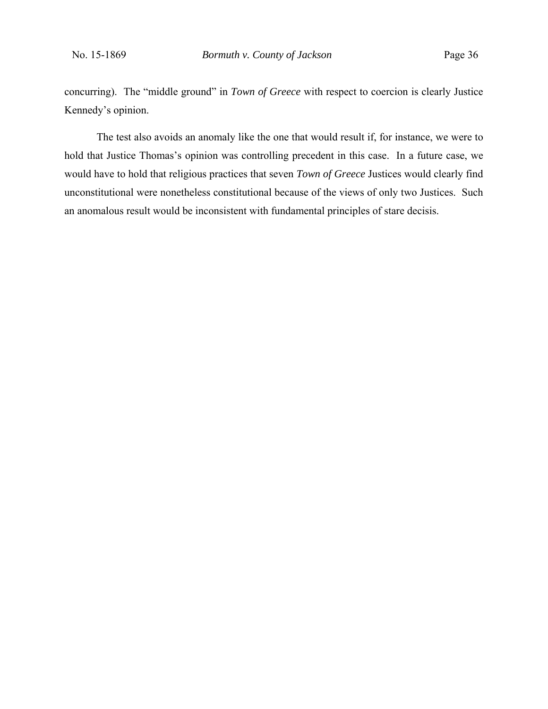concurring). The "middle ground" in *Town of Greece* with respect to coercion is clearly Justice Kennedy's opinion.

 The test also avoids an anomaly like the one that would result if, for instance, we were to hold that Justice Thomas's opinion was controlling precedent in this case. In a future case, we would have to hold that religious practices that seven *Town of Greece* Justices would clearly find unconstitutional were nonetheless constitutional because of the views of only two Justices. Such an anomalous result would be inconsistent with fundamental principles of stare decisis.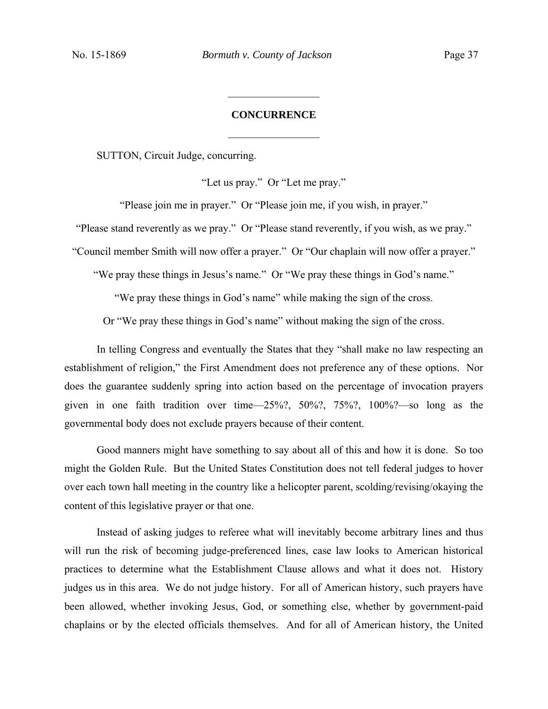# **CONCURRENCE**   $\frac{1}{2}$

 $\frac{1}{2}$ 

SUTTON, Circuit Judge, concurring.

"Let us pray." Or "Let me pray."

"Please join me in prayer." Or "Please join me, if you wish, in prayer."

"Please stand reverently as we pray." Or "Please stand reverently, if you wish, as we pray."

"Council member Smith will now offer a prayer." Or "Our chaplain will now offer a prayer."

"We pray these things in Jesus's name." Or "We pray these things in God's name."

"We pray these things in God's name" while making the sign of the cross.

Or "We pray these things in God's name" without making the sign of the cross.

In telling Congress and eventually the States that they "shall make no law respecting an establishment of religion," the First Amendment does not preference any of these options. Nor does the guarantee suddenly spring into action based on the percentage of invocation prayers given in one faith tradition over time—25%?, 50%?, 75%?, 100%?—so long as the governmental body does not exclude prayers because of their content.

Good manners might have something to say about all of this and how it is done. So too might the Golden Rule. But the United States Constitution does not tell federal judges to hover over each town hall meeting in the country like a helicopter parent, scolding/revising/okaying the content of this legislative prayer or that one.

Instead of asking judges to referee what will inevitably become arbitrary lines and thus will run the risk of becoming judge-preferenced lines, case law looks to American historical practices to determine what the Establishment Clause allows and what it does not. History judges us in this area. We do not judge history. For all of American history, such prayers have been allowed, whether invoking Jesus, God, or something else, whether by government-paid chaplains or by the elected officials themselves. And for all of American history, the United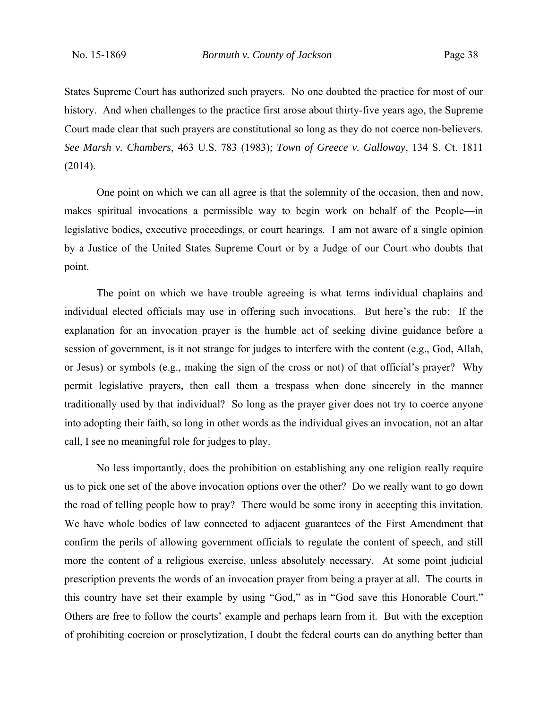States Supreme Court has authorized such prayers. No one doubted the practice for most of our history. And when challenges to the practice first arose about thirty-five years ago, the Supreme Court made clear that such prayers are constitutional so long as they do not coerce non-believers. *See Marsh v. Chambers*, 463 U.S. 783 (1983); *Town of Greece v. Galloway*, 134 S. Ct. 1811 (2014).

One point on which we can all agree is that the solemnity of the occasion, then and now, makes spiritual invocations a permissible way to begin work on behalf of the People—in legislative bodies, executive proceedings, or court hearings. I am not aware of a single opinion by a Justice of the United States Supreme Court or by a Judge of our Court who doubts that point.

The point on which we have trouble agreeing is what terms individual chaplains and individual elected officials may use in offering such invocations. But here's the rub: If the explanation for an invocation prayer is the humble act of seeking divine guidance before a session of government, is it not strange for judges to interfere with the content (e.g., God, Allah, or Jesus) or symbols (e.g., making the sign of the cross or not) of that official's prayer? Why permit legislative prayers, then call them a trespass when done sincerely in the manner traditionally used by that individual? So long as the prayer giver does not try to coerce anyone into adopting their faith, so long in other words as the individual gives an invocation, not an altar call, I see no meaningful role for judges to play.

No less importantly, does the prohibition on establishing any one religion really require us to pick one set of the above invocation options over the other? Do we really want to go down the road of telling people how to pray? There would be some irony in accepting this invitation. We have whole bodies of law connected to adjacent guarantees of the First Amendment that confirm the perils of allowing government officials to regulate the content of speech, and still more the content of a religious exercise, unless absolutely necessary. At some point judicial prescription prevents the words of an invocation prayer from being a prayer at all.The courts in this country have set their example by using "God," as in "God save this Honorable Court." Others are free to follow the courts' example and perhaps learn from it. But with the exception of prohibiting coercion or proselytization, I doubt the federal courts can do anything better than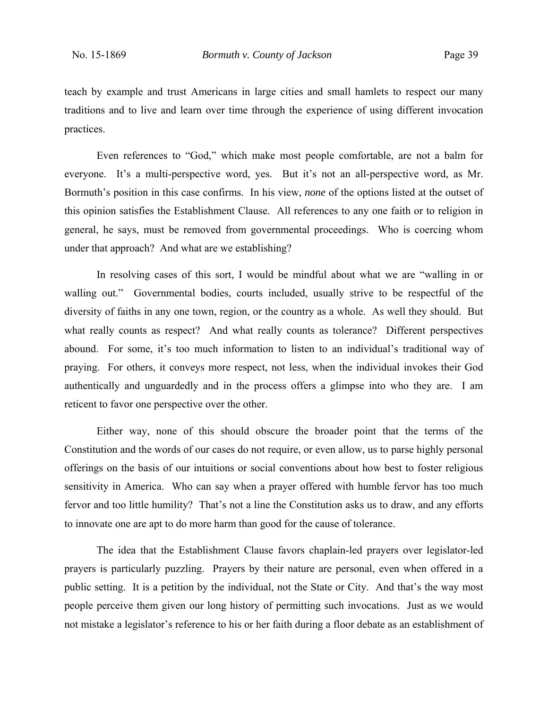teach by example and trust Americans in large cities and small hamlets to respect our many traditions and to live and learn over time through the experience of using different invocation practices.

Even references to "God," which make most people comfortable, are not a balm for everyone. It's a multi-perspective word, yes. But it's not an all-perspective word, as Mr. Bormuth's position in this case confirms. In his view, *none* of the options listed at the outset of this opinion satisfies the Establishment Clause. All references to any one faith or to religion in general, he says, must be removed from governmental proceedings. Who is coercing whom under that approach? And what are we establishing?

In resolving cases of this sort, I would be mindful about what we are "walling in or walling out." Governmental bodies, courts included, usually strive to be respectful of the diversity of faiths in any one town, region, or the country as a whole. As well they should. But what really counts as respect? And what really counts as tolerance? Different perspectives abound. For some, it's too much information to listen to an individual's traditional way of praying. For others, it conveys more respect, not less, when the individual invokes their God authentically and unguardedly and in the process offers a glimpse into who they are. I am reticent to favor one perspective over the other.

Either way, none of this should obscure the broader point that the terms of the Constitution and the words of our cases do not require, or even allow, us to parse highly personal offerings on the basis of our intuitions or social conventions about how best to foster religious sensitivity in America. Who can say when a prayer offered with humble fervor has too much fervor and too little humility? That's not a line the Constitution asks us to draw, and any efforts to innovate one are apt to do more harm than good for the cause of tolerance.

The idea that the Establishment Clause favors chaplain-led prayers over legislator-led prayers is particularly puzzling. Prayers by their nature are personal, even when offered in a public setting. It is a petition by the individual, not the State or City. And that's the way most people perceive them given our long history of permitting such invocations. Just as we would not mistake a legislator's reference to his or her faith during a floor debate as an establishment of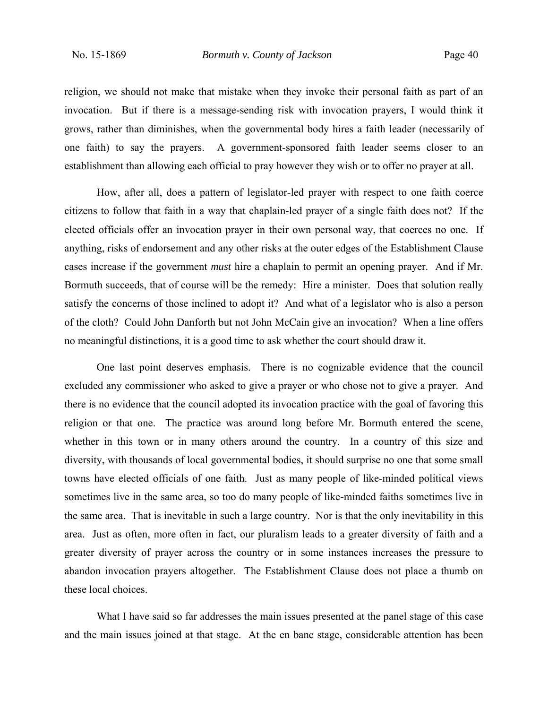religion, we should not make that mistake when they invoke their personal faith as part of an invocation. But if there is a message-sending risk with invocation prayers, I would think it grows, rather than diminishes, when the governmental body hires a faith leader (necessarily of one faith) to say the prayers. A government-sponsored faith leader seems closer to an establishment than allowing each official to pray however they wish or to offer no prayer at all.

How, after all, does a pattern of legislator-led prayer with respect to one faith coerce citizens to follow that faith in a way that chaplain-led prayer of a single faith does not? If the elected officials offer an invocation prayer in their own personal way, that coerces no one. If anything, risks of endorsement and any other risks at the outer edges of the Establishment Clause cases increase if the government *must* hire a chaplain to permit an opening prayer. And if Mr. Bormuth succeeds, that of course will be the remedy: Hire a minister. Does that solution really satisfy the concerns of those inclined to adopt it? And what of a legislator who is also a person of the cloth? Could John Danforth but not John McCain give an invocation? When a line offers no meaningful distinctions, it is a good time to ask whether the court should draw it.

One last point deserves emphasis. There is no cognizable evidence that the council excluded any commissioner who asked to give a prayer or who chose not to give a prayer. And there is no evidence that the council adopted its invocation practice with the goal of favoring this religion or that one. The practice was around long before Mr. Bormuth entered the scene, whether in this town or in many others around the country. In a country of this size and diversity, with thousands of local governmental bodies, it should surprise no one that some small towns have elected officials of one faith. Just as many people of like-minded political views sometimes live in the same area, so too do many people of like-minded faiths sometimes live in the same area. That is inevitable in such a large country. Nor is that the only inevitability in this area. Just as often, more often in fact, our pluralism leads to a greater diversity of faith and a greater diversity of prayer across the country or in some instances increases the pressure to abandon invocation prayers altogether. The Establishment Clause does not place a thumb on these local choices.

What I have said so far addresses the main issues presented at the panel stage of this case and the main issues joined at that stage. At the en banc stage, considerable attention has been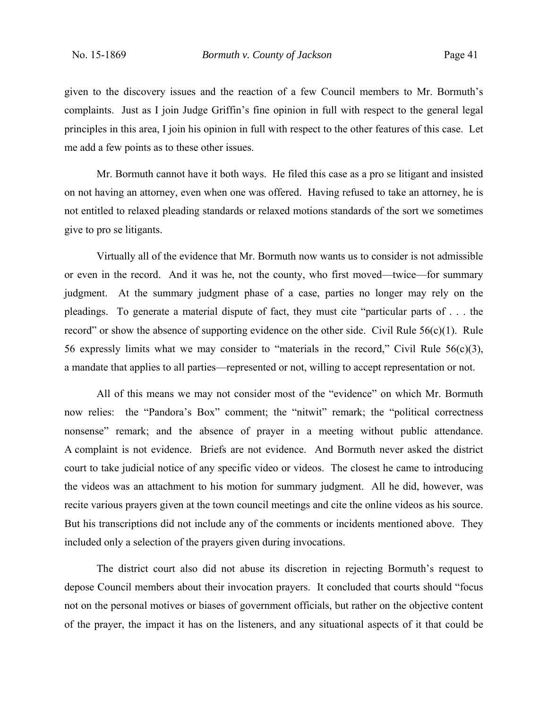given to the discovery issues and the reaction of a few Council members to Mr. Bormuth's complaints. Just as I join Judge Griffin's fine opinion in full with respect to the general legal principles in this area, I join his opinion in full with respect to the other features of this case. Let me add a few points as to these other issues.

Mr. Bormuth cannot have it both ways. He filed this case as a pro se litigant and insisted on not having an attorney, even when one was offered. Having refused to take an attorney, he is not entitled to relaxed pleading standards or relaxed motions standards of the sort we sometimes give to pro se litigants.

Virtually all of the evidence that Mr. Bormuth now wants us to consider is not admissible or even in the record. And it was he, not the county, who first moved—twice—for summary judgment. At the summary judgment phase of a case, parties no longer may rely on the pleadings. To generate a material dispute of fact, they must cite "particular parts of . . . the record" or show the absence of supporting evidence on the other side. Civil Rule  $56(c)(1)$ . Rule 56 expressly limits what we may consider to "materials in the record," Civil Rule  $56(c)(3)$ , a mandate that applies to all parties—represented or not, willing to accept representation or not.

All of this means we may not consider most of the "evidence" on which Mr. Bormuth now relies: the "Pandora's Box" comment; the "nitwit" remark; the "political correctness nonsense" remark; and the absence of prayer in a meeting without public attendance. A complaint is not evidence. Briefs are not evidence. And Bormuth never asked the district court to take judicial notice of any specific video or videos. The closest he came to introducing the videos was an attachment to his motion for summary judgment. All he did, however, was recite various prayers given at the town council meetings and cite the online videos as his source. But his transcriptions did not include any of the comments or incidents mentioned above. They included only a selection of the prayers given during invocations.

The district court also did not abuse its discretion in rejecting Bormuth's request to depose Council members about their invocation prayers. It concluded that courts should "focus not on the personal motives or biases of government officials, but rather on the objective content of the prayer, the impact it has on the listeners, and any situational aspects of it that could be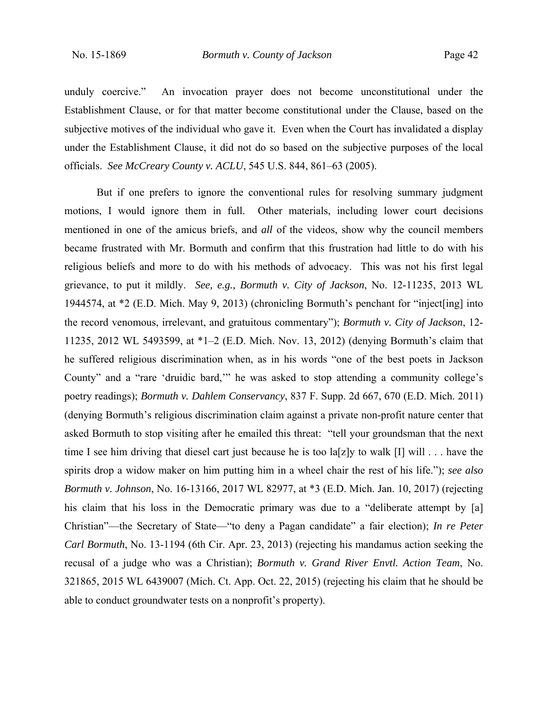unduly coercive." An invocation prayer does not become unconstitutional under the Establishment Clause, or for that matter become constitutional under the Clause, based on the subjective motives of the individual who gave it. Even when the Court has invalidated a display under the Establishment Clause, it did not do so based on the subjective purposes of the local officials. *See McCreary County v. ACLU*, 545 U.S. 844, 861–63 (2005).

But if one prefers to ignore the conventional rules for resolving summary judgment motions, I would ignore them in full. Other materials, including lower court decisions mentioned in one of the amicus briefs, and *all* of the videos, show why the council members became frustrated with Mr. Bormuth and confirm that this frustration had little to do with his religious beliefs and more to do with his methods of advocacy. This was not his first legal grievance, to put it mildly. *See, e.g., Bormuth v. City of Jackson*, No. 12-11235, 2013 WL 1944574, at \*2 (E.D. Mich. May 9, 2013) (chronicling Bormuth's penchant for "inject[ing] into the record venomous, irrelevant, and gratuitous commentary"); *Bormuth v. City of Jackson*, 12- 11235, 2012 WL 5493599, at \*1–2 (E.D. Mich. Nov. 13, 2012) (denying Bormuth's claim that he suffered religious discrimination when, as in his words "one of the best poets in Jackson County" and a "rare 'druidic bard,'" he was asked to stop attending a community college's poetry readings); *Bormuth v. Dahlem Conservancy*, 837 F. Supp. 2d 667, 670 (E.D. Mich. 2011) (denying Bormuth's religious discrimination claim against a private non-profit nature center that asked Bormuth to stop visiting after he emailed this threat: "tell your groundsman that the next time I see him driving that diesel cart just because he is too la[z]y to walk [I] will . . . have the spirits drop a widow maker on him putting him in a wheel chair the rest of his life."); *see also Bormuth v. Johnson*, No. 16-13166, 2017 WL 82977, at \*3 (E.D. Mich. Jan. 10, 2017) (rejecting his claim that his loss in the Democratic primary was due to a "deliberate attempt by [a] Christian"—the Secretary of State—"to deny a Pagan candidate" a fair election); *In re Peter Carl Bormuth*, No. 13-1194 (6th Cir. Apr. 23, 2013) (rejecting his mandamus action seeking the recusal of a judge who was a Christian); *Bormuth v. Grand River Envtl. Action Team*, No. 321865, 2015 WL 6439007 (Mich. Ct. App. Oct. 22, 2015) (rejecting his claim that he should be able to conduct groundwater tests on a nonprofit's property).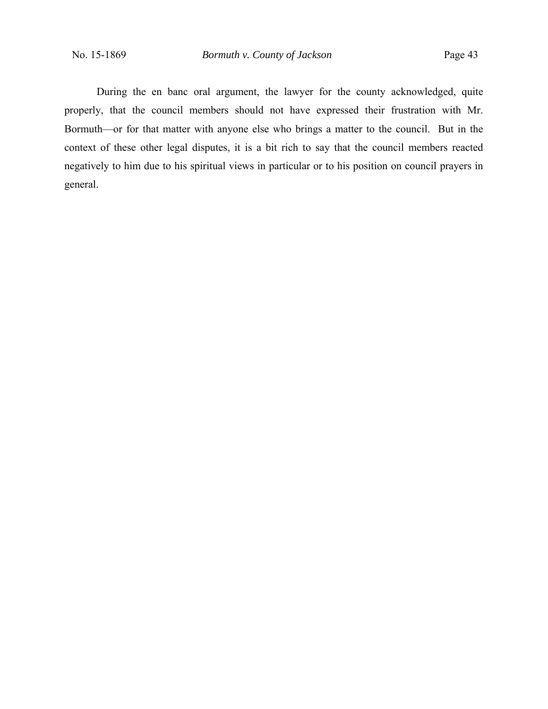During the en banc oral argument, the lawyer for the county acknowledged, quite properly, that the council members should not have expressed their frustration with Mr. Bormuth—or for that matter with anyone else who brings a matter to the council. But in the context of these other legal disputes, it is a bit rich to say that the council members reacted negatively to him due to his spiritual views in particular or to his position on council prayers in general.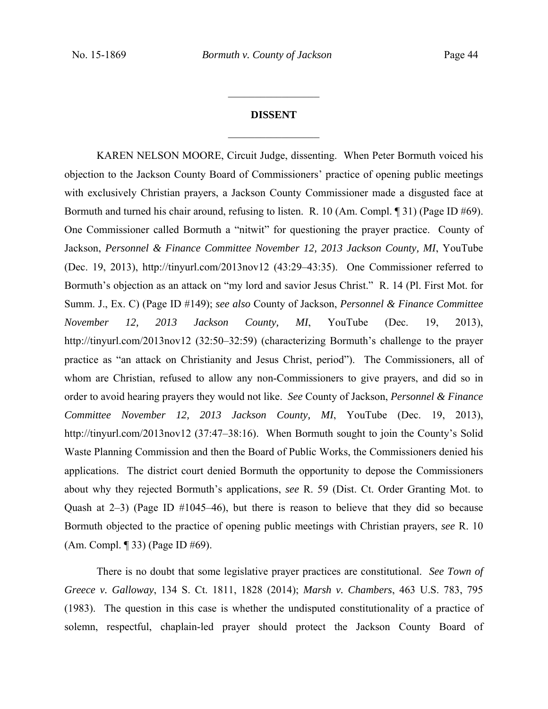# **DISSENT**   $\frac{1}{2}$

 $\frac{1}{2}$ 

KAREN NELSON MOORE, Circuit Judge, dissenting. When Peter Bormuth voiced his objection to the Jackson County Board of Commissioners' practice of opening public meetings with exclusively Christian prayers, a Jackson County Commissioner made a disgusted face at Bormuth and turned his chair around, refusing to listen. R. 10 (Am. Compl. ¶ 31) (Page ID #69). One Commissioner called Bormuth a "nitwit" for questioning the prayer practice. County of Jackson, *Personnel & Finance Committee November 12, 2013 Jackson County, MI*, YouTube (Dec. 19, 2013), http://tinyurl.com/2013nov12 (43:29–43:35). One Commissioner referred to Bormuth's objection as an attack on "my lord and savior Jesus Christ." R. 14 (Pl. First Mot. for Summ. J., Ex. C) (Page ID #149); *see also* County of Jackson, *Personnel & Finance Committee November 12, 2013 Jackson County, MI*, YouTube (Dec. 19, 2013), http://tinyurl.com/2013nov12 (32:50–32:59) (characterizing Bormuth's challenge to the prayer practice as "an attack on Christianity and Jesus Christ, period"). The Commissioners, all of whom are Christian, refused to allow any non-Commissioners to give prayers, and did so in order to avoid hearing prayers they would not like. *See* County of Jackson, *Personnel & Finance Committee November 12, 2013 Jackson County, MI*, YouTube (Dec. 19, 2013), http://tinyurl.com/2013nov12 (37:47–38:16). When Bormuth sought to join the County's Solid Waste Planning Commission and then the Board of Public Works, the Commissioners denied his applications. The district court denied Bormuth the opportunity to depose the Commissioners about why they rejected Bormuth's applications, *see* R. 59 (Dist. Ct. Order Granting Mot. to Quash at  $2-3$ ) (Page ID  $\#1045-46$ ), but there is reason to believe that they did so because Bormuth objected to the practice of opening public meetings with Christian prayers, *see* R. 10 (Am. Compl. ¶ 33) (Page ID #69).

There is no doubt that some legislative prayer practices are constitutional. *See Town of Greece v. Galloway*, 134 S. Ct. 1811, 1828 (2014); *Marsh v. Chambers*, 463 U.S. 783, 795 (1983). The question in this case is whether the undisputed constitutionality of a practice of solemn, respectful, chaplain-led prayer should protect the Jackson County Board of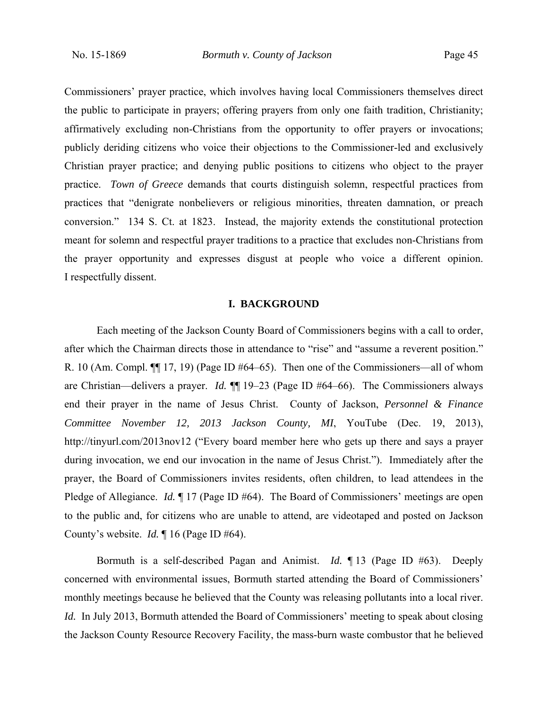Commissioners' prayer practice, which involves having local Commissioners themselves direct the public to participate in prayers; offering prayers from only one faith tradition, Christianity; affirmatively excluding non-Christians from the opportunity to offer prayers or invocations; publicly deriding citizens who voice their objections to the Commissioner-led and exclusively Christian prayer practice; and denying public positions to citizens who object to the prayer practice. *Town of Greece* demands that courts distinguish solemn, respectful practices from practices that "denigrate nonbelievers or religious minorities, threaten damnation, or preach conversion." 134 S. Ct. at 1823. Instead, the majority extends the constitutional protection meant for solemn and respectful prayer traditions to a practice that excludes non-Christians from the prayer opportunity and expresses disgust at people who voice a different opinion. I respectfully dissent.

#### **I. BACKGROUND**

Each meeting of the Jackson County Board of Commissioners begins with a call to order, after which the Chairman directs those in attendance to "rise" and "assume a reverent position." R. 10 (Am. Compl.  $\P\P$  17, 19) (Page ID #64–65). Then one of the Commissioners—all of whom are Christian—delivers a prayer. *Id.* ¶¶ 19‒23 (Page ID #64‒66). The Commissioners always end their prayer in the name of Jesus Christ. County of Jackson, *Personnel & Finance Committee November 12, 2013 Jackson County, MI*, YouTube (Dec. 19, 2013), http://tinyurl.com/2013nov12 ("Every board member here who gets up there and says a prayer during invocation, we end our invocation in the name of Jesus Christ."). Immediately after the prayer, the Board of Commissioners invites residents, often children, to lead attendees in the Pledge of Allegiance. *Id.*  $\P$  17 (Page ID #64). The Board of Commissioners' meetings are open to the public and, for citizens who are unable to attend, are videotaped and posted on Jackson County's website. *Id.* ¶ 16 (Page ID #64).

Bormuth is a self-described Pagan and Animist. *Id.* ¶ 13 (Page ID #63). Deeply concerned with environmental issues, Bormuth started attending the Board of Commissioners' monthly meetings because he believed that the County was releasing pollutants into a local river. *Id.* In July 2013, Bormuth attended the Board of Commissioners' meeting to speak about closing the Jackson County Resource Recovery Facility, the mass-burn waste combustor that he believed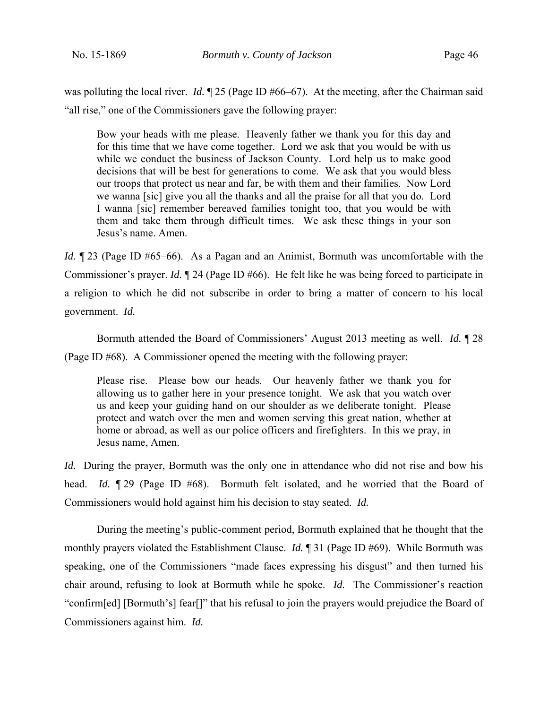was polluting the local river. *Id.* 125 (Page ID #66–67). At the meeting, after the Chairman said "all rise," one of the Commissioners gave the following prayer:

Bow your heads with me please. Heavenly father we thank you for this day and for this time that we have come together. Lord we ask that you would be with us while we conduct the business of Jackson County. Lord help us to make good decisions that will be best for generations to come. We ask that you would bless our troops that protect us near and far, be with them and their families. Now Lord we wanna [sic] give you all the thanks and all the praise for all that you do. Lord I wanna [sic] remember bereaved families tonight too, that you would be with them and take them through difficult times. We ask these things in your son Jesus's name. Amen.

*Id.*  $\P$  23 (Page ID #65–66). As a Pagan and an Animist, Bormuth was uncomfortable with the Commissioner's prayer. *Id.* ¶ 24 (Page ID #66). He felt like he was being forced to participate in a religion to which he did not subscribe in order to bring a matter of concern to his local government. *Id.* 

Bormuth attended the Board of Commissioners' August 2013 meeting as well. *Id.* ¶ 28 (Page ID #68). A Commissioner opened the meeting with the following prayer:

Please rise. Please bow our heads. Our heavenly father we thank you for allowing us to gather here in your presence tonight. We ask that you watch over us and keep your guiding hand on our shoulder as we deliberate tonight. Please protect and watch over the men and women serving this great nation, whether at home or abroad, as well as our police officers and firefighters. In this we pray, in Jesus name, Amen.

*Id.* During the prayer, Bormuth was the only one in attendance who did not rise and bow his head. *Id.* **[29** (Page ID #68). Bormuth felt isolated, and he worried that the Board of Commissioners would hold against him his decision to stay seated. *Id.*

During the meeting's public-comment period, Bormuth explained that he thought that the monthly prayers violated the Establishment Clause. *Id.* ¶ 31 (Page ID #69). While Bormuth was speaking, one of the Commissioners "made faces expressing his disgust" and then turned his chair around, refusing to look at Bormuth while he spoke. *Id.* The Commissioner's reaction "confirm[ed] [Bormuth's] fear[]" that his refusal to join the prayers would prejudice the Board of Commissioners against him. *Id.*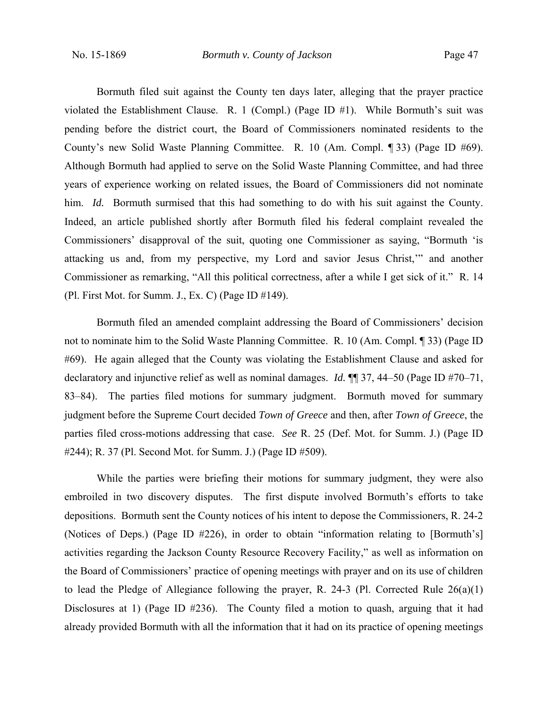Bormuth filed suit against the County ten days later, alleging that the prayer practice violated the Establishment Clause. R. 1 (Compl.) (Page ID #1). While Bormuth's suit was pending before the district court, the Board of Commissioners nominated residents to the County's new Solid Waste Planning Committee. R. 10 (Am. Compl. ¶ 33) (Page ID #69). Although Bormuth had applied to serve on the Solid Waste Planning Committee, and had three years of experience working on related issues, the Board of Commissioners did not nominate him. *Id.* Bormuth surmised that this had something to do with his suit against the County. Indeed, an article published shortly after Bormuth filed his federal complaint revealed the Commissioners' disapproval of the suit, quoting one Commissioner as saying, "Bormuth 'is attacking us and, from my perspective, my Lord and savior Jesus Christ,'" and another Commissioner as remarking, "All this political correctness, after a while I get sick of it." R. 14 (Pl. First Mot. for Summ. J., Ex. C) (Page ID #149).

Bormuth filed an amended complaint addressing the Board of Commissioners' decision not to nominate him to the Solid Waste Planning Committee. R. 10 (Am. Compl. ¶ 33) (Page ID #69). He again alleged that the County was violating the Establishment Clause and asked for declaratory and injunctive relief as well as nominal damages. *Id.* ¶¶ 37, 44‒50 (Page ID #70‒71, 83–84). The parties filed motions for summary judgment. Bormuth moved for summary judgment before the Supreme Court decided *Town of Greece* and then, after *Town of Greece*, the parties filed cross-motions addressing that case. *See* R. 25 (Def. Mot. for Summ. J.) (Page ID #244); R. 37 (Pl. Second Mot. for Summ. J.) (Page ID #509).

While the parties were briefing their motions for summary judgment, they were also embroiled in two discovery disputes. The first dispute involved Bormuth's efforts to take depositions. Bormuth sent the County notices of his intent to depose the Commissioners, R. 24-2 (Notices of Deps.) (Page ID #226), in order to obtain "information relating to [Bormuth's] activities regarding the Jackson County Resource Recovery Facility," as well as information on the Board of Commissioners' practice of opening meetings with prayer and on its use of children to lead the Pledge of Allegiance following the prayer, R. 24-3 (Pl. Corrected Rule 26(a)(1) Disclosures at 1) (Page ID #236). The County filed a motion to quash, arguing that it had already provided Bormuth with all the information that it had on its practice of opening meetings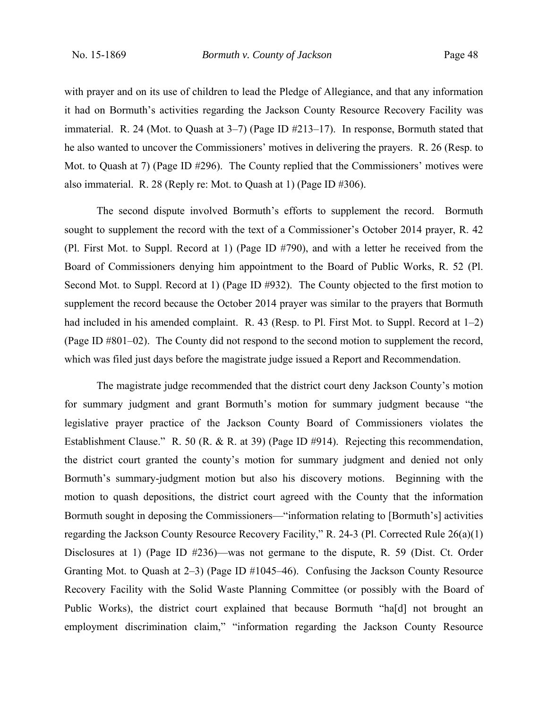with prayer and on its use of children to lead the Pledge of Allegiance, and that any information it had on Bormuth's activities regarding the Jackson County Resource Recovery Facility was immaterial. R. 24 (Mot. to Quash at  $3-7$ ) (Page ID  $\#213-17$ ). In response, Bormuth stated that he also wanted to uncover the Commissioners' motives in delivering the prayers. R. 26 (Resp. to Mot. to Quash at 7) (Page ID #296). The County replied that the Commissioners' motives were also immaterial. R. 28 (Reply re: Mot. to Quash at 1) (Page ID #306).

The second dispute involved Bormuth's efforts to supplement the record. Bormuth sought to supplement the record with the text of a Commissioner's October 2014 prayer, R. 42 (Pl. First Mot. to Suppl. Record at 1) (Page ID #790), and with a letter he received from the Board of Commissioners denying him appointment to the Board of Public Works, R. 52 (Pl. Second Mot. to Suppl. Record at 1) (Page ID #932). The County objected to the first motion to supplement the record because the October 2014 prayer was similar to the prayers that Bormuth had included in his amended complaint. R. 43 (Resp. to Pl. First Mot. to Suppl. Record at  $1-2$ ) (Page ID #801–02). The County did not respond to the second motion to supplement the record, which was filed just days before the magistrate judge issued a Report and Recommendation.

The magistrate judge recommended that the district court deny Jackson County's motion for summary judgment and grant Bormuth's motion for summary judgment because "the legislative prayer practice of the Jackson County Board of Commissioners violates the Establishment Clause." R. 50 (R. & R. at 39) (Page ID #914). Rejecting this recommendation, the district court granted the county's motion for summary judgment and denied not only Bormuth's summary-judgment motion but also his discovery motions. Beginning with the motion to quash depositions, the district court agreed with the County that the information Bormuth sought in deposing the Commissioners—"information relating to [Bormuth's] activities regarding the Jackson County Resource Recovery Facility," R. 24-3 (Pl. Corrected Rule 26(a)(1) Disclosures at 1) (Page ID #236)—was not germane to the dispute, R. 59 (Dist. Ct. Order Granting Mot. to Quash at  $2-3$ ) (Page ID  $\#1045-46$ ). Confusing the Jackson County Resource Recovery Facility with the Solid Waste Planning Committee (or possibly with the Board of Public Works), the district court explained that because Bormuth "ha[d] not brought an employment discrimination claim," "information regarding the Jackson County Resource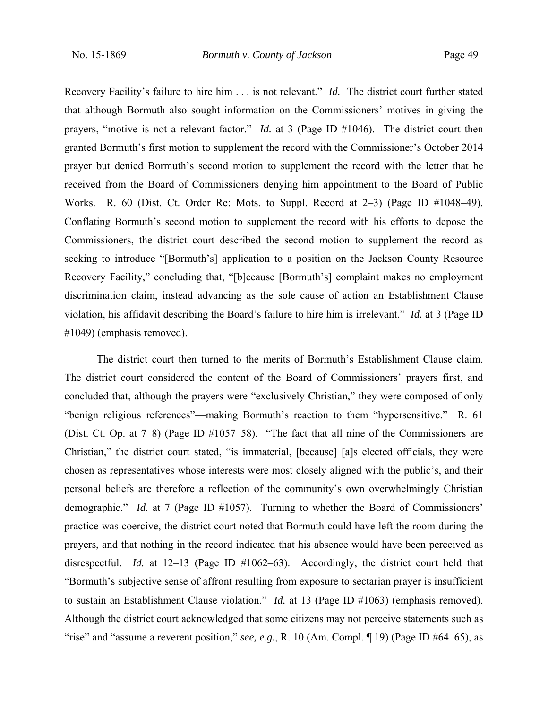Recovery Facility's failure to hire him . . . is not relevant." *Id.* The district court further stated that although Bormuth also sought information on the Commissioners' motives in giving the prayers, "motive is not a relevant factor." *Id.* at 3 (Page ID #1046). The district court then granted Bormuth's first motion to supplement the record with the Commissioner's October 2014 prayer but denied Bormuth's second motion to supplement the record with the letter that he received from the Board of Commissioners denying him appointment to the Board of Public Works. R. 60 (Dist. Ct. Order Re: Mots. to Suppl. Record at 2–3) (Page ID #1048–49). Conflating Bormuth's second motion to supplement the record with his efforts to depose the Commissioners, the district court described the second motion to supplement the record as seeking to introduce "[Bormuth's] application to a position on the Jackson County Resource Recovery Facility," concluding that, "[b]ecause [Bormuth's] complaint makes no employment discrimination claim, instead advancing as the sole cause of action an Establishment Clause violation, his affidavit describing the Board's failure to hire him is irrelevant." *Id.* at 3 (Page ID #1049) (emphasis removed).

The district court then turned to the merits of Bormuth's Establishment Clause claim. The district court considered the content of the Board of Commissioners' prayers first, and concluded that, although the prayers were "exclusively Christian," they were composed of only "benign religious references"—making Bormuth's reaction to them "hypersensitive." R. 61 (Dist. Ct. Op. at 7–8) (Page ID #1057–58). "The fact that all nine of the Commissioners are Christian," the district court stated, "is immaterial, [because] [a]s elected officials, they were chosen as representatives whose interests were most closely aligned with the public's, and their personal beliefs are therefore a reflection of the community's own overwhelmingly Christian demographic." *Id.* at 7 (Page ID #1057). Turning to whether the Board of Commissioners' practice was coercive, the district court noted that Bormuth could have left the room during the prayers, and that nothing in the record indicated that his absence would have been perceived as disrespectful. *Id.* at 12–13 (Page ID #1062–63). Accordingly, the district court held that "Bormuth's subjective sense of affront resulting from exposure to sectarian prayer is insufficient to sustain an Establishment Clause violation." *Id.* at 13 (Page ID #1063) (emphasis removed). Although the district court acknowledged that some citizens may not perceive statements such as "rise" and "assume a reverent position," *see, e.g.*, R. 10 (Am. Compl. ¶ 19) (Page ID #64–65), as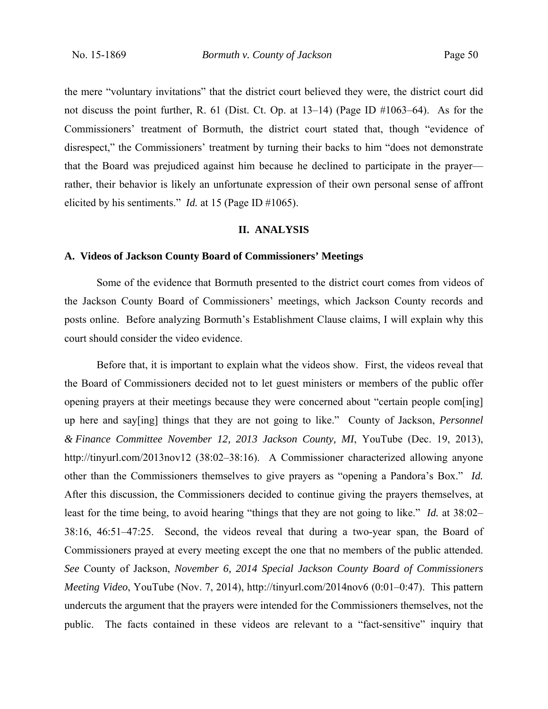the mere "voluntary invitations" that the district court believed they were, the district court did not discuss the point further, R. 61 (Dist. Ct. Op. at  $13-14$ ) (Page ID  $\#1063-64$ ). As for the Commissioners' treatment of Bormuth, the district court stated that, though "evidence of disrespect," the Commissioners' treatment by turning their backs to him "does not demonstrate that the Board was prejudiced against him because he declined to participate in the prayer rather, their behavior is likely an unfortunate expression of their own personal sense of affront elicited by his sentiments." *Id.* at 15 (Page ID #1065).

#### **II. ANALYSIS**

### **A. Videos of Jackson County Board of Commissioners' Meetings**

Some of the evidence that Bormuth presented to the district court comes from videos of the Jackson County Board of Commissioners' meetings, which Jackson County records and posts online. Before analyzing Bormuth's Establishment Clause claims, I will explain why this court should consider the video evidence.

Before that, it is important to explain what the videos show. First, the videos reveal that the Board of Commissioners decided not to let guest ministers or members of the public offer opening prayers at their meetings because they were concerned about "certain people com[ing] up here and say[ing] things that they are not going to like." County of Jackson, *Personnel & Finance Committee November 12, 2013 Jackson County, MI*, YouTube (Dec. 19, 2013), http://tinyurl.com/2013nov12 (38:02–38:16). A Commissioner characterized allowing anyone other than the Commissioners themselves to give prayers as "opening a Pandora's Box." *Id.* After this discussion, the Commissioners decided to continue giving the prayers themselves, at least for the time being, to avoid hearing "things that they are not going to like." *Id.* at 38:02– 38:16, 46:51–47:25. Second, the videos reveal that during a two-year span, the Board of Commissioners prayed at every meeting except the one that no members of the public attended. *See* County of Jackson, *November 6, 2014 Special Jackson County Board of Commissioners Meeting Video*, YouTube (Nov. 7, 2014), http://tinyurl.com/2014nov6 (0:01–0:47). This pattern undercuts the argument that the prayers were intended for the Commissioners themselves, not the public. The facts contained in these videos are relevant to a "fact-sensitive" inquiry that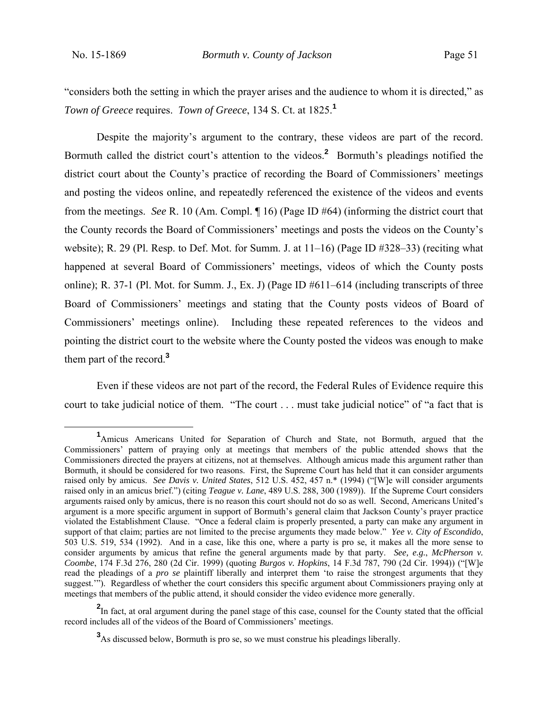"considers both the setting in which the prayer arises and the audience to whom it is directed," as *Town of Greece* requires. *Town of Greece*, 134 S. Ct. at 1825.**<sup>1</sup>**

Despite the majority's argument to the contrary, these videos are part of the record. Bormuth called the district court's attention to the videos.**<sup>2</sup>** Bormuth's pleadings notified the district court about the County's practice of recording the Board of Commissioners' meetings and posting the videos online, and repeatedly referenced the existence of the videos and events from the meetings. *See* R. 10 (Am. Compl. ¶ 16) (Page ID #64) (informing the district court that the County records the Board of Commissioners' meetings and posts the videos on the County's website); R. 29 (Pl. Resp. to Def. Mot. for Summ. J. at  $11-16$ ) (Page ID  $\#328-33$ ) (reciting what happened at several Board of Commissioners' meetings, videos of which the County posts online); R. 37-1 (Pl. Mot. for Summ. J., Ex. J) (Page ID #611–614 (including transcripts of three Board of Commissioners' meetings and stating that the County posts videos of Board of Commissioners' meetings online). Including these repeated references to the videos and pointing the district court to the website where the County posted the videos was enough to make them part of the record.**<sup>3</sup>**

Even if these videos are not part of the record, the Federal Rules of Evidence require this court to take judicial notice of them. "The court . . . must take judicial notice" of "a fact that is

<sup>&</sup>lt;u>1</u> Amicus Americans United for Separation of Church and State, not Bormuth, argued that the Commissioners' pattern of praying only at meetings that members of the public attended shows that the Commissioners directed the prayers at citizens, not at themselves. Although amicus made this argument rather than Bormuth, it should be considered for two reasons. First, the Supreme Court has held that it can consider arguments raised only by amicus. *See Davis v. United States*, 512 U.S. 452, 457 n.\* (1994) ("[W]e will consider arguments raised only in an amicus brief.") (citing *Teague v. Lane*, 489 U.S. 288, 300 (1989)). If the Supreme Court considers arguments raised only by amicus, there is no reason this court should not do so as well. Second, Americans United's argument is a more specific argument in support of Bormuth's general claim that Jackson County's prayer practice violated the Establishment Clause. "Once a federal claim is properly presented, a party can make any argument in support of that claim; parties are not limited to the precise arguments they made below." *Yee v. City of Escondido*, 503 U.S. 519, 534 (1992). And in a case, like this one, where a party is pro se, it makes all the more sense to consider arguments by amicus that refine the general arguments made by that party. *See, e.g.*, *McPherson v. Coombe*, 174 F.3d 276, 280 (2d Cir. 1999) (quoting *Burgos v. Hopkins*, 14 F.3d 787, 790 (2d Cir. 1994)) ("[W]e read the pleadings of a *pro se* plaintiff liberally and interpret them 'to raise the strongest arguments that they suggest.<sup>""</sup>). Regardless of whether the court considers this specific argument about Commissioners praying only at meetings that members of the public attend, it should consider the video evidence more generally.

<sup>&</sup>lt;sup>2</sup>In fact, at oral argument during the panel stage of this case, counsel for the County stated that the official record includes all of the videos of the Board of Commissioners' meetings.

**<sup>3</sup>** As discussed below, Bormuth is pro se, so we must construe his pleadings liberally.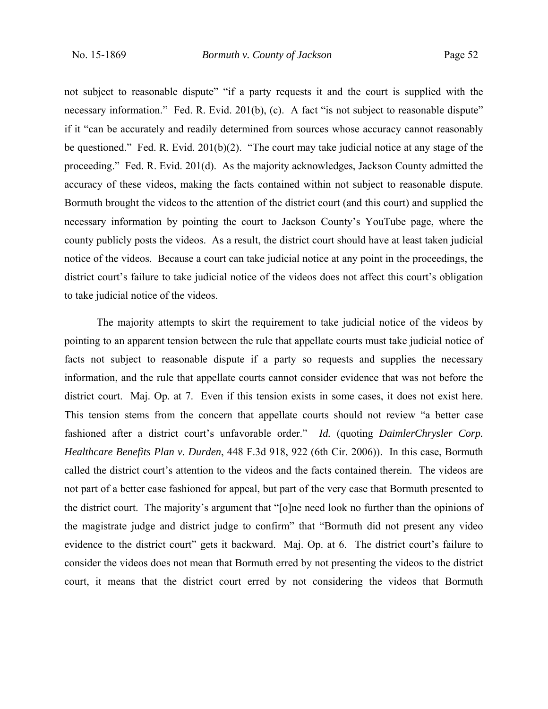not subject to reasonable dispute" "if a party requests it and the court is supplied with the necessary information." Fed. R. Evid. 201(b), (c). A fact "is not subject to reasonable dispute" if it "can be accurately and readily determined from sources whose accuracy cannot reasonably be questioned." Fed. R. Evid. 201(b)(2). "The court may take judicial notice at any stage of the proceeding." Fed. R. Evid. 201(d). As the majority acknowledges, Jackson County admitted the accuracy of these videos, making the facts contained within not subject to reasonable dispute. Bormuth brought the videos to the attention of the district court (and this court) and supplied the necessary information by pointing the court to Jackson County's YouTube page, where the county publicly posts the videos. As a result, the district court should have at least taken judicial notice of the videos. Because a court can take judicial notice at any point in the proceedings, the district court's failure to take judicial notice of the videos does not affect this court's obligation to take judicial notice of the videos.

The majority attempts to skirt the requirement to take judicial notice of the videos by pointing to an apparent tension between the rule that appellate courts must take judicial notice of facts not subject to reasonable dispute if a party so requests and supplies the necessary information, and the rule that appellate courts cannot consider evidence that was not before the district court. Maj. Op. at 7. Even if this tension exists in some cases, it does not exist here. This tension stems from the concern that appellate courts should not review "a better case fashioned after a district court's unfavorable order." *Id.* (quoting *DaimlerChrysler Corp. Healthcare Benefits Plan v. Durden*, 448 F.3d 918, 922 (6th Cir. 2006)). In this case, Bormuth called the district court's attention to the videos and the facts contained therein. The videos are not part of a better case fashioned for appeal, but part of the very case that Bormuth presented to the district court. The majority's argument that "[o]ne need look no further than the opinions of the magistrate judge and district judge to confirm" that "Bormuth did not present any video evidence to the district court" gets it backward. Maj. Op. at 6. The district court's failure to consider the videos does not mean that Bormuth erred by not presenting the videos to the district court, it means that the district court erred by not considering the videos that Bormuth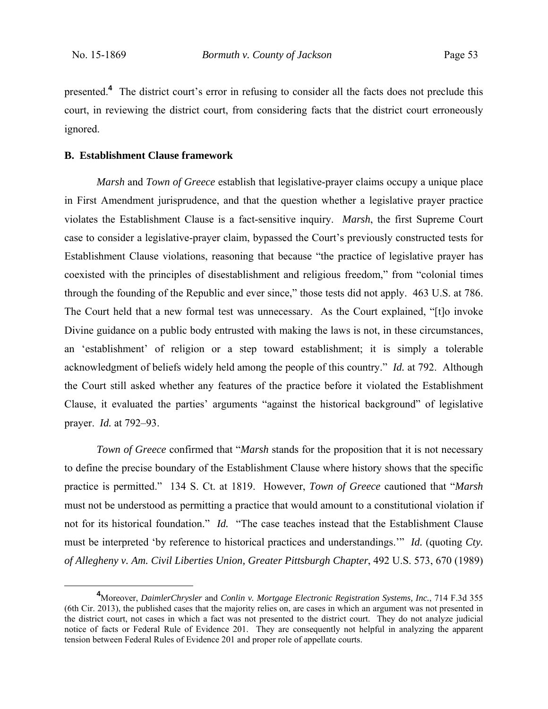presented.<sup>4</sup> The district court's error in refusing to consider all the facts does not preclude this court, in reviewing the district court, from considering facts that the district court erroneously ignored.

### **B. Establishment Clause framework**

*Marsh* and *Town of Greece* establish that legislative-prayer claims occupy a unique place in First Amendment jurisprudence, and that the question whether a legislative prayer practice violates the Establishment Clause is a fact-sensitive inquiry. *Marsh*, the first Supreme Court case to consider a legislative-prayer claim, bypassed the Court's previously constructed tests for Establishment Clause violations, reasoning that because "the practice of legislative prayer has coexisted with the principles of disestablishment and religious freedom," from "colonial times through the founding of the Republic and ever since," those tests did not apply. 463 U.S. at 786. The Court held that a new formal test was unnecessary. As the Court explained, "[t]o invoke Divine guidance on a public body entrusted with making the laws is not, in these circumstances, an 'establishment' of religion or a step toward establishment; it is simply a tolerable acknowledgment of beliefs widely held among the people of this country." *Id.* at 792. Although the Court still asked whether any features of the practice before it violated the Establishment Clause, it evaluated the parties' arguments "against the historical background" of legislative prayer. *Id.* at 792–93.

*Town of Greece* confirmed that "*Marsh* stands for the proposition that it is not necessary to define the precise boundary of the Establishment Clause where history shows that the specific practice is permitted." 134 S. Ct. at 1819. However, *Town of Greece* cautioned that "*Marsh* must not be understood as permitting a practice that would amount to a constitutional violation if not for its historical foundation." *Id.* "The case teaches instead that the Establishment Clause must be interpreted 'by reference to historical practices and understandings.'" *Id.* (quoting *Cty. of Allegheny v. Am. Civil Liberties Union, Greater Pittsburgh Chapter*, 492 U.S. 573, 670 (1989)

**<sup>4</sup>** Moreover, *DaimlerChrysler* and *Conlin v. Mortgage Electronic Registration Systems, Inc.*, 714 F.3d 355 (6th Cir. 2013), the published cases that the majority relies on, are cases in which an argument was not presented in the district court, not cases in which a fact was not presented to the district court. They do not analyze judicial notice of facts or Federal Rule of Evidence 201. They are consequently not helpful in analyzing the apparent tension between Federal Rules of Evidence 201 and proper role of appellate courts.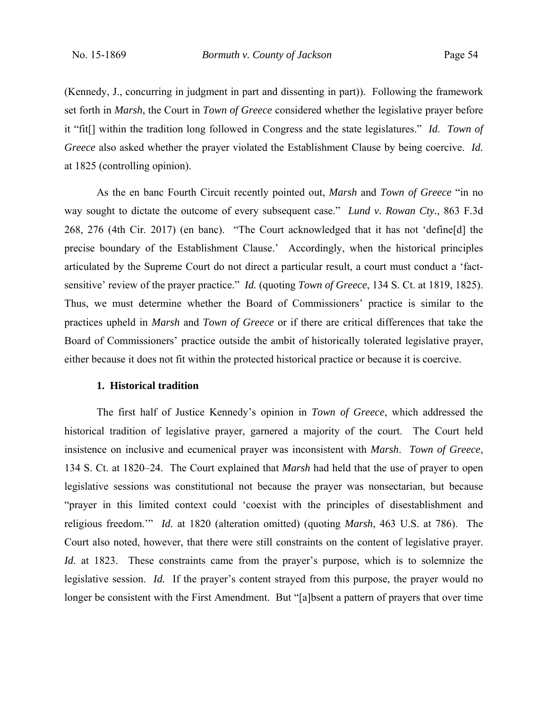(Kennedy, J., concurring in judgment in part and dissenting in part)). Following the framework set forth in *Marsh*, the Court in *Town of Greece* considered whether the legislative prayer before it "fit[] within the tradition long followed in Congress and the state legislatures." *Id*. *Town of Greece* also asked whether the prayer violated the Establishment Clause by being coercive. *Id.* at 1825 (controlling opinion).

As the en banc Fourth Circuit recently pointed out, *Marsh* and *Town of Greece* "in no way sought to dictate the outcome of every subsequent case." *Lund v. Rowan Cty.*, 863 F.3d 268, 276 (4th Cir. 2017) (en banc). "The Court acknowledged that it has not 'define[d] the precise boundary of the Establishment Clause.' Accordingly, when the historical principles articulated by the Supreme Court do not direct a particular result, a court must conduct a 'factsensitive' review of the prayer practice." *Id.* (quoting *Town of Greece*, 134 S. Ct. at 1819, 1825). Thus, we must determine whether the Board of Commissioners' practice is similar to the practices upheld in *Marsh* and *Town of Greece* or if there are critical differences that take the Board of Commissioners' practice outside the ambit of historically tolerated legislative prayer, either because it does not fit within the protected historical practice or because it is coercive.

#### **1. Historical tradition**

The first half of Justice Kennedy's opinion in *Town of Greece*, which addressed the historical tradition of legislative prayer, garnered a majority of the court. The Court held insistence on inclusive and ecumenical prayer was inconsistent with *Marsh*. *Town of Greece*, 134 S. Ct. at 1820‒24. The Court explained that *Marsh* had held that the use of prayer to open legislative sessions was constitutional not because the prayer was nonsectarian, but because "prayer in this limited context could 'coexist with the principles of disestablishment and religious freedom.'" *Id.* at 1820 (alteration omitted) (quoting *Marsh*, 463 U.S. at 786). The Court also noted, however, that there were still constraints on the content of legislative prayer. *Id.* at 1823. These constraints came from the prayer's purpose, which is to solemnize the legislative session. *Id.* If the prayer's content strayed from this purpose, the prayer would no longer be consistent with the First Amendment. But "[a]bsent a pattern of prayers that over time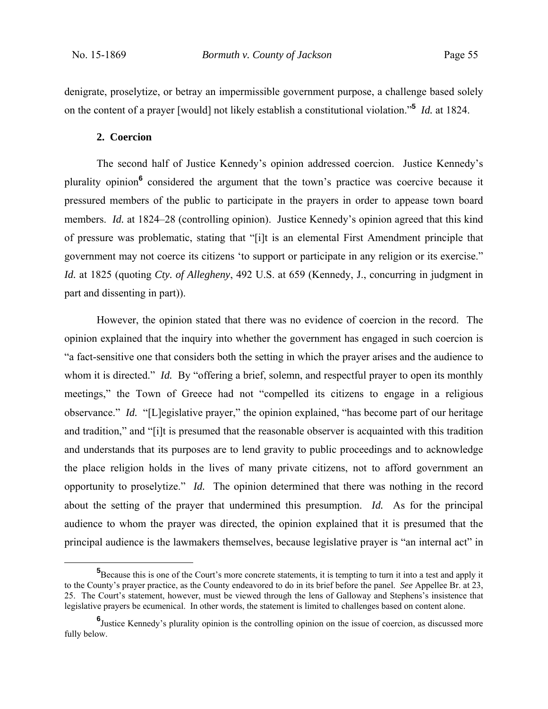denigrate, proselytize, or betray an impermissible government purpose, a challenge based solely on the content of a prayer [would] not likely establish a constitutional violation."**<sup>5</sup>** *Id.* at 1824.

#### **2. Coercion**

The second half of Justice Kennedy's opinion addressed coercion. Justice Kennedy's plurality opinion<sup>6</sup> considered the argument that the town's practice was coercive because it pressured members of the public to participate in the prayers in order to appease town board members. *Id.* at 1824–28 (controlling opinion). Justice Kennedy's opinion agreed that this kind of pressure was problematic, stating that "[i]t is an elemental First Amendment principle that government may not coerce its citizens 'to support or participate in any religion or its exercise." *Id.* at 1825 (quoting *Cty. of Allegheny*, 492 U.S. at 659 (Kennedy, J., concurring in judgment in part and dissenting in part)).

However, the opinion stated that there was no evidence of coercion in the record. The opinion explained that the inquiry into whether the government has engaged in such coercion is "a fact-sensitive one that considers both the setting in which the prayer arises and the audience to whom it is directed." *Id.* By "offering a brief, solemn, and respectful prayer to open its monthly meetings," the Town of Greece had not "compelled its citizens to engage in a religious observance." *Id.* "[L]egislative prayer," the opinion explained, "has become part of our heritage and tradition," and "[i]t is presumed that the reasonable observer is acquainted with this tradition and understands that its purposes are to lend gravity to public proceedings and to acknowledge the place religion holds in the lives of many private citizens, not to afford government an opportunity to proselytize." *Id.* The opinion determined that there was nothing in the record about the setting of the prayer that undermined this presumption. *Id.* As for the principal audience to whom the prayer was directed, the opinion explained that it is presumed that the principal audience is the lawmakers themselves, because legislative prayer is "an internal act" in

**<sup>5</sup>** <sup>5</sup>Because this is one of the Court's more concrete statements, it is tempting to turn it into a test and apply it to the County's prayer practice, as the County endeavored to do in its brief before the panel. *See* Appellee Br. at 23, 25. The Court's statement, however, must be viewed through the lens of Galloway and Stephens's insistence that legislative prayers be ecumenical. In other words, the statement is limited to challenges based on content alone.

**<sup>6</sup>** Justice Kennedy's plurality opinion is the controlling opinion on the issue of coercion, as discussed more fully below.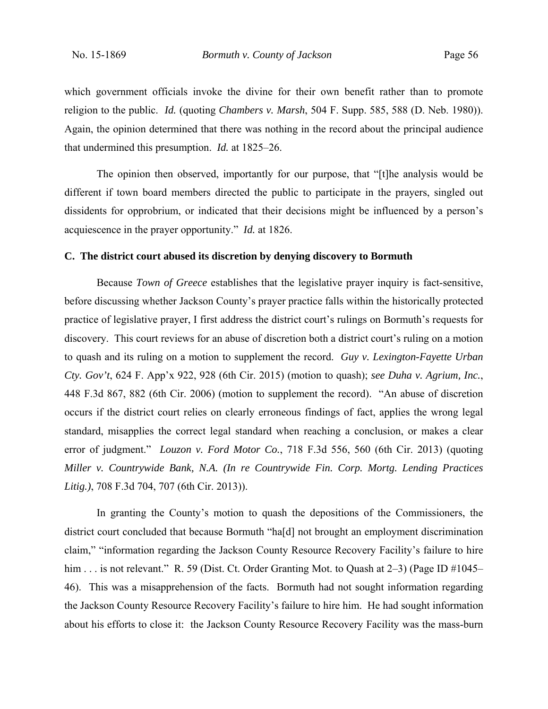which government officials invoke the divine for their own benefit rather than to promote religion to the public. *Id.* (quoting *Chambers v. Marsh*, 504 F. Supp. 585, 588 (D. Neb. 1980)). Again, the opinion determined that there was nothing in the record about the principal audience that undermined this presumption. *Id.* at 1825–26.

The opinion then observed, importantly for our purpose, that "[t]he analysis would be different if town board members directed the public to participate in the prayers, singled out dissidents for opprobrium, or indicated that their decisions might be influenced by a person's acquiescence in the prayer opportunity." *Id.* at 1826.

### **C. The district court abused its discretion by denying discovery to Bormuth**

Because *Town of Greece* establishes that the legislative prayer inquiry is fact-sensitive, before discussing whether Jackson County's prayer practice falls within the historically protected practice of legislative prayer, I first address the district court's rulings on Bormuth's requests for discovery. This court reviews for an abuse of discretion both a district court's ruling on a motion to quash and its ruling on a motion to supplement the record. *Guy v. Lexington-Fayette Urban Cty. Gov't*, 624 F. App'x 922, 928 (6th Cir. 2015) (motion to quash); *see Duha v. Agrium, Inc.*, 448 F.3d 867, 882 (6th Cir. 2006) (motion to supplement the record). "An abuse of discretion occurs if the district court relies on clearly erroneous findings of fact, applies the wrong legal standard, misapplies the correct legal standard when reaching a conclusion, or makes a clear error of judgment." *Louzon v. Ford Motor Co.*, 718 F.3d 556, 560 (6th Cir. 2013) (quoting *Miller v. Countrywide Bank, N.A. (In re Countrywide Fin. Corp. Mortg. Lending Practices Litig.)*, 708 F.3d 704, 707 (6th Cir. 2013)).

In granting the County's motion to quash the depositions of the Commissioners, the district court concluded that because Bormuth "ha[d] not brought an employment discrimination claim," "information regarding the Jackson County Resource Recovery Facility's failure to hire him . . . is not relevant." R. 59 (Dist. Ct. Order Granting Mot. to Quash at 2–3) (Page ID #1045– 46). This was a misapprehension of the facts. Bormuth had not sought information regarding the Jackson County Resource Recovery Facility's failure to hire him. He had sought information about his efforts to close it: the Jackson County Resource Recovery Facility was the mass-burn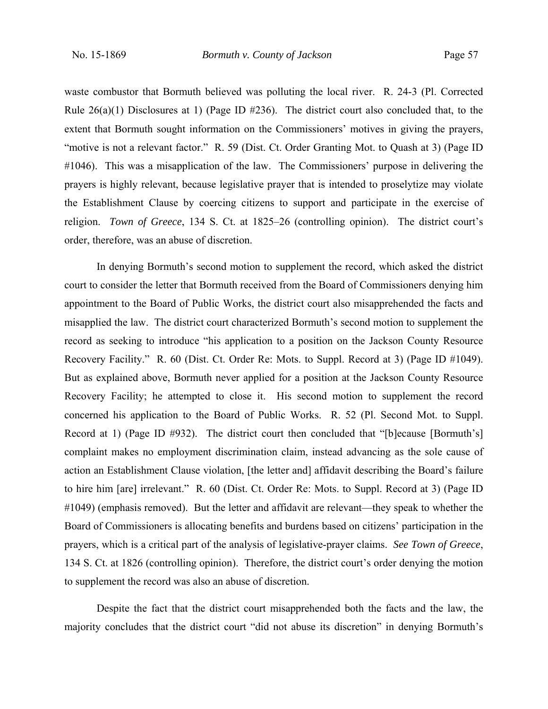waste combustor that Bormuth believed was polluting the local river. R. 24-3 (Pl. Corrected Rule  $26(a)(1)$  Disclosures at 1) (Page ID #236). The district court also concluded that, to the extent that Bormuth sought information on the Commissioners' motives in giving the prayers, "motive is not a relevant factor." R. 59 (Dist. Ct. Order Granting Mot. to Quash at 3) (Page ID #1046). This was a misapplication of the law. The Commissioners' purpose in delivering the prayers is highly relevant, because legislative prayer that is intended to proselytize may violate the Establishment Clause by coercing citizens to support and participate in the exercise of religion. *Town of Greece*, 134 S. Ct. at 1825–26 (controlling opinion). The district court's order, therefore, was an abuse of discretion.

In denying Bormuth's second motion to supplement the record, which asked the district court to consider the letter that Bormuth received from the Board of Commissioners denying him appointment to the Board of Public Works, the district court also misapprehended the facts and misapplied the law. The district court characterized Bormuth's second motion to supplement the record as seeking to introduce "his application to a position on the Jackson County Resource Recovery Facility." R. 60 (Dist. Ct. Order Re: Mots. to Suppl. Record at 3) (Page ID #1049). But as explained above, Bormuth never applied for a position at the Jackson County Resource Recovery Facility; he attempted to close it. His second motion to supplement the record concerned his application to the Board of Public Works. R. 52 (Pl. Second Mot. to Suppl. Record at 1) (Page ID #932). The district court then concluded that "[b]ecause [Bormuth's] complaint makes no employment discrimination claim, instead advancing as the sole cause of action an Establishment Clause violation, [the letter and] affidavit describing the Board's failure to hire him [are] irrelevant." R. 60 (Dist. Ct. Order Re: Mots. to Suppl. Record at 3) (Page ID #1049) (emphasis removed). But the letter and affidavit are relevant—they speak to whether the Board of Commissioners is allocating benefits and burdens based on citizens' participation in the prayers, which is a critical part of the analysis of legislative-prayer claims. *See Town of Greece*, 134 S. Ct. at 1826 (controlling opinion). Therefore, the district court's order denying the motion to supplement the record was also an abuse of discretion.

Despite the fact that the district court misapprehended both the facts and the law, the majority concludes that the district court "did not abuse its discretion" in denying Bormuth's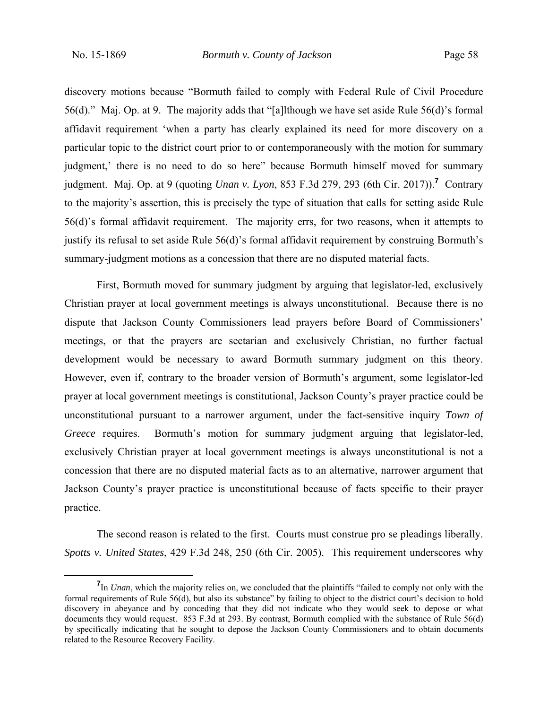discovery motions because "Bormuth failed to comply with Federal Rule of Civil Procedure 56(d)." Maj. Op. at 9. The majority adds that "[a]lthough we have set aside Rule 56(d)'s formal affidavit requirement 'when a party has clearly explained its need for more discovery on a particular topic to the district court prior to or contemporaneously with the motion for summary judgment,' there is no need to do so here" because Bormuth himself moved for summary judgment. Maj. Op. at 9 (quoting *Unan v. Lyon*, 853 F.3d 279, 293 (6th Cir. 2017)).**<sup>7</sup>** Contrary to the majority's assertion, this is precisely the type of situation that calls for setting aside Rule 56(d)'s formal affidavit requirement. The majority errs, for two reasons, when it attempts to justify its refusal to set aside Rule 56(d)'s formal affidavit requirement by construing Bormuth's summary-judgment motions as a concession that there are no disputed material facts.

First, Bormuth moved for summary judgment by arguing that legislator-led, exclusively Christian prayer at local government meetings is always unconstitutional. Because there is no dispute that Jackson County Commissioners lead prayers before Board of Commissioners' meetings, or that the prayers are sectarian and exclusively Christian, no further factual development would be necessary to award Bormuth summary judgment on this theory. However, even if, contrary to the broader version of Bormuth's argument, some legislator-led prayer at local government meetings is constitutional, Jackson County's prayer practice could be unconstitutional pursuant to a narrower argument, under the fact-sensitive inquiry *Town of Greece* requires. Bormuth's motion for summary judgment arguing that legislator-led, exclusively Christian prayer at local government meetings is always unconstitutional is not a concession that there are no disputed material facts as to an alternative, narrower argument that Jackson County's prayer practice is unconstitutional because of facts specific to their prayer practice.

The second reason is related to the first. Courts must construe pro se pleadings liberally. *Spotts v. United States*, 429 F.3d 248, 250 (6th Cir. 2005). This requirement underscores why

**<sup>7</sup>** <sup>7</sup>In *Unan*, which the majority relies on, we concluded that the plaintiffs "failed to comply not only with the formal requirements of Rule 56(d), but also its substance" by failing to object to the district court's decision to hold discovery in abeyance and by conceding that they did not indicate who they would seek to depose or what documents they would request. 853 F.3d at 293. By contrast, Bormuth complied with the substance of Rule 56(d) by specifically indicating that he sought to depose the Jackson County Commissioners and to obtain documents related to the Resource Recovery Facility.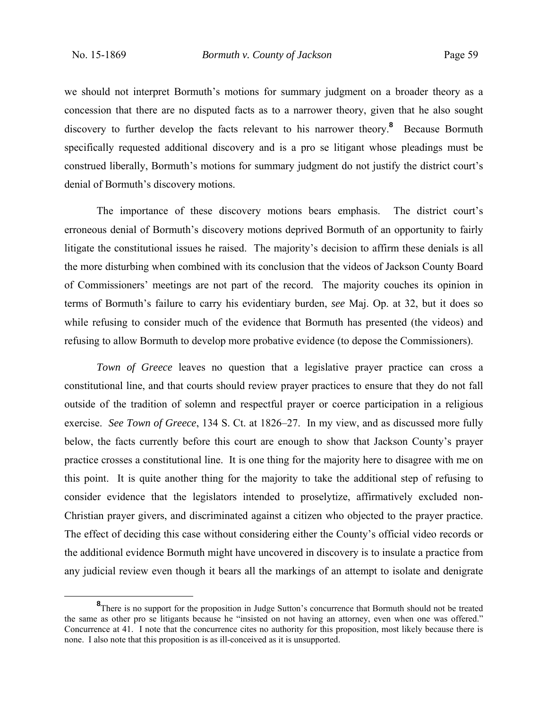we should not interpret Bormuth's motions for summary judgment on a broader theory as a concession that there are no disputed facts as to a narrower theory, given that he also sought discovery to further develop the facts relevant to his narrower theory.<sup>8</sup> Because Bormuth specifically requested additional discovery and is a pro se litigant whose pleadings must be construed liberally, Bormuth's motions for summary judgment do not justify the district court's denial of Bormuth's discovery motions.

The importance of these discovery motions bears emphasis. The district court's erroneous denial of Bormuth's discovery motions deprived Bormuth of an opportunity to fairly litigate the constitutional issues he raised. The majority's decision to affirm these denials is all the more disturbing when combined with its conclusion that the videos of Jackson County Board of Commissioners' meetings are not part of the record. The majority couches its opinion in terms of Bormuth's failure to carry his evidentiary burden, *see* Maj. Op. at 32, but it does so while refusing to consider much of the evidence that Bormuth has presented (the videos) and refusing to allow Bormuth to develop more probative evidence (to depose the Commissioners).

*Town of Greece* leaves no question that a legislative prayer practice can cross a constitutional line, and that courts should review prayer practices to ensure that they do not fall outside of the tradition of solemn and respectful prayer or coerce participation in a religious exercise. *See Town of Greece*, 134 S. Ct. at 1826–27. In my view, and as discussed more fully below, the facts currently before this court are enough to show that Jackson County's prayer practice crosses a constitutional line. It is one thing for the majority here to disagree with me on this point. It is quite another thing for the majority to take the additional step of refusing to consider evidence that the legislators intended to proselytize, affirmatively excluded non-Christian prayer givers, and discriminated against a citizen who objected to the prayer practice. The effect of deciding this case without considering either the County's official video records or the additional evidence Bormuth might have uncovered in discovery is to insulate a practice from any judicial review even though it bears all the markings of an attempt to isolate and denigrate

**<sup>8</sup>** <sup>8</sup>There is no support for the proposition in Judge Sutton's concurrence that Bormuth should not be treated the same as other pro se litigants because he "insisted on not having an attorney, even when one was offered." Concurrence at 41. I note that the concurrence cites no authority for this proposition, most likely because there is none. I also note that this proposition is as ill-conceived as it is unsupported.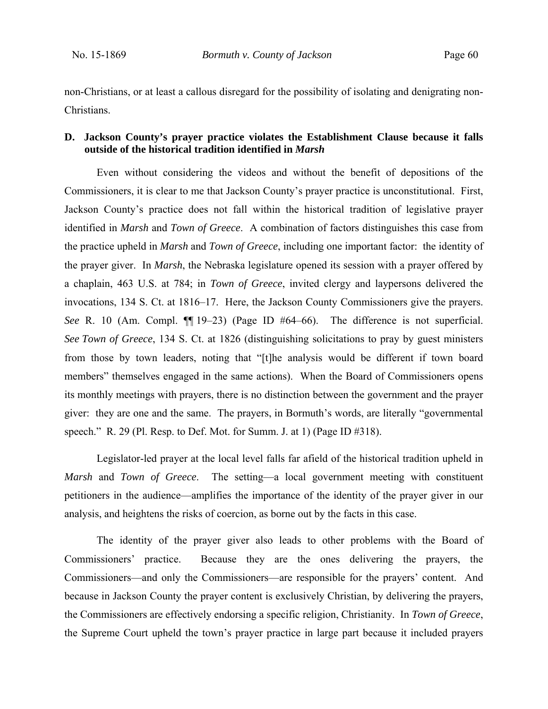non-Christians, or at least a callous disregard for the possibility of isolating and denigrating non-Christians.

## **D. Jackson County's prayer practice violates the Establishment Clause because it falls outside of the historical tradition identified in** *Marsh*

Even without considering the videos and without the benefit of depositions of the Commissioners, it is clear to me that Jackson County's prayer practice is unconstitutional. First, Jackson County's practice does not fall within the historical tradition of legislative prayer identified in *Marsh* and *Town of Greece*. A combination of factors distinguishes this case from the practice upheld in *Marsh* and *Town of Greece*, including one important factor: the identity of the prayer giver. In *Marsh*, the Nebraska legislature opened its session with a prayer offered by a chaplain, 463 U.S. at 784; in *Town of Greece*, invited clergy and laypersons delivered the invocations, 134 S. Ct. at 1816–17. Here, the Jackson County Commissioners give the prayers. *See* R. 10 (Am. Compl.  $\P$ [19–23) (Page ID #64–66). The difference is not superficial. *See Town of Greece*, 134 S. Ct. at 1826 (distinguishing solicitations to pray by guest ministers from those by town leaders, noting that "[t]he analysis would be different if town board members" themselves engaged in the same actions). When the Board of Commissioners opens its monthly meetings with prayers, there is no distinction between the government and the prayer giver: they are one and the same. The prayers, in Bormuth's words, are literally "governmental speech." R. 29 (Pl. Resp. to Def. Mot. for Summ. J. at 1) (Page ID #318).

Legislator-led prayer at the local level falls far afield of the historical tradition upheld in *Marsh* and *Town of Greece*. The setting—a local government meeting with constituent petitioners in the audience—amplifies the importance of the identity of the prayer giver in our analysis, and heightens the risks of coercion, as borne out by the facts in this case.

The identity of the prayer giver also leads to other problems with the Board of Commissioners' practice. Because they are the ones delivering the prayers, the Commissioners—and only the Commissioners—are responsible for the prayers' content. And because in Jackson County the prayer content is exclusively Christian, by delivering the prayers, the Commissioners are effectively endorsing a specific religion, Christianity. In *Town of Greece*, the Supreme Court upheld the town's prayer practice in large part because it included prayers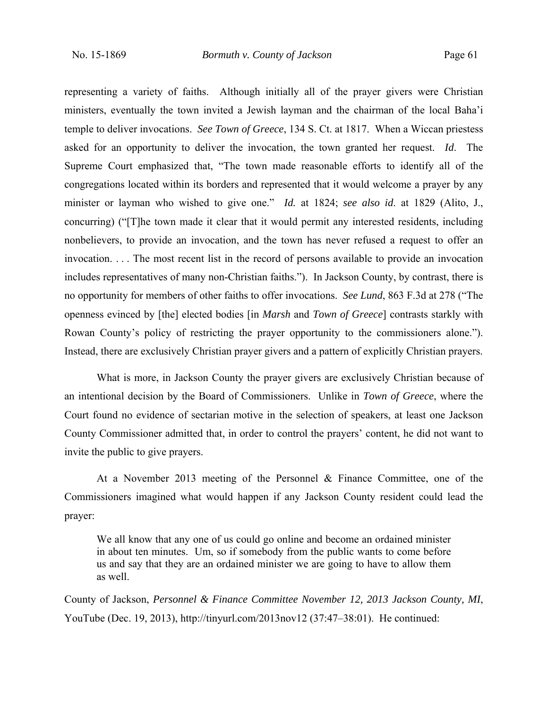representing a variety of faiths. Although initially all of the prayer givers were Christian ministers, eventually the town invited a Jewish layman and the chairman of the local Baha'i temple to deliver invocations. *See Town of Greece*, 134 S. Ct. at 1817. When a Wiccan priestess asked for an opportunity to deliver the invocation, the town granted her request. *Id*. The Supreme Court emphasized that, "The town made reasonable efforts to identify all of the congregations located within its borders and represented that it would welcome a prayer by any minister or layman who wished to give one." *Id.* at 1824; *see also id*. at 1829 (Alito, J., concurring) ("[T]he town made it clear that it would permit any interested residents, including nonbelievers, to provide an invocation, and the town has never refused a request to offer an invocation. . . . The most recent list in the record of persons available to provide an invocation includes representatives of many non-Christian faiths."). In Jackson County, by contrast, there is no opportunity for members of other faiths to offer invocations. *See Lund*, 863 F.3d at 278 ("The openness evinced by [the] elected bodies [in *Marsh* and *Town of Greece*] contrasts starkly with Rowan County's policy of restricting the prayer opportunity to the commissioners alone."). Instead, there are exclusively Christian prayer givers and a pattern of explicitly Christian prayers.

What is more, in Jackson County the prayer givers are exclusively Christian because of an intentional decision by the Board of Commissioners. Unlike in *Town of Greece*, where the Court found no evidence of sectarian motive in the selection of speakers, at least one Jackson County Commissioner admitted that, in order to control the prayers' content, he did not want to invite the public to give prayers.

At a November 2013 meeting of the Personnel & Finance Committee, one of the Commissioners imagined what would happen if any Jackson County resident could lead the prayer:

We all know that any one of us could go online and become an ordained minister in about ten minutes. Um, so if somebody from the public wants to come before us and say that they are an ordained minister we are going to have to allow them as well.

County of Jackson, *Personnel & Finance Committee November 12, 2013 Jackson County, MI*, YouTube (Dec. 19, 2013), http://tinyurl.com/2013nov12 (37:47–38:01). He continued: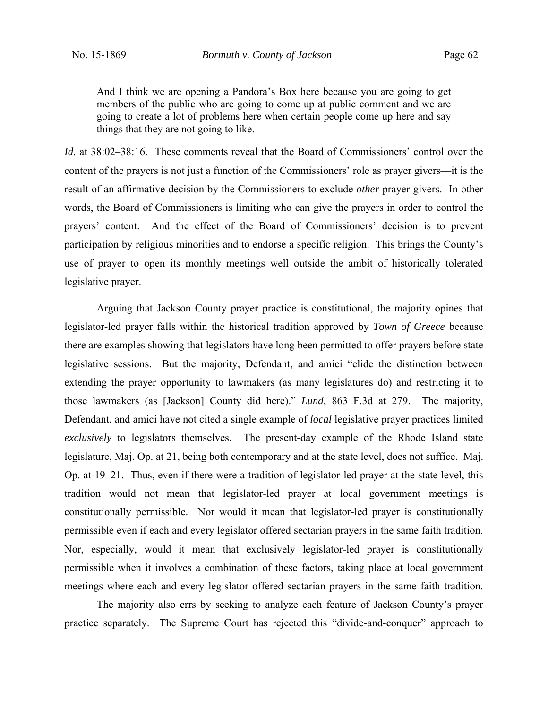And I think we are opening a Pandora's Box here because you are going to get members of the public who are going to come up at public comment and we are going to create a lot of problems here when certain people come up here and say things that they are not going to like.

*Id.* at 38:02–38:16. These comments reveal that the Board of Commissioners' control over the content of the prayers is not just a function of the Commissioners' role as prayer givers—it is the result of an affirmative decision by the Commissioners to exclude *other* prayer givers. In other words, the Board of Commissioners is limiting who can give the prayers in order to control the prayers' content. And the effect of the Board of Commissioners' decision is to prevent participation by religious minorities and to endorse a specific religion. This brings the County's use of prayer to open its monthly meetings well outside the ambit of historically tolerated legislative prayer.

Arguing that Jackson County prayer practice is constitutional, the majority opines that legislator-led prayer falls within the historical tradition approved by *Town of Greece* because there are examples showing that legislators have long been permitted to offer prayers before state legislative sessions. But the majority, Defendant, and amici "elide the distinction between extending the prayer opportunity to lawmakers (as many legislatures do) and restricting it to those lawmakers (as [Jackson] County did here)." *Lund*, 863 F.3d at 279. The majority, Defendant, and amici have not cited a single example of *local* legislative prayer practices limited *exclusively* to legislators themselves. The present-day example of the Rhode Island state legislature, Maj. Op. at 21, being both contemporary and at the state level, does not suffice. Maj. Op. at 19–21. Thus, even if there were a tradition of legislator-led prayer at the state level, this tradition would not mean that legislator-led prayer at local government meetings is constitutionally permissible. Nor would it mean that legislator-led prayer is constitutionally permissible even if each and every legislator offered sectarian prayers in the same faith tradition. Nor, especially, would it mean that exclusively legislator-led prayer is constitutionally permissible when it involves a combination of these factors, taking place at local government meetings where each and every legislator offered sectarian prayers in the same faith tradition.

 The majority also errs by seeking to analyze each feature of Jackson County's prayer practice separately. The Supreme Court has rejected this "divide-and-conquer" approach to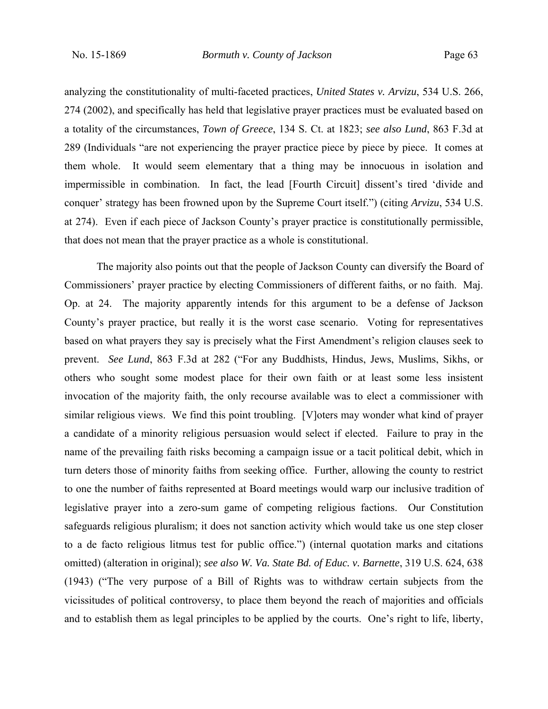analyzing the constitutionality of multi-faceted practices, *United States v. Arvizu*, 534 U.S. 266, 274 (2002), and specifically has held that legislative prayer practices must be evaluated based on a totality of the circumstances, *Town of Greece*, 134 S. Ct. at 1823; *see also Lund*, 863 F.3d at 289 (Individuals "are not experiencing the prayer practice piece by piece by piece. It comes at them whole. It would seem elementary that a thing may be innocuous in isolation and impermissible in combination. In fact, the lead [Fourth Circuit] dissent's tired 'divide and conquer' strategy has been frowned upon by the Supreme Court itself.") (citing *Arvizu*, 534 U.S. at 274). Even if each piece of Jackson County's prayer practice is constitutionally permissible, that does not mean that the prayer practice as a whole is constitutional.

The majority also points out that the people of Jackson County can diversify the Board of Commissioners' prayer practice by electing Commissioners of different faiths, or no faith. Maj. Op. at 24. The majority apparently intends for this argument to be a defense of Jackson County's prayer practice, but really it is the worst case scenario. Voting for representatives based on what prayers they say is precisely what the First Amendment's religion clauses seek to prevent. *See Lund*, 863 F.3d at 282 ("For any Buddhists, Hindus, Jews, Muslims, Sikhs, or others who sought some modest place for their own faith or at least some less insistent invocation of the majority faith, the only recourse available was to elect a commissioner with similar religious views. We find this point troubling. [V]oters may wonder what kind of prayer a candidate of a minority religious persuasion would select if elected. Failure to pray in the name of the prevailing faith risks becoming a campaign issue or a tacit political debit, which in turn deters those of minority faiths from seeking office. Further, allowing the county to restrict to one the number of faiths represented at Board meetings would warp our inclusive tradition of legislative prayer into a zero-sum game of competing religious factions. Our Constitution safeguards religious pluralism; it does not sanction activity which would take us one step closer to a de facto religious litmus test for public office.") (internal quotation marks and citations omitted) (alteration in original); *see also W. Va. State Bd. of Educ. v. Barnette*, 319 U.S. 624, 638 (1943) ("The very purpose of a Bill of Rights was to withdraw certain subjects from the vicissitudes of political controversy, to place them beyond the reach of majorities and officials and to establish them as legal principles to be applied by the courts. One's right to life, liberty,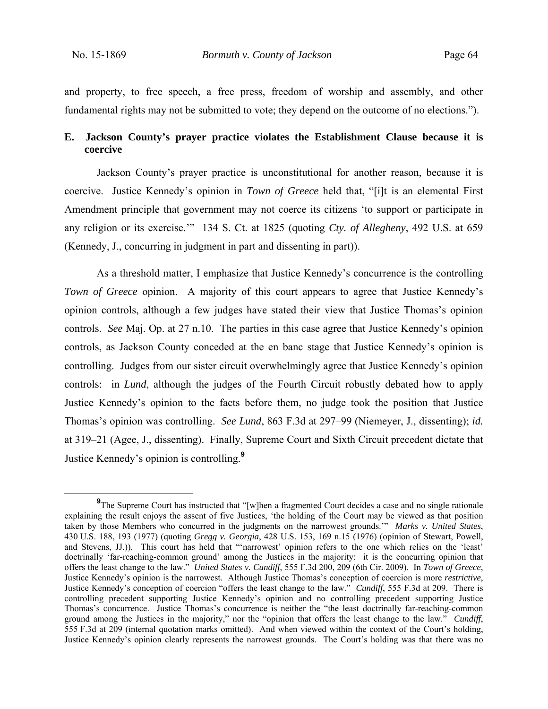and property, to free speech, a free press, freedom of worship and assembly, and other fundamental rights may not be submitted to vote; they depend on the outcome of no elections.").

## **E. Jackson County's prayer practice violates the Establishment Clause because it is coercive**

Jackson County's prayer practice is unconstitutional for another reason, because it is coercive. Justice Kennedy's opinion in *Town of Greece* held that, "[i]t is an elemental First Amendment principle that government may not coerce its citizens 'to support or participate in any religion or its exercise.'" 134 S. Ct. at 1825 (quoting *Cty. of Allegheny*, 492 U.S. at 659 (Kennedy, J., concurring in judgment in part and dissenting in part)).

As a threshold matter, I emphasize that Justice Kennedy's concurrence is the controlling *Town of Greece* opinion. A majority of this court appears to agree that Justice Kennedy's opinion controls, although a few judges have stated their view that Justice Thomas's opinion controls. *See* Maj. Op. at 27 n.10. The parties in this case agree that Justice Kennedy's opinion controls, as Jackson County conceded at the en banc stage that Justice Kennedy's opinion is controlling. Judges from our sister circuit overwhelmingly agree that Justice Kennedy's opinion controls: in *Lund*, although the judges of the Fourth Circuit robustly debated how to apply Justice Kennedy's opinion to the facts before them, no judge took the position that Justice Thomas's opinion was controlling. *See Lund*, 863 F.3d at 297–99 (Niemeyer, J., dissenting); *id.* at 319–21 (Agee, J., dissenting). Finally, Supreme Court and Sixth Circuit precedent dictate that Justice Kennedy's opinion is controlling.**<sup>9</sup>**

**<sup>9</sup>** <sup>9</sup>The Supreme Court has instructed that "[w]hen a fragmented Court decides a case and no single rationale explaining the result enjoys the assent of five Justices, 'the holding of the Court may be viewed as that position taken by those Members who concurred in the judgments on the narrowest grounds.'" *Marks v. United States*, 430 U.S. 188, 193 (1977) (quoting *Gregg v. Georgia*, 428 U.S. 153, 169 n.15 (1976) (opinion of Stewart, Powell, and Stevens, JJ.)). This court has held that "'narrowest' opinion refers to the one which relies on the 'least' doctrinally 'far-reaching-common ground' among the Justices in the majority: it is the concurring opinion that offers the least change to the law." *United States v. Cundiff*, 555 F.3d 200, 209 (6th Cir. 2009). In *Town of Greece*, Justice Kennedy's opinion is the narrowest. Although Justice Thomas's conception of coercion is more *restrictive*, Justice Kennedy's conception of coercion "offers the least change to the law." *Cundiff*, 555 F.3d at 209.There is controlling precedent supporting Justice Kennedy's opinion and no controlling precedent supporting Justice Thomas's concurrence. Justice Thomas's concurrence is neither the "the least doctrinally far-reaching-common ground among the Justices in the majority," nor the "opinion that offers the least change to the law." *Cundiff*, 555 F.3d at 209 (internal quotation marks omitted). And when viewed within the context of the Court's holding, Justice Kennedy's opinion clearly represents the narrowest grounds. The Court's holding was that there was no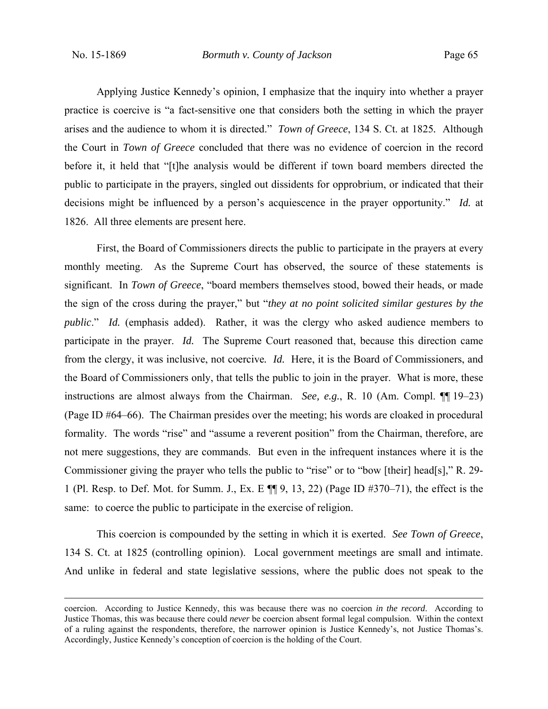Applying Justice Kennedy's opinion, I emphasize that the inquiry into whether a prayer practice is coercive is "a fact-sensitive one that considers both the setting in which the prayer arises and the audience to whom it is directed." *Town of Greece*, 134 S. Ct. at 1825*.* Although the Court in *Town of Greece* concluded that there was no evidence of coercion in the record before it, it held that "[t]he analysis would be different if town board members directed the public to participate in the prayers, singled out dissidents for opprobrium, or indicated that their decisions might be influenced by a person's acquiescence in the prayer opportunity." *Id.* at 1826. All three elements are present here.

First, the Board of Commissioners directs the public to participate in the prayers at every monthly meeting. As the Supreme Court has observed, the source of these statements is significant. In *Town of Greece*, "board members themselves stood, bowed their heads, or made the sign of the cross during the prayer," but "*they at no point solicited similar gestures by the public*." *Id.* (emphasis added). Rather, it was the clergy who asked audience members to participate in the prayer. *Id.* The Supreme Court reasoned that, because this direction came from the clergy, it was inclusive, not coercive*. Id.* Here, it is the Board of Commissioners, and the Board of Commissioners only, that tells the public to join in the prayer. What is more, these instructions are almost always from the Chairman. *See, e.g.*, R. 10 (Am. Compl. ¶[19–23) (Page ID #64–66). The Chairman presides over the meeting; his words are cloaked in procedural formality. The words "rise" and "assume a reverent position" from the Chairman, therefore, are not mere suggestions, they are commands. But even in the infrequent instances where it is the Commissioner giving the prayer who tells the public to "rise" or to "bow [their] head[s]," R. 29- 1 (Pl. Resp. to Def. Mot. for Summ. J., Ex. E ¶¶ 9, 13, 22) (Page ID #370‒71), the effect is the same: to coerce the public to participate in the exercise of religion.

This coercion is compounded by the setting in which it is exerted. *See Town of Greece*, 134 S. Ct. at 1825 (controlling opinion). Local government meetings are small and intimate. And unlike in federal and state legislative sessions, where the public does not speak to the

coercion. According to Justice Kennedy, this was because there was no coercion *in the record*. According to Justice Thomas, this was because there could *never* be coercion absent formal legal compulsion. Within the context of a ruling against the respondents, therefore, the narrower opinion is Justice Kennedy's, not Justice Thomas's. Accordingly, Justice Kennedy's conception of coercion is the holding of the Court.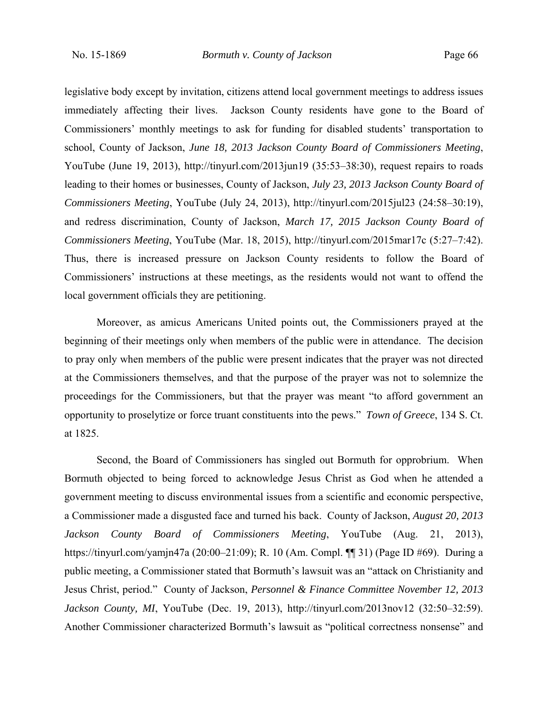legislative body except by invitation, citizens attend local government meetings to address issues immediately affecting their lives. Jackson County residents have gone to the Board of Commissioners' monthly meetings to ask for funding for disabled students' transportation to school, County of Jackson, *June 18, 2013 Jackson County Board of Commissioners Meeting*, YouTube (June 19, 2013), http://tinyurl.com/2013jun19 (35:53–38:30), request repairs to roads leading to their homes or businesses, County of Jackson, *July 23, 2013 Jackson County Board of Commissioners Meeting*, YouTube (July 24, 2013), http://tinyurl.com/2015jul23 (24:58–30:19), and redress discrimination, County of Jackson, *March 17, 2015 Jackson County Board of Commissioners Meeting*, YouTube (Mar. 18, 2015), http://tinyurl.com/2015mar17c (5:27–7:42). Thus, there is increased pressure on Jackson County residents to follow the Board of Commissioners' instructions at these meetings, as the residents would not want to offend the local government officials they are petitioning.

Moreover, as amicus Americans United points out, the Commissioners prayed at the beginning of their meetings only when members of the public were in attendance. The decision to pray only when members of the public were present indicates that the prayer was not directed at the Commissioners themselves, and that the purpose of the prayer was not to solemnize the proceedings for the Commissioners, but that the prayer was meant "to afford government an opportunity to proselytize or force truant constituents into the pews." *Town of Greece*, 134 S. Ct. at 1825.

Second, the Board of Commissioners has singled out Bormuth for opprobrium. When Bormuth objected to being forced to acknowledge Jesus Christ as God when he attended a government meeting to discuss environmental issues from a scientific and economic perspective, a Commissioner made a disgusted face and turned his back. County of Jackson, *August 20, 2013 Jackson County Board of Commissioners Meeting*, YouTube (Aug. 21, 2013), https://tinyurl.com/yamjn47a (20:00–21:09); R. 10 (Am. Compl. ¶¶ 31) (Page ID #69). During a public meeting, a Commissioner stated that Bormuth's lawsuit was an "attack on Christianity and Jesus Christ, period." County of Jackson, *Personnel & Finance Committee November 12, 2013 Jackson County, MI*, YouTube (Dec. 19, 2013), http://tinyurl.com/2013nov12 (32:50–32:59). Another Commissioner characterized Bormuth's lawsuit as "political correctness nonsense" and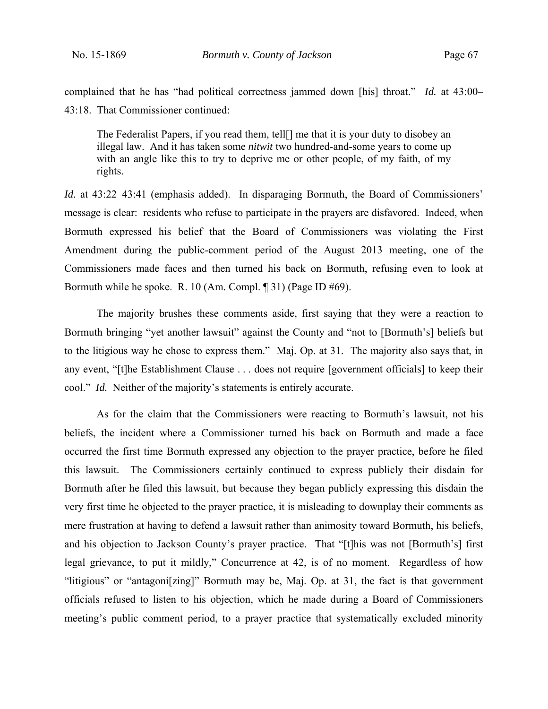complained that he has "had political correctness jammed down [his] throat." *Id.* at 43:00– 43:18. That Commissioner continued:

The Federalist Papers, if you read them, tell[] me that it is your duty to disobey an illegal law. And it has taken some *nitwit* two hundred-and-some years to come up with an angle like this to try to deprive me or other people, of my faith, of my rights.

*Id.* at 43:22–43:41 (emphasis added). In disparaging Bormuth, the Board of Commissioners' message is clear: residents who refuse to participate in the prayers are disfavored. Indeed, when Bormuth expressed his belief that the Board of Commissioners was violating the First Amendment during the public-comment period of the August 2013 meeting, one of the Commissioners made faces and then turned his back on Bormuth, refusing even to look at Bormuth while he spoke. R. 10 (Am. Compl. ¶ 31) (Page ID #69).

The majority brushes these comments aside, first saying that they were a reaction to Bormuth bringing "yet another lawsuit" against the County and "not to [Bormuth's] beliefs but to the litigious way he chose to express them." Maj. Op. at 31. The majority also says that, in any event, "[t]he Establishment Clause . . . does not require [government officials] to keep their cool." *Id.* Neither of the majority's statements is entirely accurate.

As for the claim that the Commissioners were reacting to Bormuth's lawsuit, not his beliefs, the incident where a Commissioner turned his back on Bormuth and made a face occurred the first time Bormuth expressed any objection to the prayer practice, before he filed this lawsuit. The Commissioners certainly continued to express publicly their disdain for Bormuth after he filed this lawsuit, but because they began publicly expressing this disdain the very first time he objected to the prayer practice, it is misleading to downplay their comments as mere frustration at having to defend a lawsuit rather than animosity toward Bormuth, his beliefs, and his objection to Jackson County's prayer practice. That "[t]his was not [Bormuth's] first legal grievance, to put it mildly," Concurrence at 42, is of no moment. Regardless of how "litigious" or "antagoni[zing]" Bormuth may be, Maj. Op. at 31, the fact is that government officials refused to listen to his objection, which he made during a Board of Commissioners meeting's public comment period, to a prayer practice that systematically excluded minority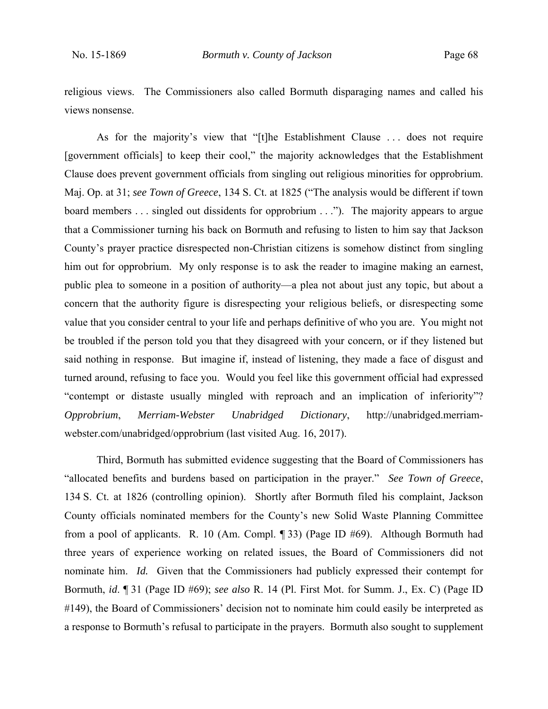religious views. The Commissioners also called Bormuth disparaging names and called his views nonsense.

As for the majority's view that "[t]he Establishment Clause . . . does not require [government officials] to keep their cool," the majority acknowledges that the Establishment Clause does prevent government officials from singling out religious minorities for opprobrium. Maj. Op. at 31; *see Town of Greece*, 134 S. Ct. at 1825 ("The analysis would be different if town board members . . . singled out dissidents for opprobrium . . ."). The majority appears to argue that a Commissioner turning his back on Bormuth and refusing to listen to him say that Jackson County's prayer practice disrespected non-Christian citizens is somehow distinct from singling him out for opprobrium. My only response is to ask the reader to imagine making an earnest, public plea to someone in a position of authority—a plea not about just any topic, but about a concern that the authority figure is disrespecting your religious beliefs, or disrespecting some value that you consider central to your life and perhaps definitive of who you are. You might not be troubled if the person told you that they disagreed with your concern, or if they listened but said nothing in response. But imagine if, instead of listening, they made a face of disgust and turned around, refusing to face you. Would you feel like this government official had expressed "contempt or distaste usually mingled with reproach and an implication of inferiority"? *Opprobrium*, *Merriam-Webster Unabridged Dictionary*, http://unabridged.merriamwebster.com/unabridged/opprobrium (last visited Aug. 16, 2017).

Third, Bormuth has submitted evidence suggesting that the Board of Commissioners has "allocated benefits and burdens based on participation in the prayer." *See Town of Greece*, 134 S. Ct. at 1826 (controlling opinion). Shortly after Bormuth filed his complaint, Jackson County officials nominated members for the County's new Solid Waste Planning Committee from a pool of applicants. R. 10 (Am. Compl. ¶ 33) (Page ID #69). Although Bormuth had three years of experience working on related issues, the Board of Commissioners did not nominate him. *Id.* Given that the Commissioners had publicly expressed their contempt for Bormuth, *id*. ¶ 31 (Page ID #69); *see also* R. 14 (Pl. First Mot. for Summ. J., Ex. C) (Page ID #149), the Board of Commissioners' decision not to nominate him could easily be interpreted as a response to Bormuth's refusal to participate in the prayers. Bormuth also sought to supplement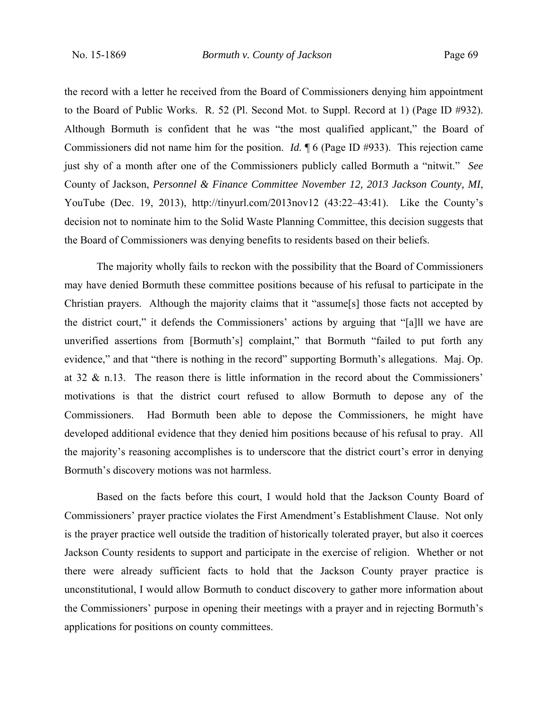the record with a letter he received from the Board of Commissioners denying him appointment to the Board of Public Works. R. 52 (Pl. Second Mot. to Suppl. Record at 1) (Page ID #932). Although Bormuth is confident that he was "the most qualified applicant," the Board of Commissioners did not name him for the position. *Id.* ¶ 6 (Page ID #933). This rejection came just shy of a month after one of the Commissioners publicly called Bormuth a "nitwit." *See* County of Jackson, *Personnel & Finance Committee November 12, 2013 Jackson County, MI*, YouTube (Dec. 19, 2013), http://tinyurl.com/2013nov12  $(43:22-43:41)$ . Like the County's decision not to nominate him to the Solid Waste Planning Committee, this decision suggests that the Board of Commissioners was denying benefits to residents based on their beliefs.

The majority wholly fails to reckon with the possibility that the Board of Commissioners may have denied Bormuth these committee positions because of his refusal to participate in the Christian prayers. Although the majority claims that it "assume[s] those facts not accepted by the district court," it defends the Commissioners' actions by arguing that "[a]ll we have are unverified assertions from [Bormuth's] complaint," that Bormuth "failed to put forth any evidence," and that "there is nothing in the record" supporting Bormuth's allegations. Maj. Op. at 32 & n.13. The reason there is little information in the record about the Commissioners' motivations is that the district court refused to allow Bormuth to depose any of the Commissioners. Had Bormuth been able to depose the Commissioners, he might have developed additional evidence that they denied him positions because of his refusal to pray. All the majority's reasoning accomplishes is to underscore that the district court's error in denying Bormuth's discovery motions was not harmless.

Based on the facts before this court, I would hold that the Jackson County Board of Commissioners' prayer practice violates the First Amendment's Establishment Clause. Not only is the prayer practice well outside the tradition of historically tolerated prayer, but also it coerces Jackson County residents to support and participate in the exercise of religion. Whether or not there were already sufficient facts to hold that the Jackson County prayer practice is unconstitutional, I would allow Bormuth to conduct discovery to gather more information about the Commissioners' purpose in opening their meetings with a prayer and in rejecting Bormuth's applications for positions on county committees.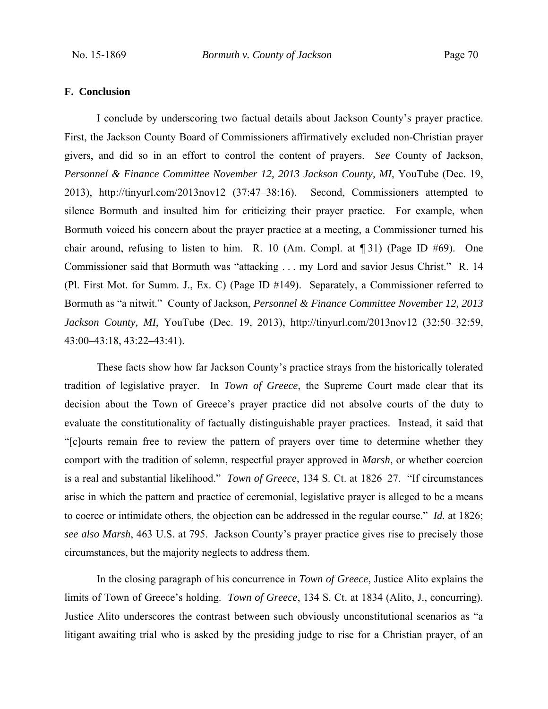#### **F. Conclusion**

I conclude by underscoring two factual details about Jackson County's prayer practice. First, the Jackson County Board of Commissioners affirmatively excluded non-Christian prayer givers, and did so in an effort to control the content of prayers. *See* County of Jackson, *Personnel & Finance Committee November 12, 2013 Jackson County, MI*, YouTube (Dec. 19, 2013), http://tinyurl.com/2013nov12 (37:47–38:16). Second, Commissioners attempted to silence Bormuth and insulted him for criticizing their prayer practice. For example, when Bormuth voiced his concern about the prayer practice at a meeting, a Commissioner turned his chair around, refusing to listen to him. R. 10 (Am. Compl. at ¶ 31) (Page ID #69). One Commissioner said that Bormuth was "attacking . . . my Lord and savior Jesus Christ." R. 14 (Pl. First Mot. for Summ. J., Ex. C) (Page ID #149). Separately, a Commissioner referred to Bormuth as "a nitwit." County of Jackson, *Personnel & Finance Committee November 12, 2013 Jackson County, MI*, YouTube (Dec. 19, 2013), http://tinyurl.com/2013nov12 (32:50–32:59, 43:00–43:18, 43:22–43:41).

These facts show how far Jackson County's practice strays from the historically tolerated tradition of legislative prayer. In *Town of Greece*, the Supreme Court made clear that its decision about the Town of Greece's prayer practice did not absolve courts of the duty to evaluate the constitutionality of factually distinguishable prayer practices. Instead, it said that "[c]ourts remain free to review the pattern of prayers over time to determine whether they comport with the tradition of solemn, respectful prayer approved in *Marsh*, or whether coercion is a real and substantial likelihood." *Town of Greece*, 134 S. Ct. at 1826–27. "If circumstances arise in which the pattern and practice of ceremonial, legislative prayer is alleged to be a means to coerce or intimidate others, the objection can be addressed in the regular course." *Id.* at 1826; *see also Marsh*, 463 U.S. at 795. Jackson County's prayer practice gives rise to precisely those circumstances, but the majority neglects to address them.

In the closing paragraph of his concurrence in *Town of Greece*, Justice Alito explains the limits of Town of Greece's holding. *Town of Greece*, 134 S. Ct. at 1834 (Alito, J., concurring). Justice Alito underscores the contrast between such obviously unconstitutional scenarios as "a litigant awaiting trial who is asked by the presiding judge to rise for a Christian prayer, of an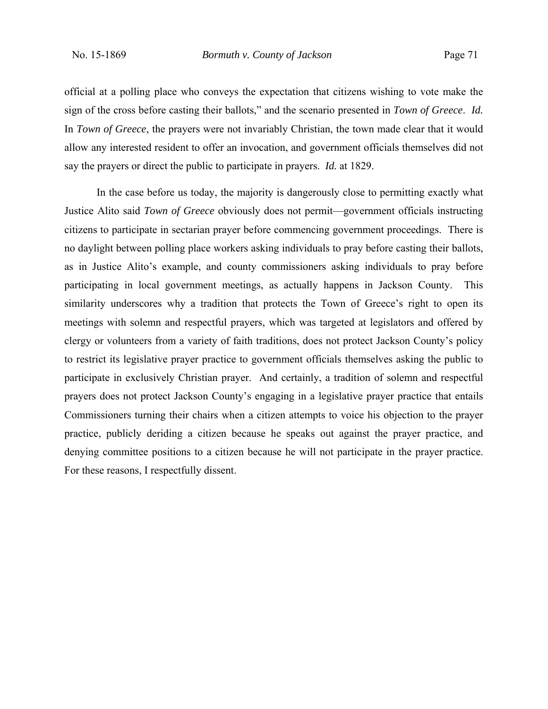official at a polling place who conveys the expectation that citizens wishing to vote make the sign of the cross before casting their ballots," and the scenario presented in *Town of Greece*. *Id.* In *Town of Greece*, the prayers were not invariably Christian, the town made clear that it would allow any interested resident to offer an invocation, and government officials themselves did not say the prayers or direct the public to participate in prayers. *Id.* at 1829.

In the case before us today, the majority is dangerously close to permitting exactly what Justice Alito said *Town of Greece* obviously does not permit—government officials instructing citizens to participate in sectarian prayer before commencing government proceedings. There is no daylight between polling place workers asking individuals to pray before casting their ballots, as in Justice Alito's example, and county commissioners asking individuals to pray before participating in local government meetings, as actually happens in Jackson County. This similarity underscores why a tradition that protects the Town of Greece's right to open its meetings with solemn and respectful prayers, which was targeted at legislators and offered by clergy or volunteers from a variety of faith traditions, does not protect Jackson County's policy to restrict its legislative prayer practice to government officials themselves asking the public to participate in exclusively Christian prayer. And certainly, a tradition of solemn and respectful prayers does not protect Jackson County's engaging in a legislative prayer practice that entails Commissioners turning their chairs when a citizen attempts to voice his objection to the prayer practice, publicly deriding a citizen because he speaks out against the prayer practice, and denying committee positions to a citizen because he will not participate in the prayer practice. For these reasons, I respectfully dissent.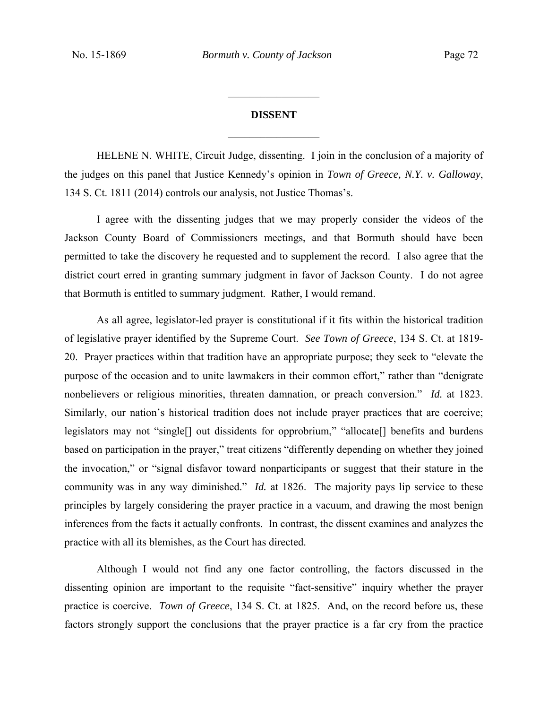# **DISSENT**   $\frac{1}{2}$

 $\frac{1}{2}$ 

HELENE N. WHITE, Circuit Judge, dissenting. I join in the conclusion of a majority of the judges on this panel that Justice Kennedy's opinion in *Town of Greece, N.Y. v. Galloway*, 134 S. Ct. 1811 (2014) controls our analysis, not Justice Thomas's.

I agree with the dissenting judges that we may properly consider the videos of the Jackson County Board of Commissioners meetings, and that Bormuth should have been permitted to take the discovery he requested and to supplement the record. I also agree that the district court erred in granting summary judgment in favor of Jackson County. I do not agree that Bormuth is entitled to summary judgment. Rather, I would remand.

As all agree, legislator-led prayer is constitutional if it fits within the historical tradition of legislative prayer identified by the Supreme Court. *See Town of Greece*, 134 S. Ct. at 1819- 20. Prayer practices within that tradition have an appropriate purpose; they seek to "elevate the purpose of the occasion and to unite lawmakers in their common effort," rather than "denigrate nonbelievers or religious minorities, threaten damnation, or preach conversion." *Id.* at 1823. Similarly, our nation's historical tradition does not include prayer practices that are coercive; legislators may not "single[] out dissidents for opprobrium," "allocate[] benefits and burdens based on participation in the prayer," treat citizens "differently depending on whether they joined the invocation," or "signal disfavor toward nonparticipants or suggest that their stature in the community was in any way diminished." *Id.* at 1826. The majority pays lip service to these principles by largely considering the prayer practice in a vacuum, and drawing the most benign inferences from the facts it actually confronts. In contrast, the dissent examines and analyzes the practice with all its blemishes, as the Court has directed.

Although I would not find any one factor controlling, the factors discussed in the dissenting opinion are important to the requisite "fact-sensitive" inquiry whether the prayer practice is coercive. *Town of Greece*, 134 S. Ct. at 1825. And, on the record before us, these factors strongly support the conclusions that the prayer practice is a far cry from the practice